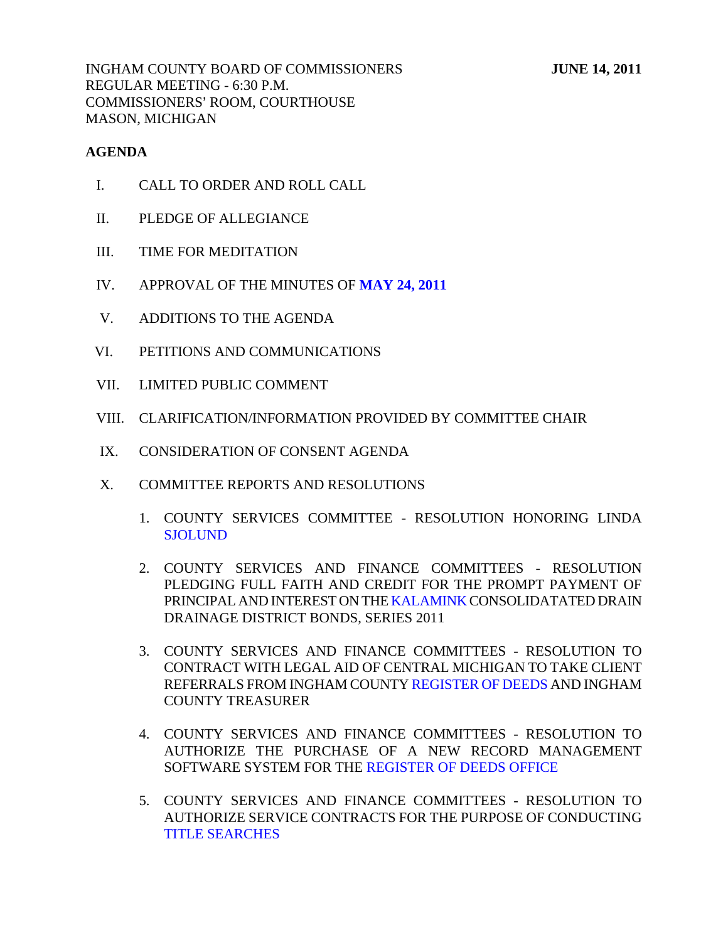INGHAM COUNTY BOARD OF COMMISSIONERS **JUNE 14, 2011** REGULAR MEETING - 6:30 P.M. COMMISSIONERS' ROOM, COURTHOUSE MASON, MICHIGAN

## **AGENDA**

- I. CALL TO ORDER AND ROLL CALL
- II. PLEDGE OF ALLEGIANCE
- III. TIME FOR MEDITATION
- IV. APPROVAL OF THE MINUTES OF **[MAY 24, 2011](#page-3-0)**
- V. ADDITIONS TO THE AGENDA
- VI. PETITIONS AND COMMUNICATIONS
- VII. LIMITED PUBLIC COMMENT
- VIII. CLARIFICATION/INFORMATION PROVIDED BY COMMITTEE CHAIR
- IX. CONSIDERATION OF CONSENT AGENDA
- X. COMMITTEE REPORTS AND RESOLUTIONS
	- 1. COUNTY SERVICES COMMITTEE RESOLUTION HONORING LINDA **SJOLUND**
	- 2. COUNTY SERVICES AND FINANCE COMMITTEES RESOLUTION PLEDGING FULL FAITH AND CREDIT FOR THE PROMPT PAYMENT OF PRINCIPAL AND INTEREST ON TH[E KALAMINK CONSO](#page-49-0)LIDATATED DRAIN DRAINAGE DISTRICT BONDS, SERIES 2011
	- 3. COUNTY SERVICES AND FINANCE COMMITTEES RESOLUTION TO CONTRACT WITH LEGAL AID OF CENTRAL MICHIGAN TO TAKE CLIENT REFERRALS FROM INGHAM COUN[TY REGISTER OF DEEDS AN](#page-53-0)D INGHAM COUNTY TREASURER
	- 4. COUNTY SERVICES AND FINANCE COMMITTEES RESOLUTION TO AUTHORIZE THE PURCHAS[E OF A NEW RECORD MAN](#page-55-0)AGEMENT SOFTWARE SYSTEM FOR THE REGISTER OF DEEDS OFFICE
	- 5. COUNTY SERVICES AND FINANCE COMMITTEES RESOLUTION TO AUTHORIZE SERVICE CONTRACTS FOR THE PURPOSE OF CONDUCTING [TITLE SEARCHES](#page-57-0)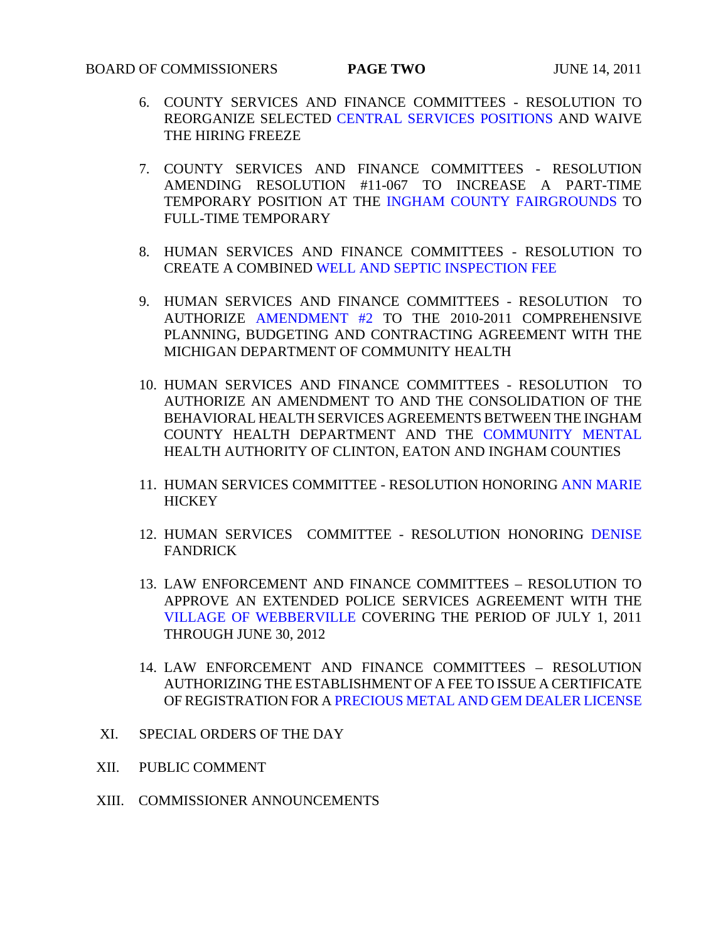- 6. COUNTY SERVICES AND FINANCE COMMITTEES RESOLUTION TO REORGANIZE SELECTE[D CENTRAL SERVICES POSITIONS AND W](#page-58-0)AIVE THE HIRING FREEZE
- 7. COUNTY SERVICES AND FINANCE COMMITTEES RESOLUTION AMENDING RESOLUTION #11-067 TO INCREASE A PART-TIME TEMPORARY POSITION AT TH[E INGHAM COUNTY FAIRGROUNDS TO](#page-59-0)  FULL-TIME TEMPORARY
- 8. HUMAN SERVICES AND FINANCE COMMITTEES RESOLUTION TO CREATE A COMBIN[ED WELL AND SEPTIC INSPECTION FEE](#page-60-0)
- 9. HUMAN SERVICES AND FINANCE COMMITTEES RESOLUTION TO AUTHORIZ[E AMENDMENT #2 T](#page-61-0)O THE 2010-2011 COMPREHENSIVE PLANNING, BUDGETING AND CONTRACTING AGREEMENT WITH THE MICHIGAN DEPARTMENT OF COMMUNITY HEALTH
- 10. HUMAN SERVICES AND FINANCE COMMITTEES RESOLUTION TO AUTHORIZE AN AMENDMENT TO AND THE CONSOLIDATION OF THE BEHAVIORAL HEALTH SERVICES AGREEME[NTS BETWEEN THE INGHAM](#page-63-0)  COUNTY HEALTH DEPARTMENT AND THE COMMUNITY MENTAL HEALTH AUTHORITY OF CLINTON, EATON AND INGHAM COUNTIES
- 11. HUMAN SERVICES COMMITTEE RESOLUTION HONORIN[G ANN MARIE](#page-65-0) **HICKEY**
- 12. HUMAN SERVICES COMMITTEE RESOLUTION HONORIN[G DENISE](#page-66-0)  FANDRICK
- 13. LAW ENFORCEMENT AND FINANCE COMMITTEES RESOLUTION TO APPROVE AN EXTENDED POLICE SERVICES AGREEMENT WITH THE [VILLAGE OF WEBBERVILLE COVERING](#page-67-0) THE PERIOD OF JULY 1, 2011 THROUGH JUNE 30, 2012
- 14. LAW ENFORCEMENT AND FINANCE COMMITTEES RESOLUTION AUTHORIZING THE ESTABLISHMENT OF A FEE TO ISSUE A CERTIFICATE OF REGISTRATION FOR A [PRECIOUS METAL AND GEM DEALER LICENSE](#page-68-0)
- XI. SPECIAL ORDERS OF THE DAY
- XII. PUBLIC COMMENT
- XIII. COMMISSIONER ANNOUNCEMENTS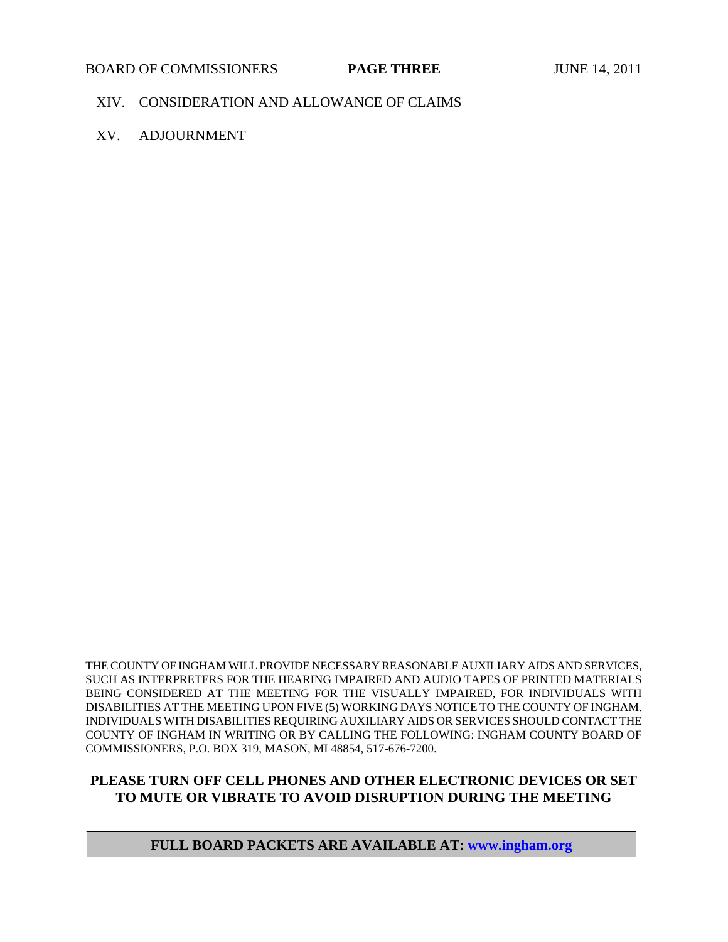#### BOARD OF COMMISSIONERS **PAGE THREE** JUNE 14, 2011

#### XIV. CONSIDERATION AND ALLOWANCE OF CLAIMS

XV. ADJOURNMENT

THE COUNTY OF INGHAM WILL PROVIDE NECESSARY REASONABLE AUXILIARY AIDS AND SERVICES, SUCH AS INTERPRETERS FOR THE HEARING IMPAIRED AND AUDIO TAPES OF PRINTED MATERIALS BEING CONSIDERED AT THE MEETING FOR THE VISUALLY IMPAIRED, FOR INDIVIDUALS WITH DISABILITIES AT THE MEETING UPON FIVE (5) WORKING DAYS NOTICE TO THE COUNTY OF INGHAM. INDIVIDUALS WITH DISABILITIES REQUIRING AUXILIARY AIDS OR SERVICES SHOULD CONTACT THE COUNTY OF INGHAM IN WRITING OR BY CALLING THE FOLLOWING: INGHAM COUNTY BOARD OF COMMISSIONERS, P.O. BOX 319, MASON, MI 48854, 517-676-7200.

## **PLEASE TURN OFF CELL PHONES AND OTHER ELECTRONIC DEVICES OR SET TO MUTE OR VIBRATE TO AVOID DISRUPTION DURING THE MEETING**

#### **FULL BOARD PACKETS ARE AVAILABLE AT: www.ingham.org**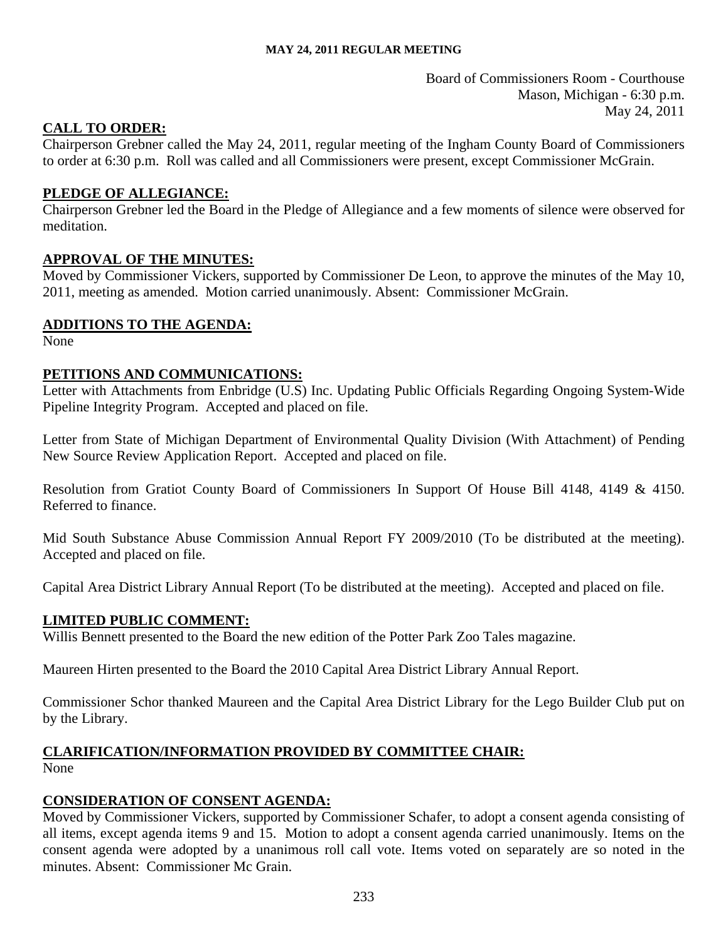Board of Commissioners Room - Courthouse Mason, Michigan - 6:30 p.m. May 24, 2011

## <span id="page-3-0"></span>**CALL TO ORDER:**

Chairperson Grebner called the May 24, 2011, regular meeting of the Ingham County Board of Commissioners to order at 6:30 p.m. Roll was called and all Commissioners were present, except Commissioner McGrain.

## **PLEDGE OF ALLEGIANCE:**

Chairperson Grebner led the Board in the Pledge of Allegiance and a few moments of silence were observed for meditation.

## **APPROVAL OF THE MINUTES:**

Moved by Commissioner Vickers, supported by Commissioner De Leon, to approve the minutes of the May 10, 2011, meeting as amended. Motion carried unanimously. Absent: Commissioner McGrain.

## **ADDITIONS TO THE AGENDA:**

None

## **PETITIONS AND COMMUNICATIONS:**

Letter with Attachments from Enbridge (U.S) Inc. Updating Public Officials Regarding Ongoing System-Wide Pipeline Integrity Program. Accepted and placed on file.

Letter from State of Michigan Department of Environmental Quality Division (With Attachment) of Pending New Source Review Application Report. Accepted and placed on file.

Resolution from Gratiot County Board of Commissioners In Support Of House Bill 4148, 4149 & 4150. Referred to finance.

Mid South Substance Abuse Commission Annual Report FY 2009/2010 (To be distributed at the meeting). Accepted and placed on file.

Capital Area District Library Annual Report (To be distributed at the meeting). Accepted and placed on file.

## **LIMITED PUBLIC COMMENT:**

Willis Bennett presented to the Board the new edition of the Potter Park Zoo Tales magazine.

Maureen Hirten presented to the Board the 2010 Capital Area District Library Annual Report.

Commissioner Schor thanked Maureen and the Capital Area District Library for the Lego Builder Club put on by the Library.

# **CLARIFICATION/INFORMATION PROVIDED BY COMMITTEE CHAIR:**

None

## **CONSIDERATION OF CONSENT AGENDA:**

Moved by Commissioner Vickers, supported by Commissioner Schafer, to adopt a consent agenda consisting of all items, except agenda items 9 and 15. Motion to adopt a consent agenda carried unanimously. Items on the consent agenda were adopted by a unanimous roll call vote. Items voted on separately are so noted in the minutes. Absent: Commissioner Mc Grain.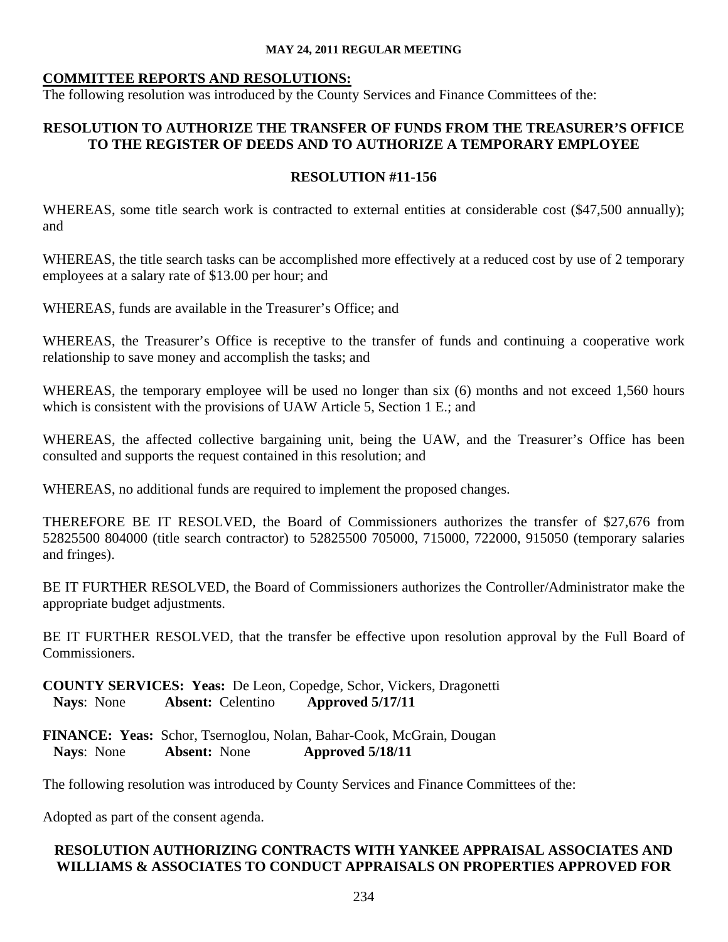## **COMMITTEE REPORTS AND RESOLUTIONS:**

The following resolution was introduced by the County Services and Finance Committees of the:

## **RESOLUTION TO AUTHORIZE THE TRANSFER OF FUNDS FROM THE TREASURER'S OFFICE TO THE REGISTER OF DEEDS AND TO AUTHORIZE A TEMPORARY EMPLOYEE**

## **RESOLUTION #11-156**

WHEREAS, some title search work is contracted to external entities at considerable cost (\$47,500 annually); and

WHEREAS, the title search tasks can be accomplished more effectively at a reduced cost by use of 2 temporary employees at a salary rate of \$13.00 per hour; and

WHEREAS, funds are available in the Treasurer's Office; and

WHEREAS, the Treasurer's Office is receptive to the transfer of funds and continuing a cooperative work relationship to save money and accomplish the tasks; and

WHEREAS, the temporary employee will be used no longer than six  $(6)$  months and not exceed 1,560 hours which is consistent with the provisions of UAW Article 5, Section 1 E.; and

WHEREAS, the affected collective bargaining unit, being the UAW, and the Treasurer's Office has been consulted and supports the request contained in this resolution; and

WHEREAS, no additional funds are required to implement the proposed changes.

THEREFORE BE IT RESOLVED, the Board of Commissioners authorizes the transfer of \$27,676 from 52825500 804000 (title search contractor) to 52825500 705000, 715000, 722000, 915050 (temporary salaries and fringes).

BE IT FURTHER RESOLVED, the Board of Commissioners authorizes the Controller/Administrator make the appropriate budget adjustments.

BE IT FURTHER RESOLVED, that the transfer be effective upon resolution approval by the Full Board of Commissioners.

**COUNTY SERVICES: Yeas:** De Leon, Copedge, Schor, Vickers, Dragonetti  **Nays**: None **Absent:** Celentino **Approved 5/17/11**

**FINANCE: Yeas:** Schor, Tsernoglou, Nolan, Bahar-Cook, McGrain, Dougan  **Nays**: None **Absent:** None **Approved 5/18/11** 

The following resolution was introduced by County Services and Finance Committees of the:

Adopted as part of the consent agenda.

## **RESOLUTION AUTHORIZING CONTRACTS WITH YANKEE APPRAISAL ASSOCIATES AND WILLIAMS & ASSOCIATES TO CONDUCT APPRAISALS ON PROPERTIES APPROVED FOR**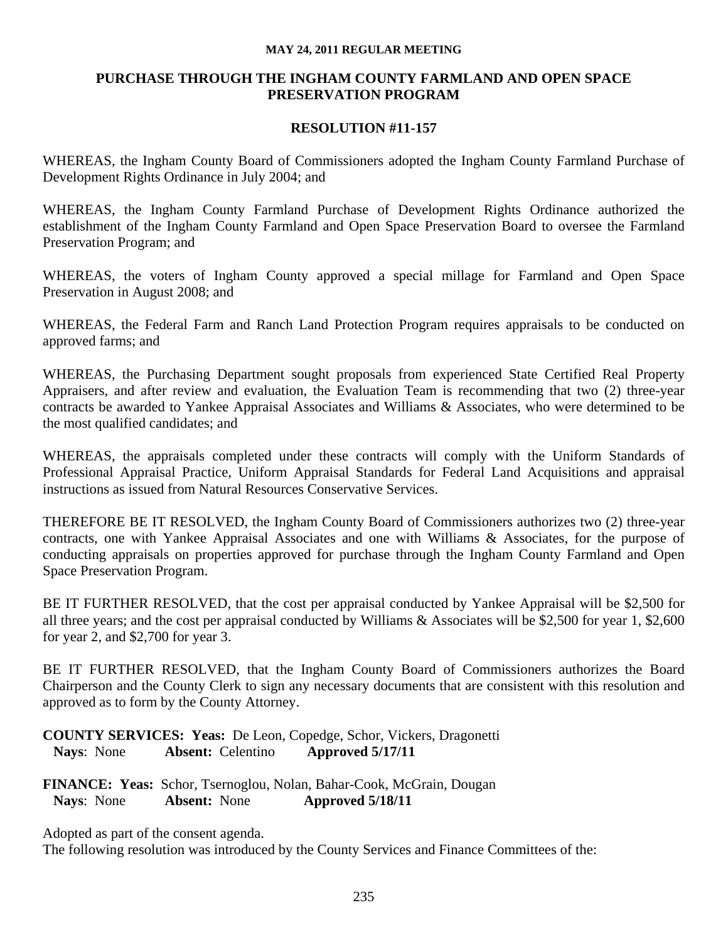## **PURCHASE THROUGH THE INGHAM COUNTY FARMLAND AND OPEN SPACE PRESERVATION PROGRAM**

#### **RESOLUTION #11-157**

WHEREAS, the Ingham County Board of Commissioners adopted the Ingham County Farmland Purchase of Development Rights Ordinance in July 2004; and

WHEREAS, the Ingham County Farmland Purchase of Development Rights Ordinance authorized the establishment of the Ingham County Farmland and Open Space Preservation Board to oversee the Farmland Preservation Program; and

WHEREAS, the voters of Ingham County approved a special millage for Farmland and Open Space Preservation in August 2008; and

WHEREAS, the Federal Farm and Ranch Land Protection Program requires appraisals to be conducted on approved farms; and

WHEREAS, the Purchasing Department sought proposals from experienced State Certified Real Property Appraisers, and after review and evaluation, the Evaluation Team is recommending that two (2) three-year contracts be awarded to Yankee Appraisal Associates and Williams & Associates, who were determined to be the most qualified candidates; and

WHEREAS, the appraisals completed under these contracts will comply with the Uniform Standards of Professional Appraisal Practice, Uniform Appraisal Standards for Federal Land Acquisitions and appraisal instructions as issued from Natural Resources Conservative Services.

THEREFORE BE IT RESOLVED, the Ingham County Board of Commissioners authorizes two (2) three-year contracts, one with Yankee Appraisal Associates and one with Williams & Associates, for the purpose of conducting appraisals on properties approved for purchase through the Ingham County Farmland and Open Space Preservation Program.

BE IT FURTHER RESOLVED, that the cost per appraisal conducted by Yankee Appraisal will be \$2,500 for all three years; and the cost per appraisal conducted by Williams & Associates will be \$2,500 for year 1, \$2,600 for year 2, and \$2,700 for year 3.

BE IT FURTHER RESOLVED, that the Ingham County Board of Commissioners authorizes the Board Chairperson and the County Clerk to sign any necessary documents that are consistent with this resolution and approved as to form by the County Attorney.

**COUNTY SERVICES: Yeas:** De Leon, Copedge, Schor, Vickers, Dragonetti  **Nays**: None **Absent:** Celentino **Approved 5/17/11**

**FINANCE: Yeas:** Schor, Tsernoglou, Nolan, Bahar-Cook, McGrain, Dougan  **Nays**: None **Absent:** None **Approved 5/18/11** 

Adopted as part of the consent agenda.

The following resolution was introduced by the County Services and Finance Committees of the: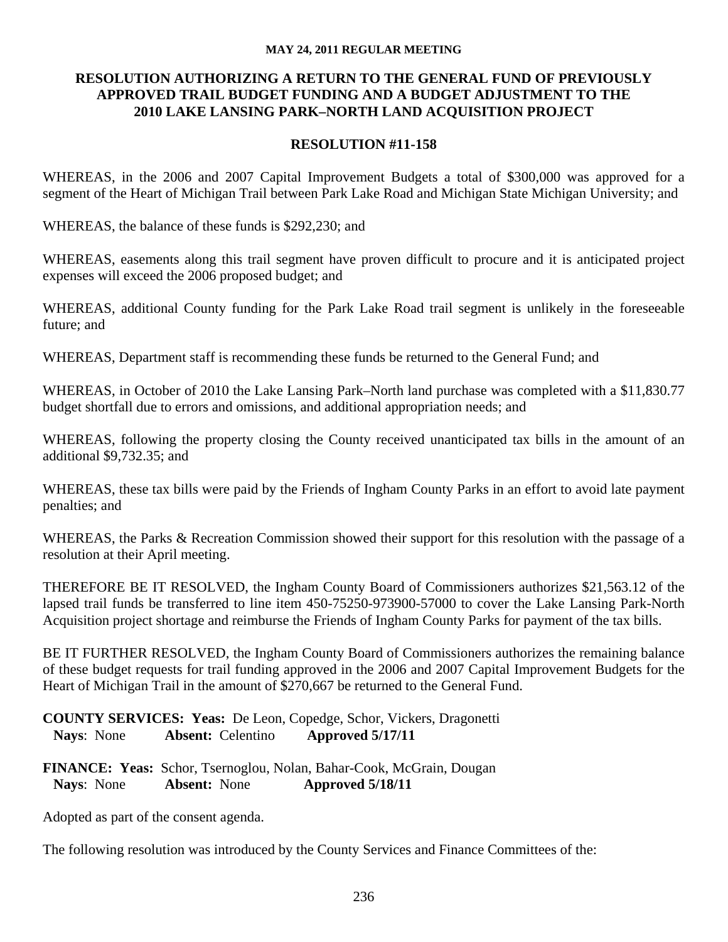## **RESOLUTION AUTHORIZING A RETURN TO THE GENERAL FUND OF PREVIOUSLY APPROVED TRAIL BUDGET FUNDING AND A BUDGET ADJUSTMENT TO THE 2010 LAKE LANSING PARK–NORTH LAND ACQUISITION PROJECT**

## **RESOLUTION #11-158**

WHEREAS, in the 2006 and 2007 Capital Improvement Budgets a total of \$300,000 was approved for a segment of the Heart of Michigan Trail between Park Lake Road and Michigan State Michigan University; and

WHEREAS, the balance of these funds is \$292,230; and

WHEREAS, easements along this trail segment have proven difficult to procure and it is anticipated project expenses will exceed the 2006 proposed budget; and

WHEREAS, additional County funding for the Park Lake Road trail segment is unlikely in the foreseeable future; and

WHEREAS, Department staff is recommending these funds be returned to the General Fund; and

WHEREAS, in October of 2010 the Lake Lansing Park–North land purchase was completed with a \$11,830.77 budget shortfall due to errors and omissions, and additional appropriation needs; and

WHEREAS, following the property closing the County received unanticipated tax bills in the amount of an additional \$9,732.35; and

WHEREAS, these tax bills were paid by the Friends of Ingham County Parks in an effort to avoid late payment penalties; and

WHEREAS, the Parks & Recreation Commission showed their support for this resolution with the passage of a resolution at their April meeting.

THEREFORE BE IT RESOLVED, the Ingham County Board of Commissioners authorizes \$21,563.12 of the lapsed trail funds be transferred to line item 450-75250-973900-57000 to cover the Lake Lansing Park-North Acquisition project shortage and reimburse the Friends of Ingham County Parks for payment of the tax bills.

BE IT FURTHER RESOLVED, the Ingham County Board of Commissioners authorizes the remaining balance of these budget requests for trail funding approved in the 2006 and 2007 Capital Improvement Budgets for the Heart of Michigan Trail in the amount of \$270,667 be returned to the General Fund.

**COUNTY SERVICES: Yeas:** De Leon, Copedge, Schor, Vickers, Dragonetti  **Nays**: None **Absent:** Celentino **Approved 5/17/11**

**FINANCE: Yeas:** Schor, Tsernoglou, Nolan, Bahar-Cook, McGrain, Dougan  **Nays**: None **Absent:** None **Approved 5/18/11**

Adopted as part of the consent agenda.

The following resolution was introduced by the County Services and Finance Committees of the: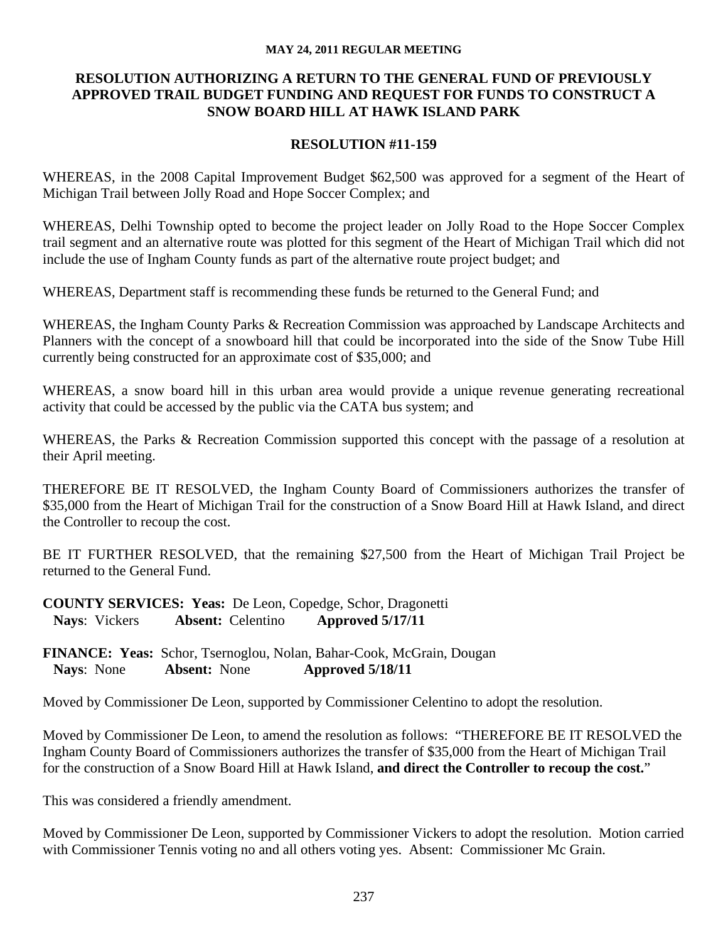## **RESOLUTION AUTHORIZING A RETURN TO THE GENERAL FUND OF PREVIOUSLY APPROVED TRAIL BUDGET FUNDING AND REQUEST FOR FUNDS TO CONSTRUCT A SNOW BOARD HILL AT HAWK ISLAND PARK**

## **RESOLUTION #11-159**

WHEREAS, in the 2008 Capital Improvement Budget \$62,500 was approved for a segment of the Heart of Michigan Trail between Jolly Road and Hope Soccer Complex; and

WHEREAS, Delhi Township opted to become the project leader on Jolly Road to the Hope Soccer Complex trail segment and an alternative route was plotted for this segment of the Heart of Michigan Trail which did not include the use of Ingham County funds as part of the alternative route project budget; and

WHEREAS, Department staff is recommending these funds be returned to the General Fund; and

WHEREAS, the Ingham County Parks & Recreation Commission was approached by Landscape Architects and Planners with the concept of a snowboard hill that could be incorporated into the side of the Snow Tube Hill currently being constructed for an approximate cost of \$35,000; and

WHEREAS, a snow board hill in this urban area would provide a unique revenue generating recreational activity that could be accessed by the public via the CATA bus system; and

WHEREAS, the Parks & Recreation Commission supported this concept with the passage of a resolution at their April meeting.

THEREFORE BE IT RESOLVED, the Ingham County Board of Commissioners authorizes the transfer of \$35,000 from the Heart of Michigan Trail for the construction of a Snow Board Hill at Hawk Island, and direct the Controller to recoup the cost.

BE IT FURTHER RESOLVED, that the remaining \$27,500 from the Heart of Michigan Trail Project be returned to the General Fund.

**COUNTY SERVICES: Yeas:** De Leon, Copedge, Schor, Dragonetti  **Nays**: Vickers **Absent:** Celentino **Approved 5/17/11**

**FINANCE: Yeas:** Schor, Tsernoglou, Nolan, Bahar-Cook, McGrain, Dougan  **Nays**: None **Absent:** None **Approved 5/18/11**

Moved by Commissioner De Leon, supported by Commissioner Celentino to adopt the resolution.

Moved by Commissioner De Leon, to amend the resolution as follows: "THEREFORE BE IT RESOLVED the Ingham County Board of Commissioners authorizes the transfer of \$35,000 from the Heart of Michigan Trail for the construction of a Snow Board Hill at Hawk Island, **and direct the Controller to recoup the cost.**"

This was considered a friendly amendment.

Moved by Commissioner De Leon, supported by Commissioner Vickers to adopt the resolution. Motion carried with Commissioner Tennis voting no and all others voting yes. Absent: Commissioner Mc Grain.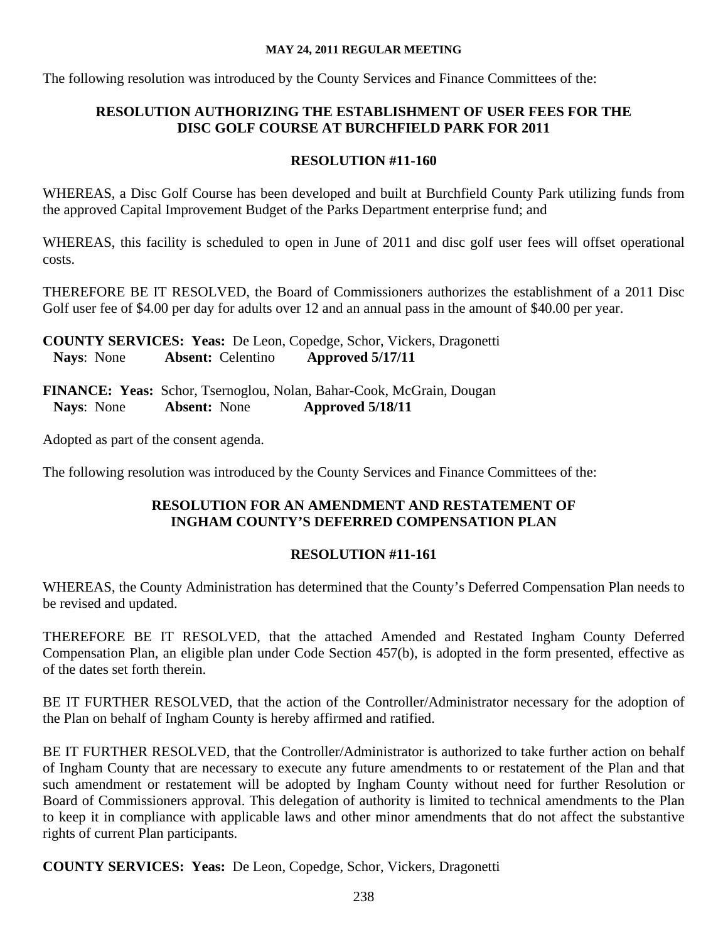The following resolution was introduced by the County Services and Finance Committees of the:

## **RESOLUTION AUTHORIZING THE ESTABLISHMENT OF USER FEES FOR THE DISC GOLF COURSE AT BURCHFIELD PARK FOR 2011**

## **RESOLUTION #11-160**

WHEREAS, a Disc Golf Course has been developed and built at Burchfield County Park utilizing funds from the approved Capital Improvement Budget of the Parks Department enterprise fund; and

WHEREAS, this facility is scheduled to open in June of 2011 and disc golf user fees will offset operational costs.

THEREFORE BE IT RESOLVED, the Board of Commissioners authorizes the establishment of a 2011 Disc Golf user fee of \$4.00 per day for adults over 12 and an annual pass in the amount of \$40.00 per year.

**COUNTY SERVICES: Yeas:** De Leon, Copedge, Schor, Vickers, Dragonetti  **Nays**: None **Absent:** Celentino **Approved 5/17/11**

**FINANCE: Yeas:** Schor, Tsernoglou, Nolan, Bahar-Cook, McGrain, Dougan  **Nays**: None **Absent:** None **Approved 5/18/11**

Adopted as part of the consent agenda.

The following resolution was introduced by the County Services and Finance Committees of the:

## **RESOLUTION FOR AN AMENDMENT AND RESTATEMENT OF INGHAM COUNTY'S DEFERRED COMPENSATION PLAN**

# **RESOLUTION #11-161**

WHEREAS, the County Administration has determined that the County's Deferred Compensation Plan needs to be revised and updated.

THEREFORE BE IT RESOLVED, that the attached Amended and Restated Ingham County Deferred Compensation Plan, an eligible plan under Code Section 457(b), is adopted in the form presented, effective as of the dates set forth therein.

BE IT FURTHER RESOLVED, that the action of the Controller/Administrator necessary for the adoption of the Plan on behalf of Ingham County is hereby affirmed and ratified.

BE IT FURTHER RESOLVED, that the Controller/Administrator is authorized to take further action on behalf of Ingham County that are necessary to execute any future amendments to or restatement of the Plan and that such amendment or restatement will be adopted by Ingham County without need for further Resolution or Board of Commissioners approval. This delegation of authority is limited to technical amendments to the Plan to keep it in compliance with applicable laws and other minor amendments that do not affect the substantive rights of current Plan participants.

**COUNTY SERVICES: Yeas:** De Leon, Copedge, Schor, Vickers, Dragonetti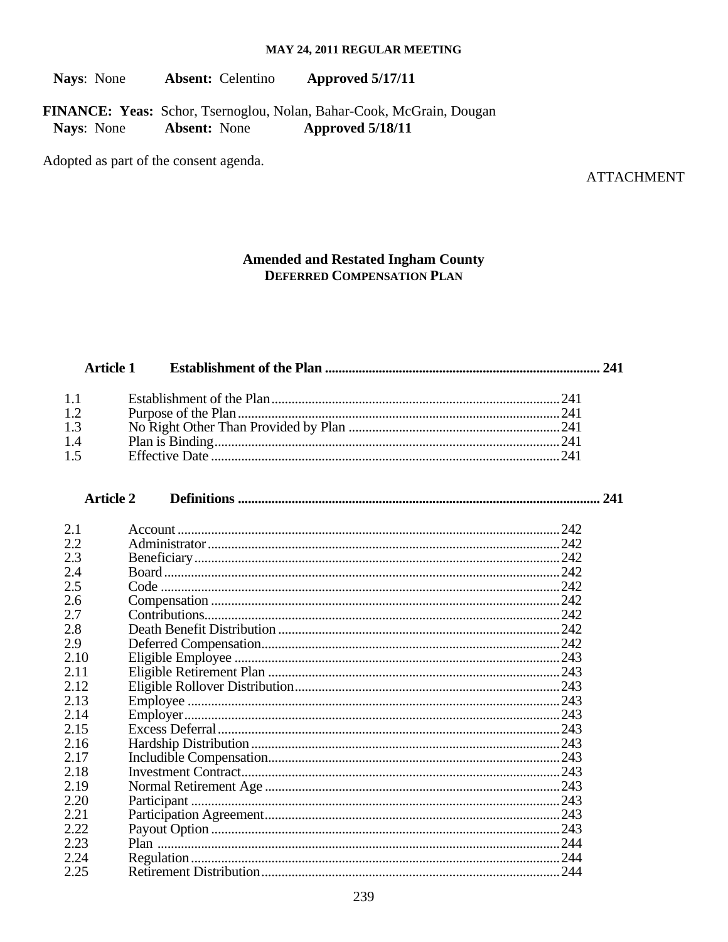Nays: None **Absent:** Celentino **Approved 5/17/11** 

FINANCE: Yeas: Schor, Tsernoglou, Nolan, Bahar-Cook, McGrain, Dougan **Absent: None** Nays: None Approved 5/18/11

Adopted as part of the consent agenda.

**ATTACHMENT** 

#### **Amended and Restated Ingham County DEFERRED COMPENSATION PLAN**

#### **Article 1**

| 1.1 |  |
|-----|--|
| 1.2 |  |
| 1.3 |  |
| 1.4 |  |
| 1.5 |  |

#### **Article 2**

| 2.1  | 242 |
|------|-----|
| 2.2  |     |
| 2.3  |     |
| 2.4  |     |
| 2.5  |     |
| 2.6  |     |
| 2.7  |     |
| 2.8  |     |
| 2.9  |     |
| 2.10 |     |
| 2.11 |     |
| 2.12 |     |
| 2.13 |     |
| 2.14 |     |
| 2.15 |     |
| 2.16 |     |
| 2.17 |     |
| 2.18 |     |
| 2.19 |     |
| 2.20 |     |
| 2.21 |     |
| 2.22 |     |
| 2.23 |     |
| 2.24 |     |
| 2.25 |     |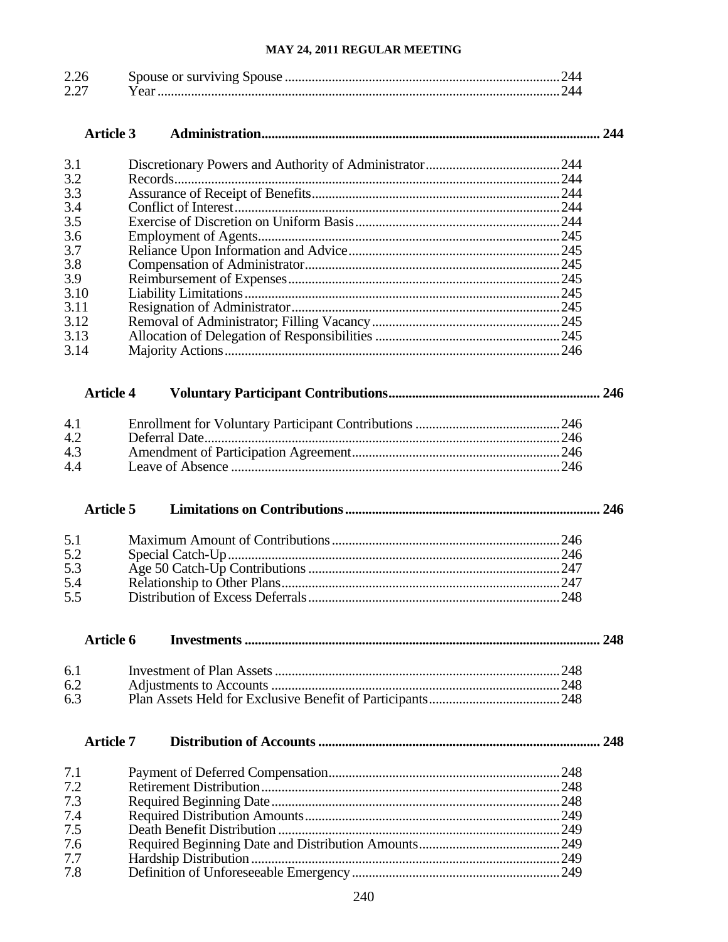| $\sim$ $\sim$<br>2.25 |  |
|-----------------------|--|
| ה ה<br>∠.∠            |  |

|                          | <b>Article 3</b> |               |     |
|--------------------------|------------------|---------------|-----|
| 3.1                      |                  |               |     |
| 3.2                      |                  |               |     |
| 3.3                      |                  |               |     |
| 3.4                      |                  |               |     |
| 3.5                      |                  |               |     |
| 3.6                      |                  |               |     |
| 3.7                      |                  |               |     |
| 3.8                      |                  |               |     |
| 3.9<br>3.10              |                  |               |     |
| 3.11                     |                  |               |     |
| 3.12                     |                  |               |     |
| 3.13                     |                  |               |     |
| 3.14                     |                  |               |     |
|                          | <b>Article 4</b> |               |     |
| 4.1                      |                  |               |     |
| 4.2                      |                  | Deferral Date |     |
| 4.3                      |                  |               |     |
| 4.4                      |                  |               |     |
| 5.1<br>5.2<br>5.3<br>5.4 | <b>Article 5</b> |               |     |
| 5.5                      | <b>Article 6</b> |               | 248 |
| 6.1                      |                  |               |     |
| 6.2                      |                  |               |     |
| 6.3                      |                  |               |     |
|                          | <b>Article 7</b> |               |     |
| 7.1                      |                  |               |     |
| 7.2                      |                  |               |     |
| 7.3                      |                  |               |     |
| 7.4                      |                  |               |     |
| 7.5                      |                  |               |     |
| 7.6                      |                  |               |     |
| 7.7                      |                  |               |     |
| 7.8                      |                  |               |     |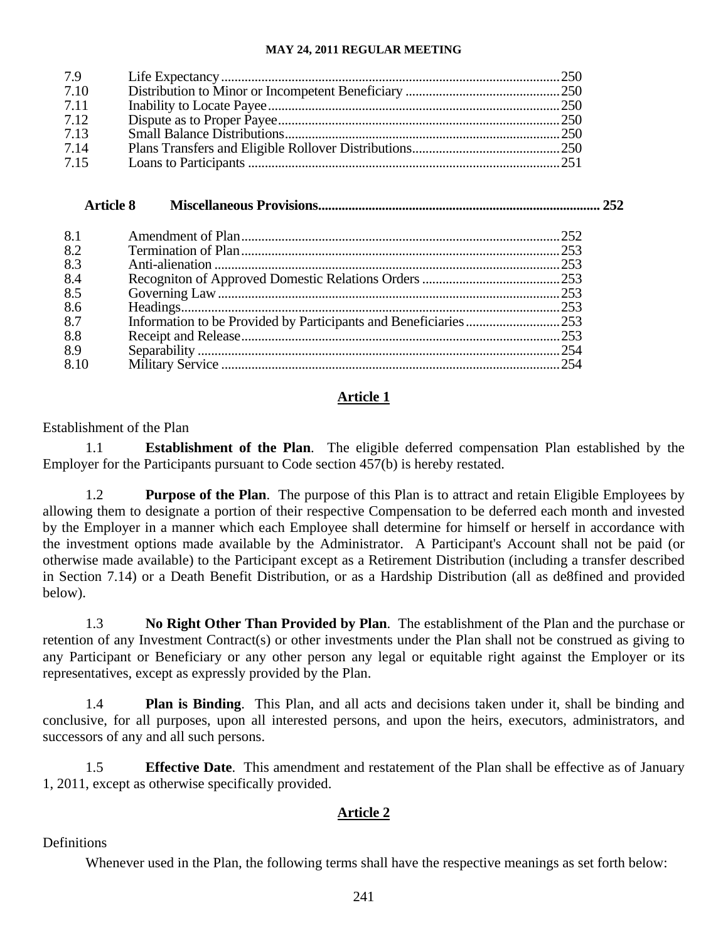| 7.9  |  |
|------|--|
| 7.10 |  |
| 7.11 |  |
| 7.12 |  |
| 7.13 |  |
| 7.14 |  |
| 7.15 |  |

## **Article 8 Miscellaneous Provisions.................................................................................... 252**  8.1 Amendment of Plan...............................................................................................252 8.2 Termination of Plan...............................................................................................253 8.3 Anti-alienation .......................................................................................................253 8.4 Recogniton of Approved Domestic Relations Orders .........................................253 8.5 Governing Law......................................................................................................253 8.6 Headings.................................................................................................................253 8.7 Information to be Provided by Participants and Beneficiaries............................253 8.8 Receipt and Release...............................................................................................253 8.9 Separability ............................................................................................................254 8.10 Military Service .....................................................................................................254

## **Article 1**

## Establishment of the Plan

1.1 **Establishment of the Plan**. The eligible deferred compensation Plan established by the Employer for the Participants pursuant to Code section 457(b) is hereby restated.

1.2 **Purpose of the Plan**. The purpose of this Plan is to attract and retain Eligible Employees by allowing them to designate a portion of their respective Compensation to be deferred each month and invested by the Employer in a manner which each Employee shall determine for himself or herself in accordance with the investment options made available by the Administrator. A Participant's Account shall not be paid (or otherwise made available) to the Participant except as a Retirement Distribution (including a transfer described in Section 7.14) or a Death Benefit Distribution, or as a Hardship Distribution (all as de8fined and provided below).

1.3 **No Right Other Than Provided by Plan**. The establishment of the Plan and the purchase or retention of any Investment Contract(s) or other investments under the Plan shall not be construed as giving to any Participant or Beneficiary or any other person any legal or equitable right against the Employer or its representatives, except as expressly provided by the Plan.

1.4 **Plan is Binding**. This Plan, and all acts and decisions taken under it, shall be binding and conclusive, for all purposes, upon all interested persons, and upon the heirs, executors, administrators, and successors of any and all such persons.

1.5 **Effective Date**. This amendment and restatement of the Plan shall be effective as of January 1, 2011, except as otherwise specifically provided.

## **Article 2**

Definitions

Whenever used in the Plan, the following terms shall have the respective meanings as set forth below: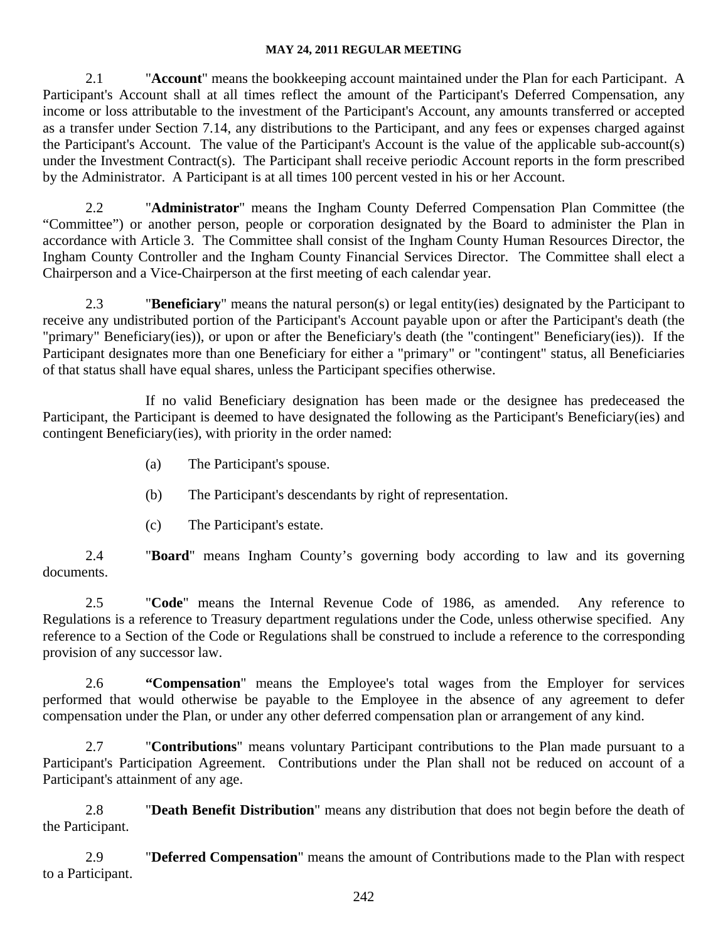2.1 "**Account**" means the bookkeeping account maintained under the Plan for each Participant. A Participant's Account shall at all times reflect the amount of the Participant's Deferred Compensation, any income or loss attributable to the investment of the Participant's Account, any amounts transferred or accepted as a transfer under Section 7.14, any distributions to the Participant, and any fees or expenses charged against the Participant's Account. The value of the Participant's Account is the value of the applicable sub-account(s) under the Investment Contract(s). The Participant shall receive periodic Account reports in the form prescribed by the Administrator. A Participant is at all times 100 percent vested in his or her Account.

2.2 "**Administrator**" means the Ingham County Deferred Compensation Plan Committee (the "Committee") or another person, people or corporation designated by the Board to administer the Plan in accordance with Article 3. The Committee shall consist of the Ingham County Human Resources Director, the Ingham County Controller and the Ingham County Financial Services Director. The Committee shall elect a Chairperson and a Vice-Chairperson at the first meeting of each calendar year.

2.3 "**Beneficiary**" means the natural person(s) or legal entity(ies) designated by the Participant to receive any undistributed portion of the Participant's Account payable upon or after the Participant's death (the "primary" Beneficiary(ies)), or upon or after the Beneficiary's death (the "contingent" Beneficiary(ies)). If the Participant designates more than one Beneficiary for either a "primary" or "contingent" status, all Beneficiaries of that status shall have equal shares, unless the Participant specifies otherwise.

If no valid Beneficiary designation has been made or the designee has predeceased the Participant, the Participant is deemed to have designated the following as the Participant's Beneficiary(ies) and contingent Beneficiary(ies), with priority in the order named:

- (a) The Participant's spouse.
- (b) The Participant's descendants by right of representation.
- (c) The Participant's estate.

2.4 "**Board**" means Ingham County's governing body according to law and its governing documents.

2.5 "**Code**" means the Internal Revenue Code of 1986, as amended. Any reference to Regulations is a reference to Treasury department regulations under the Code, unless otherwise specified. Any reference to a Section of the Code or Regulations shall be construed to include a reference to the corresponding provision of any successor law.

2.6 **"Compensation**" means the Employee's total wages from the Employer for services performed that would otherwise be payable to the Employee in the absence of any agreement to defer compensation under the Plan, or under any other deferred compensation plan or arrangement of any kind.

2.7 "**Contributions**" means voluntary Participant contributions to the Plan made pursuant to a Participant's Participation Agreement. Contributions under the Plan shall not be reduced on account of a Participant's attainment of any age.

2.8 "**Death Benefit Distribution**" means any distribution that does not begin before the death of the Participant.

2.9 "**Deferred Compensation**" means the amount of Contributions made to the Plan with respect to a Participant.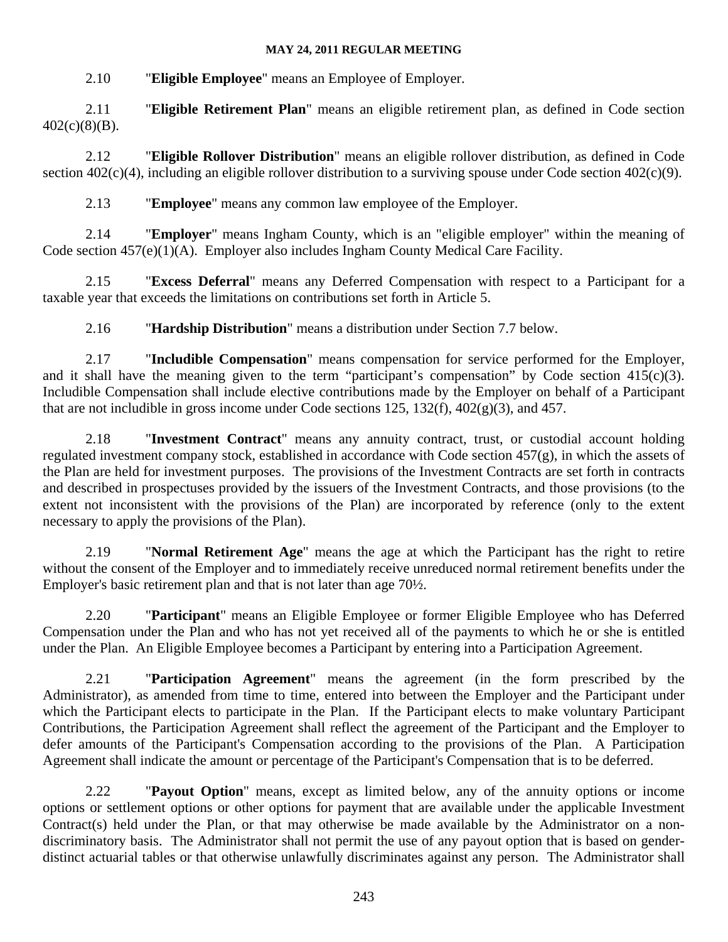2.10 "**Eligible Employee**" means an Employee of Employer.

2.11 "**Eligible Retirement Plan**" means an eligible retirement plan, as defined in Code section  $402(c)(8)(B)$ .

2.12 "**Eligible Rollover Distribution**" means an eligible rollover distribution, as defined in Code section 402(c)(4), including an eligible rollover distribution to a surviving spouse under Code section 402(c)(9).

2.13 "**Employee**" means any common law employee of the Employer.

2.14 "**Employer**" means Ingham County, which is an "eligible employer" within the meaning of Code section 457(e)(1)(A). Employer also includes Ingham County Medical Care Facility.

2.15 "**Excess Deferral**" means any Deferred Compensation with respect to a Participant for a taxable year that exceeds the limitations on contributions set forth in Article 5.

2.16 "**Hardship Distribution**" means a distribution under Section 7.7 below.

2.17 "**Includible Compensation**" means compensation for service performed for the Employer, and it shall have the meaning given to the term "participant's compensation" by Code section  $415(c)(3)$ . Includible Compensation shall include elective contributions made by the Employer on behalf of a Participant that are not includible in gross income under Code sections 125, 132(f), 402(g)(3), and 457.

2.18 "**Investment Contract**" means any annuity contract, trust, or custodial account holding regulated investment company stock, established in accordance with Code section 457(g), in which the assets of the Plan are held for investment purposes. The provisions of the Investment Contracts are set forth in contracts and described in prospectuses provided by the issuers of the Investment Contracts, and those provisions (to the extent not inconsistent with the provisions of the Plan) are incorporated by reference (only to the extent necessary to apply the provisions of the Plan).

2.19 "**Normal Retirement Age**" means the age at which the Participant has the right to retire without the consent of the Employer and to immediately receive unreduced normal retirement benefits under the Employer's basic retirement plan and that is not later than age 70½.

2.20 "**Participant**" means an Eligible Employee or former Eligible Employee who has Deferred Compensation under the Plan and who has not yet received all of the payments to which he or she is entitled under the Plan. An Eligible Employee becomes a Participant by entering into a Participation Agreement.

2.21 "**Participation Agreement**" means the agreement (in the form prescribed by the Administrator), as amended from time to time, entered into between the Employer and the Participant under which the Participant elects to participate in the Plan. If the Participant elects to make voluntary Participant Contributions, the Participation Agreement shall reflect the agreement of the Participant and the Employer to defer amounts of the Participant's Compensation according to the provisions of the Plan. A Participation Agreement shall indicate the amount or percentage of the Participant's Compensation that is to be deferred.

2.22 "**Payout Option**" means, except as limited below, any of the annuity options or income options or settlement options or other options for payment that are available under the applicable Investment Contract(s) held under the Plan, or that may otherwise be made available by the Administrator on a nondiscriminatory basis. The Administrator shall not permit the use of any payout option that is based on genderdistinct actuarial tables or that otherwise unlawfully discriminates against any person. The Administrator shall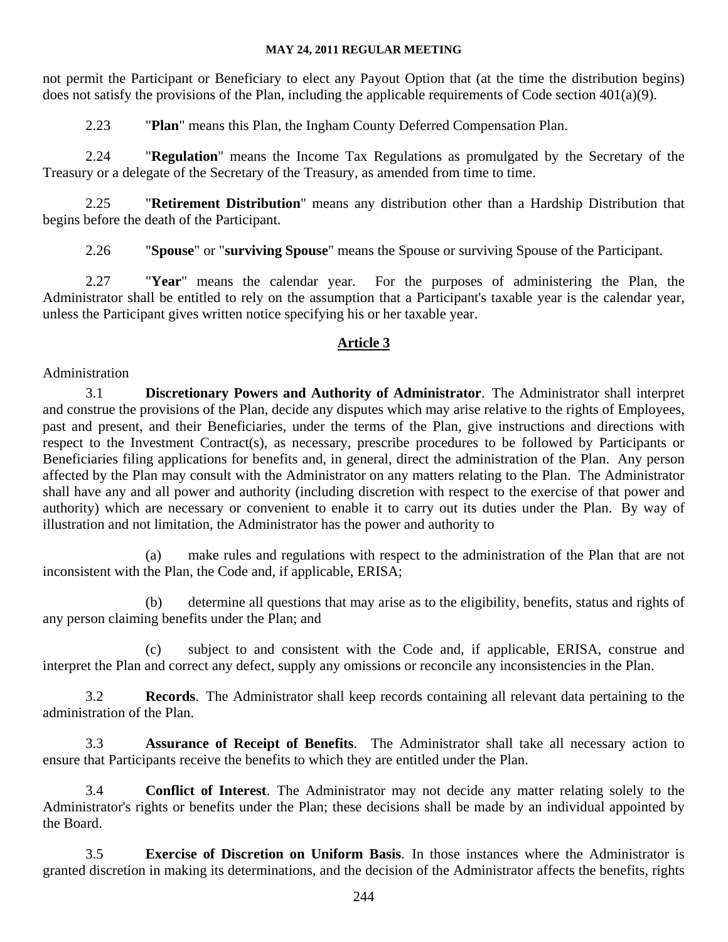not permit the Participant or Beneficiary to elect any Payout Option that (at the time the distribution begins) does not satisfy the provisions of the Plan, including the applicable requirements of Code section  $401(a)(9)$ .

2.23 "**Plan**" means this Plan, the Ingham County Deferred Compensation Plan.

2.24 "**Regulation**" means the Income Tax Regulations as promulgated by the Secretary of the Treasury or a delegate of the Secretary of the Treasury, as amended from time to time.

2.25 "**Retirement Distribution**" means any distribution other than a Hardship Distribution that begins before the death of the Participant.

2.26 "**Spouse**" or "**surviving Spouse**" means the Spouse or surviving Spouse of the Participant.

2.27 "**Year**" means the calendar year. For the purposes of administering the Plan, the Administrator shall be entitled to rely on the assumption that a Participant's taxable year is the calendar year, unless the Participant gives written notice specifying his or her taxable year.

## **Article 3**

#### Administration

3.1 **Discretionary Powers and Authority of Administrator**. The Administrator shall interpret and construe the provisions of the Plan, decide any disputes which may arise relative to the rights of Employees, past and present, and their Beneficiaries, under the terms of the Plan, give instructions and directions with respect to the Investment Contract(s), as necessary, prescribe procedures to be followed by Participants or Beneficiaries filing applications for benefits and, in general, direct the administration of the Plan. Any person affected by the Plan may consult with the Administrator on any matters relating to the Plan. The Administrator shall have any and all power and authority (including discretion with respect to the exercise of that power and authority) which are necessary or convenient to enable it to carry out its duties under the Plan. By way of illustration and not limitation, the Administrator has the power and authority to

(a) make rules and regulations with respect to the administration of the Plan that are not inconsistent with the Plan, the Code and, if applicable, ERISA;

(b) determine all questions that may arise as to the eligibility, benefits, status and rights of any person claiming benefits under the Plan; and

(c) subject to and consistent with the Code and, if applicable, ERISA, construe and interpret the Plan and correct any defect, supply any omissions or reconcile any inconsistencies in the Plan.

3.2 **Records**. The Administrator shall keep records containing all relevant data pertaining to the administration of the Plan.

3.3 **Assurance of Receipt of Benefits**. The Administrator shall take all necessary action to ensure that Participants receive the benefits to which they are entitled under the Plan.

3.4 **Conflict of Interest**. The Administrator may not decide any matter relating solely to the Administrator's rights or benefits under the Plan; these decisions shall be made by an individual appointed by the Board.

3.5 **Exercise of Discretion on Uniform Basis**. In those instances where the Administrator is granted discretion in making its determinations, and the decision of the Administrator affects the benefits, rights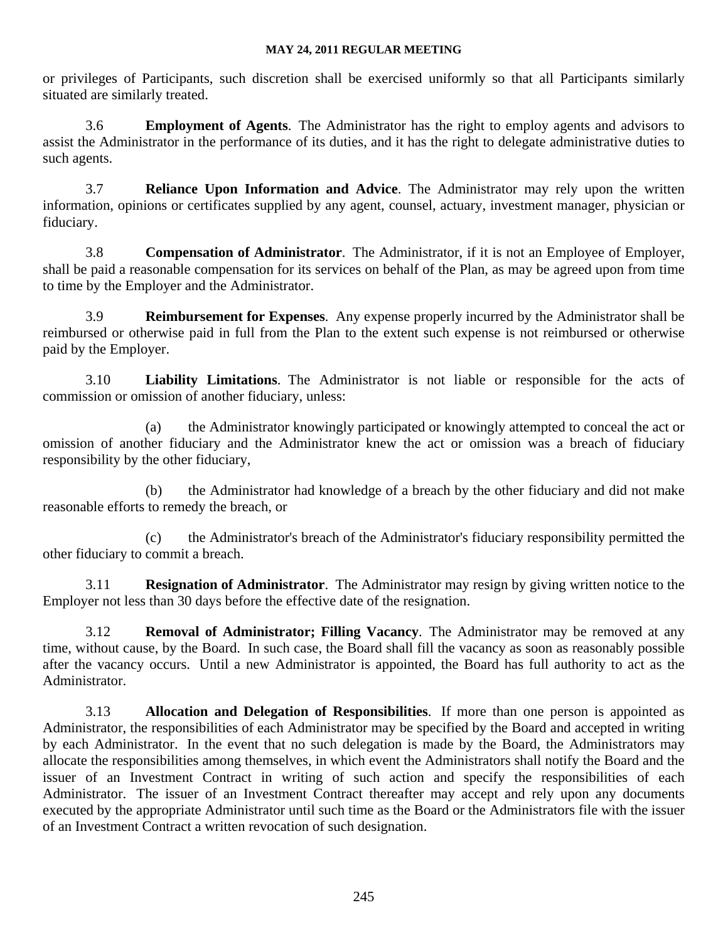or privileges of Participants, such discretion shall be exercised uniformly so that all Participants similarly situated are similarly treated.

3.6 **Employment of Agents**. The Administrator has the right to employ agents and advisors to assist the Administrator in the performance of its duties, and it has the right to delegate administrative duties to such agents.

3.7 **Reliance Upon Information and Advice**. The Administrator may rely upon the written information, opinions or certificates supplied by any agent, counsel, actuary, investment manager, physician or fiduciary.

3.8 **Compensation of Administrator**. The Administrator, if it is not an Employee of Employer, shall be paid a reasonable compensation for its services on behalf of the Plan, as may be agreed upon from time to time by the Employer and the Administrator.

3.9 **Reimbursement for Expenses**. Any expense properly incurred by the Administrator shall be reimbursed or otherwise paid in full from the Plan to the extent such expense is not reimbursed or otherwise paid by the Employer.

3.10 **Liability Limitations**. The Administrator is not liable or responsible for the acts of commission or omission of another fiduciary, unless:

(a) the Administrator knowingly participated or knowingly attempted to conceal the act or omission of another fiduciary and the Administrator knew the act or omission was a breach of fiduciary responsibility by the other fiduciary,

(b) the Administrator had knowledge of a breach by the other fiduciary and did not make reasonable efforts to remedy the breach, or

(c) the Administrator's breach of the Administrator's fiduciary responsibility permitted the other fiduciary to commit a breach.

3.11 **Resignation of Administrator**. The Administrator may resign by giving written notice to the Employer not less than 30 days before the effective date of the resignation.

3.12 **Removal of Administrator; Filling Vacancy**. The Administrator may be removed at any time, without cause, by the Board. In such case, the Board shall fill the vacancy as soon as reasonably possible after the vacancy occurs. Until a new Administrator is appointed, the Board has full authority to act as the Administrator.

3.13 **Allocation and Delegation of Responsibilities**. If more than one person is appointed as Administrator, the responsibilities of each Administrator may be specified by the Board and accepted in writing by each Administrator. In the event that no such delegation is made by the Board, the Administrators may allocate the responsibilities among themselves, in which event the Administrators shall notify the Board and the issuer of an Investment Contract in writing of such action and specify the responsibilities of each Administrator. The issuer of an Investment Contract thereafter may accept and rely upon any documents executed by the appropriate Administrator until such time as the Board or the Administrators file with the issuer of an Investment Contract a written revocation of such designation.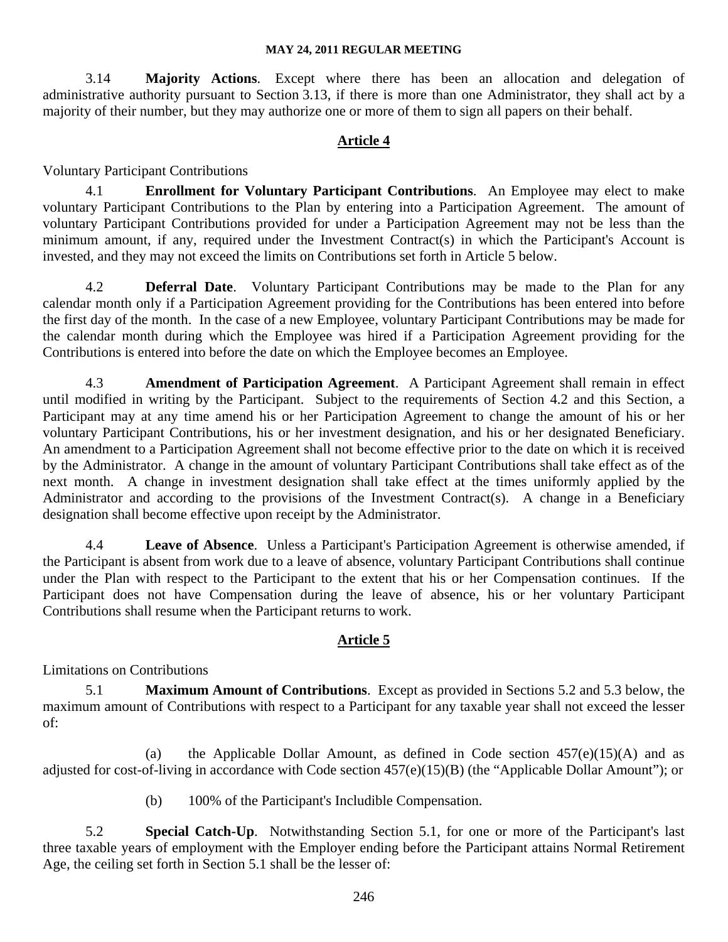3.14 **Majority Actions**. Except where there has been an allocation and delegation of administrative authority pursuant to Section 3.13, if there is more than one Administrator, they shall act by a majority of their number, but they may authorize one or more of them to sign all papers on their behalf.

## **Article 4**

Voluntary Participant Contributions

4.1 **Enrollment for Voluntary Participant Contributions**. An Employee may elect to make voluntary Participant Contributions to the Plan by entering into a Participation Agreement. The amount of voluntary Participant Contributions provided for under a Participation Agreement may not be less than the minimum amount, if any, required under the Investment Contract(s) in which the Participant's Account is invested, and they may not exceed the limits on Contributions set forth in Article 5 below.

4.2 **Deferral Date**. Voluntary Participant Contributions may be made to the Plan for any calendar month only if a Participation Agreement providing for the Contributions has been entered into before the first day of the month. In the case of a new Employee, voluntary Participant Contributions may be made for the calendar month during which the Employee was hired if a Participation Agreement providing for the Contributions is entered into before the date on which the Employee becomes an Employee.

4.3 **Amendment of Participation Agreement**. A Participant Agreement shall remain in effect until modified in writing by the Participant. Subject to the requirements of Section 4.2 and this Section, a Participant may at any time amend his or her Participation Agreement to change the amount of his or her voluntary Participant Contributions, his or her investment designation, and his or her designated Beneficiary. An amendment to a Participation Agreement shall not become effective prior to the date on which it is received by the Administrator. A change in the amount of voluntary Participant Contributions shall take effect as of the next month. A change in investment designation shall take effect at the times uniformly applied by the Administrator and according to the provisions of the Investment Contract(s). A change in a Beneficiary designation shall become effective upon receipt by the Administrator.

4.4 **Leave of Absence**. Unless a Participant's Participation Agreement is otherwise amended, if the Participant is absent from work due to a leave of absence, voluntary Participant Contributions shall continue under the Plan with respect to the Participant to the extent that his or her Compensation continues. If the Participant does not have Compensation during the leave of absence, his or her voluntary Participant Contributions shall resume when the Participant returns to work.

## **Article 5**

Limitations on Contributions

5.1 **Maximum Amount of Contributions**. Except as provided in Sections 5.2 and 5.3 below, the maximum amount of Contributions with respect to a Participant for any taxable year shall not exceed the lesser of:

(a) the Applicable Dollar Amount, as defined in Code section  $457(e)(15)(A)$  and as adjusted for cost-of-living in accordance with Code section 457(e)(15)(B) (the "Applicable Dollar Amount"); or

(b) 100% of the Participant's Includible Compensation.

5.2 **Special Catch-Up**. Notwithstanding Section 5.1, for one or more of the Participant's last three taxable years of employment with the Employer ending before the Participant attains Normal Retirement Age, the ceiling set forth in Section 5.1 shall be the lesser of: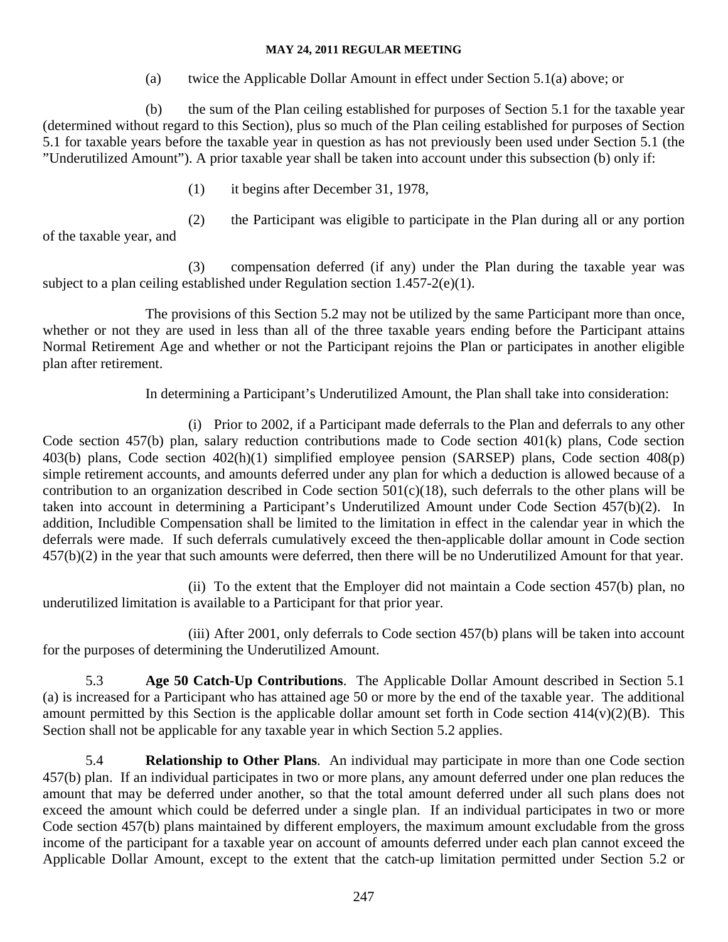(a) twice the Applicable Dollar Amount in effect under Section 5.1(a) above; or

(b) the sum of the Plan ceiling established for purposes of Section 5.1 for the taxable year (determined without regard to this Section), plus so much of the Plan ceiling established for purposes of Section 5.1 for taxable years before the taxable year in question as has not previously been used under Section 5.1 (the "Underutilized Amount"). A prior taxable year shall be taken into account under this subsection (b) only if:

(1) it begins after December 31, 1978,

(2) the Participant was eligible to participate in the Plan during all or any portion

of the taxable year, and

(3) compensation deferred (if any) under the Plan during the taxable year was subject to a plan ceiling established under Regulation section 1.457-2(e)(1).

The provisions of this Section 5.2 may not be utilized by the same Participant more than once, whether or not they are used in less than all of the three taxable years ending before the Participant attains Normal Retirement Age and whether or not the Participant rejoins the Plan or participates in another eligible plan after retirement.

In determining a Participant's Underutilized Amount, the Plan shall take into consideration:

 (i) Prior to 2002, if a Participant made deferrals to the Plan and deferrals to any other Code section 457(b) plan, salary reduction contributions made to Code section 401(k) plans, Code section 403(b) plans, Code section 402(h)(1) simplified employee pension (SARSEP) plans, Code section 408(p) simple retirement accounts, and amounts deferred under any plan for which a deduction is allowed because of a contribution to an organization described in Code section 501(c)(18), such deferrals to the other plans will be taken into account in determining a Participant's Underutilized Amount under Code Section 457(b)(2). In addition, Includible Compensation shall be limited to the limitation in effect in the calendar year in which the deferrals were made. If such deferrals cumulatively exceed the then-applicable dollar amount in Code section 457(b)(2) in the year that such amounts were deferred, then there will be no Underutilized Amount for that year.

 (ii) To the extent that the Employer did not maintain a Code section 457(b) plan, no underutilized limitation is available to a Participant for that prior year.

 (iii) After 2001, only deferrals to Code section 457(b) plans will be taken into account for the purposes of determining the Underutilized Amount.

5.3 **Age 50 Catch-Up Contributions**. The Applicable Dollar Amount described in Section 5.1 (a) is increased for a Participant who has attained age 50 or more by the end of the taxable year. The additional amount permitted by this Section is the applicable dollar amount set forth in Code section 414(v)(2)(B). This Section shall not be applicable for any taxable year in which Section 5.2 applies.

5.4 **Relationship to Other Plans**. An individual may participate in more than one Code section 457(b) plan. If an individual participates in two or more plans, any amount deferred under one plan reduces the amount that may be deferred under another, so that the total amount deferred under all such plans does not exceed the amount which could be deferred under a single plan. If an individual participates in two or more Code section 457(b) plans maintained by different employers, the maximum amount excludable from the gross income of the participant for a taxable year on account of amounts deferred under each plan cannot exceed the Applicable Dollar Amount, except to the extent that the catch-up limitation permitted under Section 5.2 or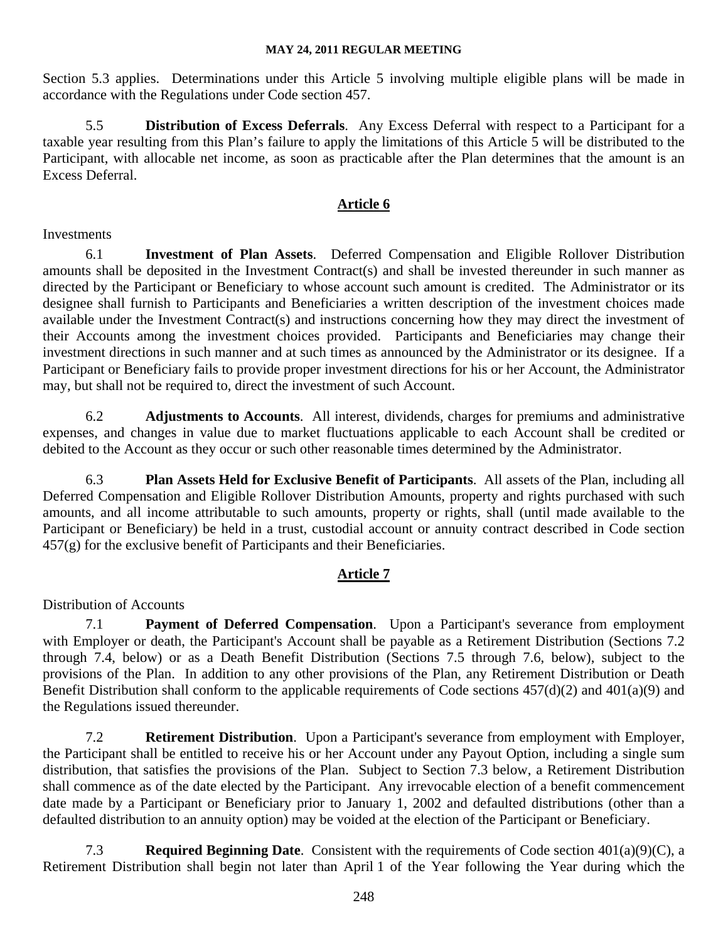Section 5.3 applies. Determinations under this Article 5 involving multiple eligible plans will be made in accordance with the Regulations under Code section 457.

5.5 **Distribution of Excess Deferrals**. Any Excess Deferral with respect to a Participant for a taxable year resulting from this Plan's failure to apply the limitations of this Article 5 will be distributed to the Participant, with allocable net income, as soon as practicable after the Plan determines that the amount is an Excess Deferral.

## **Article 6**

#### Investments

6.1 **Investment of Plan Assets**. Deferred Compensation and Eligible Rollover Distribution amounts shall be deposited in the Investment Contract(s) and shall be invested thereunder in such manner as directed by the Participant or Beneficiary to whose account such amount is credited. The Administrator or its designee shall furnish to Participants and Beneficiaries a written description of the investment choices made available under the Investment Contract(s) and instructions concerning how they may direct the investment of their Accounts among the investment choices provided. Participants and Beneficiaries may change their investment directions in such manner and at such times as announced by the Administrator or its designee. If a Participant or Beneficiary fails to provide proper investment directions for his or her Account, the Administrator may, but shall not be required to, direct the investment of such Account.

6.2 **Adjustments to Accounts**. All interest, dividends, charges for premiums and administrative expenses, and changes in value due to market fluctuations applicable to each Account shall be credited or debited to the Account as they occur or such other reasonable times determined by the Administrator.

6.3 **Plan Assets Held for Exclusive Benefit of Participants**. All assets of the Plan, including all Deferred Compensation and Eligible Rollover Distribution Amounts, property and rights purchased with such amounts, and all income attributable to such amounts, property or rights, shall (until made available to the Participant or Beneficiary) be held in a trust, custodial account or annuity contract described in Code section 457(g) for the exclusive benefit of Participants and their Beneficiaries.

## **Article 7**

## Distribution of Accounts

7.1 **Payment of Deferred Compensation**. Upon a Participant's severance from employment with Employer or death, the Participant's Account shall be payable as a Retirement Distribution (Sections 7.2) through 7.4, below) or as a Death Benefit Distribution (Sections 7.5 through 7.6, below), subject to the provisions of the Plan. In addition to any other provisions of the Plan, any Retirement Distribution or Death Benefit Distribution shall conform to the applicable requirements of Code sections 457(d)(2) and 401(a)(9) and the Regulations issued thereunder.

7.2 **Retirement Distribution**. Upon a Participant's severance from employment with Employer, the Participant shall be entitled to receive his or her Account under any Payout Option, including a single sum distribution, that satisfies the provisions of the Plan. Subject to Section 7.3 below, a Retirement Distribution shall commence as of the date elected by the Participant. Any irrevocable election of a benefit commencement date made by a Participant or Beneficiary prior to January 1, 2002 and defaulted distributions (other than a defaulted distribution to an annuity option) may be voided at the election of the Participant or Beneficiary.

7.3 **Required Beginning Date**. Consistent with the requirements of Code section 401(a)(9)(C), a Retirement Distribution shall begin not later than April 1 of the Year following the Year during which the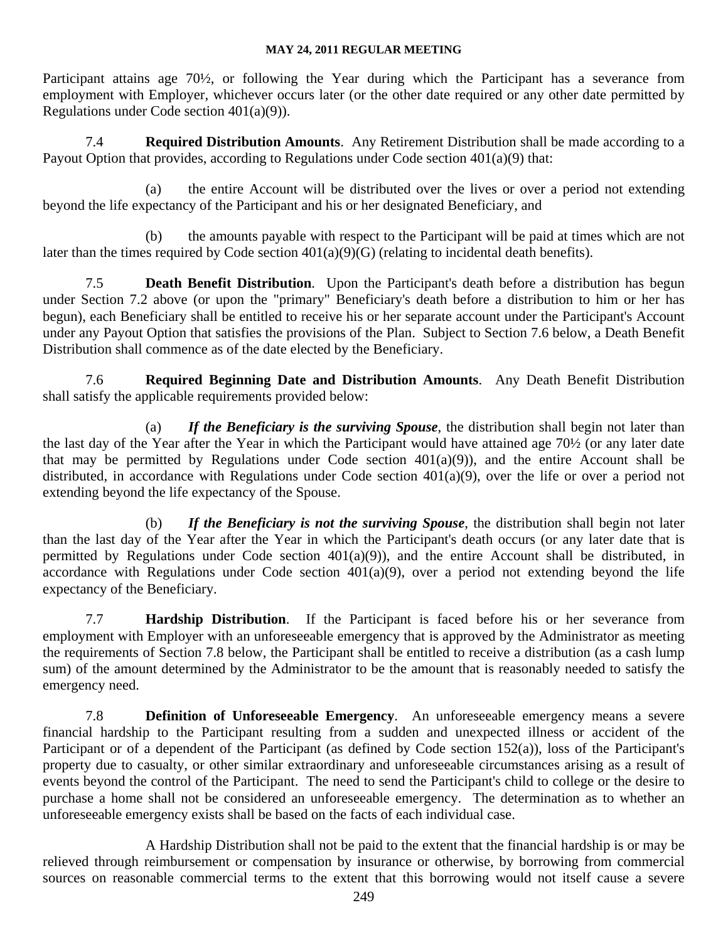Participant attains age 70½, or following the Year during which the Participant has a severance from employment with Employer, whichever occurs later (or the other date required or any other date permitted by Regulations under Code section 401(a)(9)).

7.4 **Required Distribution Amounts**. Any Retirement Distribution shall be made according to a Payout Option that provides, according to Regulations under Code section 401(a)(9) that:

(a) the entire Account will be distributed over the lives or over a period not extending beyond the life expectancy of the Participant and his or her designated Beneficiary, and

(b) the amounts payable with respect to the Participant will be paid at times which are not later than the times required by Code section 401(a)(9)(G) (relating to incidental death benefits).

7.5 **Death Benefit Distribution**. Upon the Participant's death before a distribution has begun under Section 7.2 above (or upon the "primary" Beneficiary's death before a distribution to him or her has begun), each Beneficiary shall be entitled to receive his or her separate account under the Participant's Account under any Payout Option that satisfies the provisions of the Plan. Subject to Section 7.6 below, a Death Benefit Distribution shall commence as of the date elected by the Beneficiary.

7.6 **Required Beginning Date and Distribution Amounts**. Any Death Benefit Distribution shall satisfy the applicable requirements provided below:

(a) *If the Beneficiary is the surviving Spouse*, the distribution shall begin not later than the last day of the Year after the Year in which the Participant would have attained age 70½ (or any later date that may be permitted by Regulations under Code section  $401(a)(9)$ , and the entire Account shall be distributed, in accordance with Regulations under Code section 401(a)(9), over the life or over a period not extending beyond the life expectancy of the Spouse.

(b) *If the Beneficiary is not the surviving Spouse*, the distribution shall begin not later than the last day of the Year after the Year in which the Participant's death occurs (or any later date that is permitted by Regulations under Code section 401(a)(9)), and the entire Account shall be distributed, in accordance with Regulations under Code section  $401(a)(9)$ , over a period not extending beyond the life expectancy of the Beneficiary.

7.7 **Hardship Distribution**. If the Participant is faced before his or her severance from employment with Employer with an unforeseeable emergency that is approved by the Administrator as meeting the requirements of Section 7.8 below, the Participant shall be entitled to receive a distribution (as a cash lump sum) of the amount determined by the Administrator to be the amount that is reasonably needed to satisfy the emergency need.

7.8 **Definition of Unforeseeable Emergency**. An unforeseeable emergency means a severe financial hardship to the Participant resulting from a sudden and unexpected illness or accident of the Participant or of a dependent of the Participant (as defined by Code section 152(a)), loss of the Participant's property due to casualty, or other similar extraordinary and unforeseeable circumstances arising as a result of events beyond the control of the Participant. The need to send the Participant's child to college or the desire to purchase a home shall not be considered an unforeseeable emergency. The determination as to whether an unforeseeable emergency exists shall be based on the facts of each individual case.

A Hardship Distribution shall not be paid to the extent that the financial hardship is or may be relieved through reimbursement or compensation by insurance or otherwise, by borrowing from commercial sources on reasonable commercial terms to the extent that this borrowing would not itself cause a severe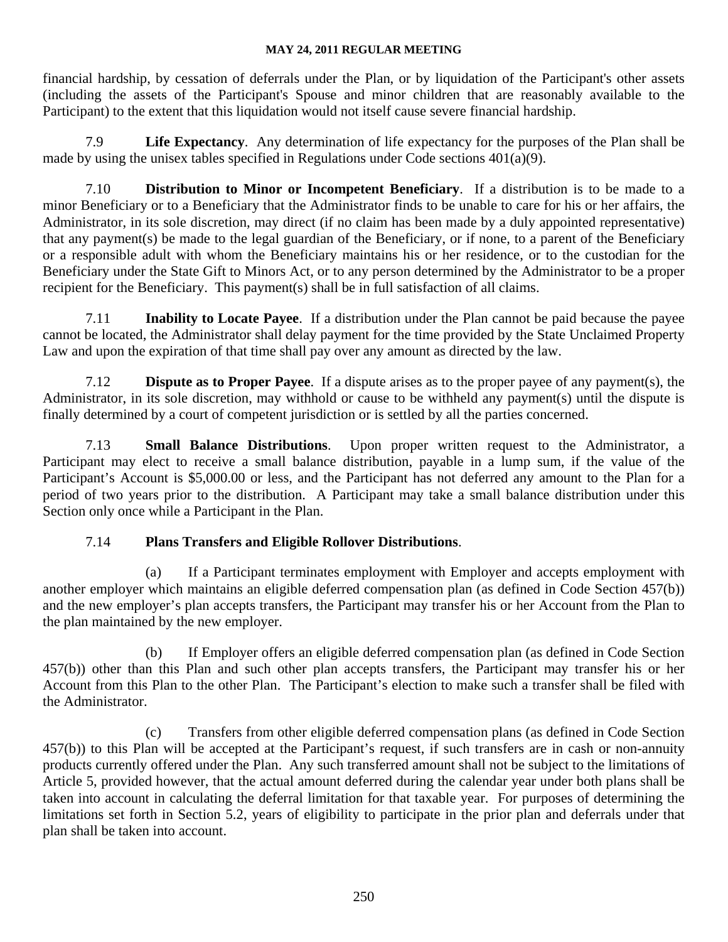financial hardship, by cessation of deferrals under the Plan, or by liquidation of the Participant's other assets (including the assets of the Participant's Spouse and minor children that are reasonably available to the Participant) to the extent that this liquidation would not itself cause severe financial hardship.

7.9 **Life Expectancy**. Any determination of life expectancy for the purposes of the Plan shall be made by using the unisex tables specified in Regulations under Code sections 401(a)(9).

7.10 **Distribution to Minor or Incompetent Beneficiary**. If a distribution is to be made to a minor Beneficiary or to a Beneficiary that the Administrator finds to be unable to care for his or her affairs, the Administrator, in its sole discretion, may direct (if no claim has been made by a duly appointed representative) that any payment(s) be made to the legal guardian of the Beneficiary, or if none, to a parent of the Beneficiary or a responsible adult with whom the Beneficiary maintains his or her residence, or to the custodian for the Beneficiary under the State Gift to Minors Act, or to any person determined by the Administrator to be a proper recipient for the Beneficiary. This payment(s) shall be in full satisfaction of all claims.

7.11 **Inability to Locate Payee**. If a distribution under the Plan cannot be paid because the payee cannot be located, the Administrator shall delay payment for the time provided by the State Unclaimed Property Law and upon the expiration of that time shall pay over any amount as directed by the law.

7.12 **Dispute as to Proper Payee**. If a dispute arises as to the proper payee of any payment(s), the Administrator, in its sole discretion, may withhold or cause to be withheld any payment(s) until the dispute is finally determined by a court of competent jurisdiction or is settled by all the parties concerned.

7.13 **Small Balance Distributions**. Upon proper written request to the Administrator, a Participant may elect to receive a small balance distribution, payable in a lump sum, if the value of the Participant's Account is \$5,000.00 or less, and the Participant has not deferred any amount to the Plan for a period of two years prior to the distribution. A Participant may take a small balance distribution under this Section only once while a Participant in the Plan.

## 7.14 **Plans Transfers and Eligible Rollover Distributions**.

(a) If a Participant terminates employment with Employer and accepts employment with another employer which maintains an eligible deferred compensation plan (as defined in Code Section 457(b)) and the new employer's plan accepts transfers, the Participant may transfer his or her Account from the Plan to the plan maintained by the new employer.

(b) If Employer offers an eligible deferred compensation plan (as defined in Code Section 457(b)) other than this Plan and such other plan accepts transfers, the Participant may transfer his or her Account from this Plan to the other Plan. The Participant's election to make such a transfer shall be filed with the Administrator.

(c) Transfers from other eligible deferred compensation plans (as defined in Code Section 457(b)) to this Plan will be accepted at the Participant's request, if such transfers are in cash or non-annuity products currently offered under the Plan. Any such transferred amount shall not be subject to the limitations of Article 5, provided however, that the actual amount deferred during the calendar year under both plans shall be taken into account in calculating the deferral limitation for that taxable year. For purposes of determining the limitations set forth in Section 5.2, years of eligibility to participate in the prior plan and deferrals under that plan shall be taken into account.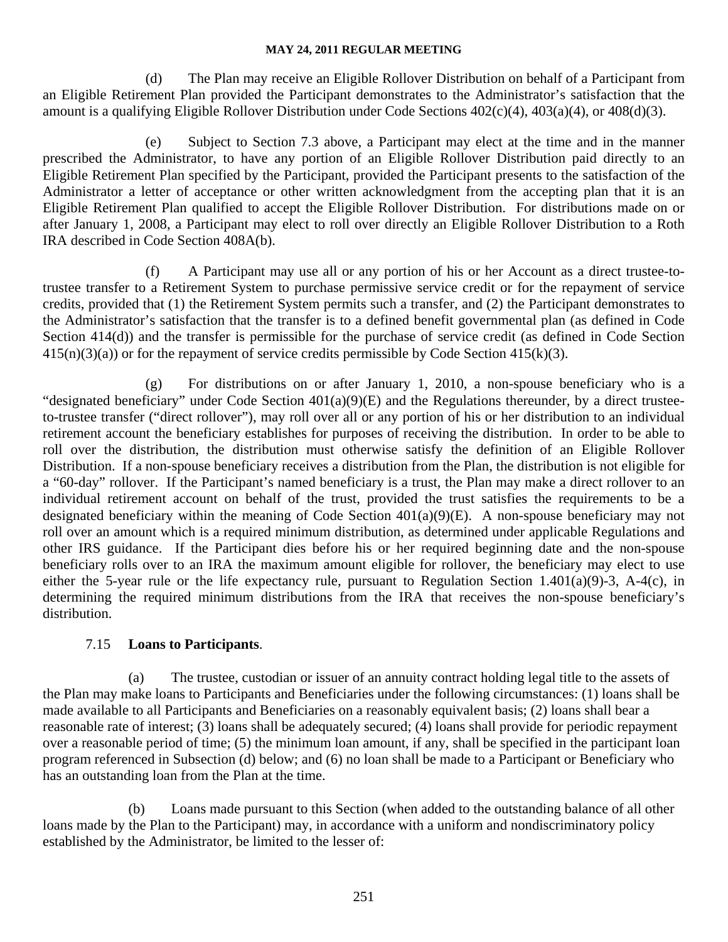(d) The Plan may receive an Eligible Rollover Distribution on behalf of a Participant from an Eligible Retirement Plan provided the Participant demonstrates to the Administrator's satisfaction that the amount is a qualifying Eligible Rollover Distribution under Code Sections 402(c)(4), 403(a)(4), or 408(d)(3).

(e) Subject to Section 7.3 above, a Participant may elect at the time and in the manner prescribed the Administrator, to have any portion of an Eligible Rollover Distribution paid directly to an Eligible Retirement Plan specified by the Participant, provided the Participant presents to the satisfaction of the Administrator a letter of acceptance or other written acknowledgment from the accepting plan that it is an Eligible Retirement Plan qualified to accept the Eligible Rollover Distribution. For distributions made on or after January 1, 2008, a Participant may elect to roll over directly an Eligible Rollover Distribution to a Roth IRA described in Code Section 408A(b).

(f) A Participant may use all or any portion of his or her Account as a direct trustee-totrustee transfer to a Retirement System to purchase permissive service credit or for the repayment of service credits, provided that (1) the Retirement System permits such a transfer, and (2) the Participant demonstrates to the Administrator's satisfaction that the transfer is to a defined benefit governmental plan (as defined in Code Section 414(d)) and the transfer is permissible for the purchase of service credit (as defined in Code Section  $415(n)(3)(a)$  or for the repayment of service credits permissible by Code Section 415(k)(3).

(g) For distributions on or after January 1, 2010, a non-spouse beneficiary who is a "designated beneficiary" under Code Section 401(a)(9)(E) and the Regulations thereunder, by a direct trusteeto-trustee transfer ("direct rollover"), may roll over all or any portion of his or her distribution to an individual retirement account the beneficiary establishes for purposes of receiving the distribution. In order to be able to roll over the distribution, the distribution must otherwise satisfy the definition of an Eligible Rollover Distribution. If a non-spouse beneficiary receives a distribution from the Plan, the distribution is not eligible for a "60-day" rollover. If the Participant's named beneficiary is a trust, the Plan may make a direct rollover to an individual retirement account on behalf of the trust, provided the trust satisfies the requirements to be a designated beneficiary within the meaning of Code Section 401(a)(9)(E). A non-spouse beneficiary may not roll over an amount which is a required minimum distribution, as determined under applicable Regulations and other IRS guidance. If the Participant dies before his or her required beginning date and the non-spouse beneficiary rolls over to an IRA the maximum amount eligible for rollover, the beneficiary may elect to use either the 5-year rule or the life expectancy rule, pursuant to Regulation Section 1.401(a)(9)-3, A-4(c), in determining the required minimum distributions from the IRA that receives the non-spouse beneficiary's distribution.

## 7.15 **Loans to Participants**.

(a) The trustee, custodian or issuer of an annuity contract holding legal title to the assets of the Plan may make loans to Participants and Beneficiaries under the following circumstances: (1) loans shall be made available to all Participants and Beneficiaries on a reasonably equivalent basis; (2) loans shall bear a reasonable rate of interest; (3) loans shall be adequately secured; (4) loans shall provide for periodic repayment over a reasonable period of time; (5) the minimum loan amount, if any, shall be specified in the participant loan program referenced in Subsection (d) below; and (6) no loan shall be made to a Participant or Beneficiary who has an outstanding loan from the Plan at the time.

(b) Loans made pursuant to this Section (when added to the outstanding balance of all other loans made by the Plan to the Participant) may, in accordance with a uniform and nondiscriminatory policy established by the Administrator, be limited to the lesser of: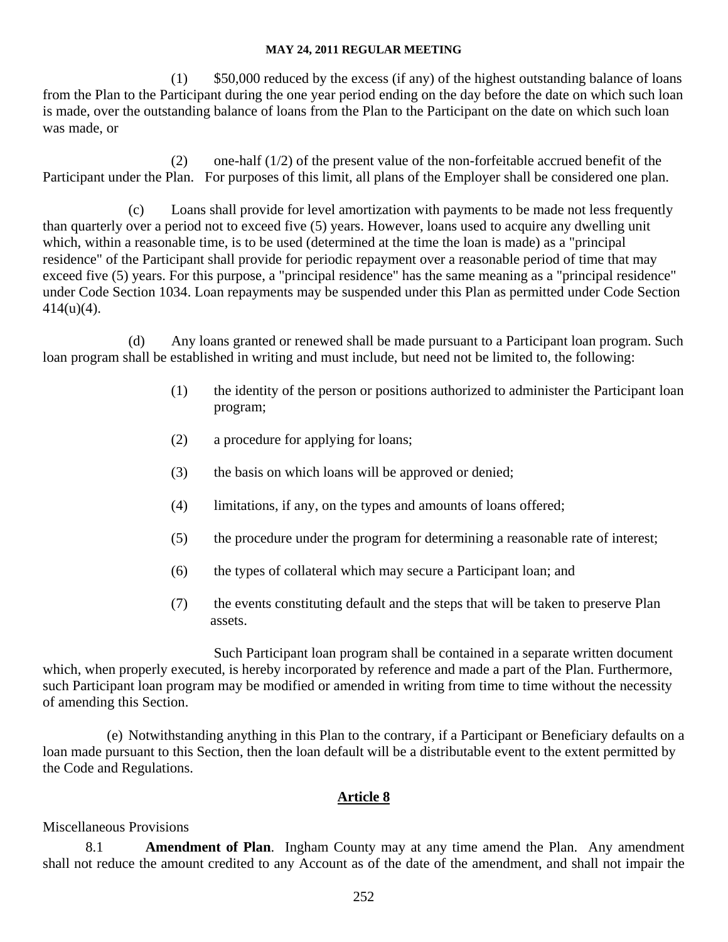(1) \$50,000 reduced by the excess (if any) of the highest outstanding balance of loans from the Plan to the Participant during the one year period ending on the day before the date on which such loan is made, over the outstanding balance of loans from the Plan to the Participant on the date on which such loan was made, or

(2) one-half (1/2) of the present value of the non-forfeitable accrued benefit of the Participant under the Plan. For purposes of this limit, all plans of the Employer shall be considered one plan.

(c) Loans shall provide for level amortization with payments to be made not less frequently than quarterly over a period not to exceed five (5) years. However, loans used to acquire any dwelling unit which, within a reasonable time, is to be used (determined at the time the loan is made) as a "principal residence" of the Participant shall provide for periodic repayment over a reasonable period of time that may exceed five (5) years. For this purpose, a "principal residence" has the same meaning as a "principal residence" under Code Section 1034. Loan repayments may be suspended under this Plan as permitted under Code Section 414(u)(4).

(d) Any loans granted or renewed shall be made pursuant to a Participant loan program. Such loan program shall be established in writing and must include, but need not be limited to, the following:

- (1) the identity of the person or positions authorized to administer the Participant loan program;
- (2) a procedure for applying for loans;
- (3) the basis on which loans will be approved or denied;
- (4) limitations, if any, on the types and amounts of loans offered;
- (5) the procedure under the program for determining a reasonable rate of interest;
- (6) the types of collateral which may secure a Participant loan; and
- (7) the events constituting default and the steps that will be taken to preserve Plan assets.

 Such Participant loan program shall be contained in a separate written document which, when properly executed, is hereby incorporated by reference and made a part of the Plan. Furthermore, such Participant loan program may be modified or amended in writing from time to time without the necessity of amending this Section.

 (e) Notwithstanding anything in this Plan to the contrary, if a Participant or Beneficiary defaults on a loan made pursuant to this Section, then the loan default will be a distributable event to the extent permitted by the Code and Regulations.

## **Article 8**

## Miscellaneous Provisions

8.1 **Amendment of Plan**. Ingham County may at any time amend the Plan. Any amendment shall not reduce the amount credited to any Account as of the date of the amendment, and shall not impair the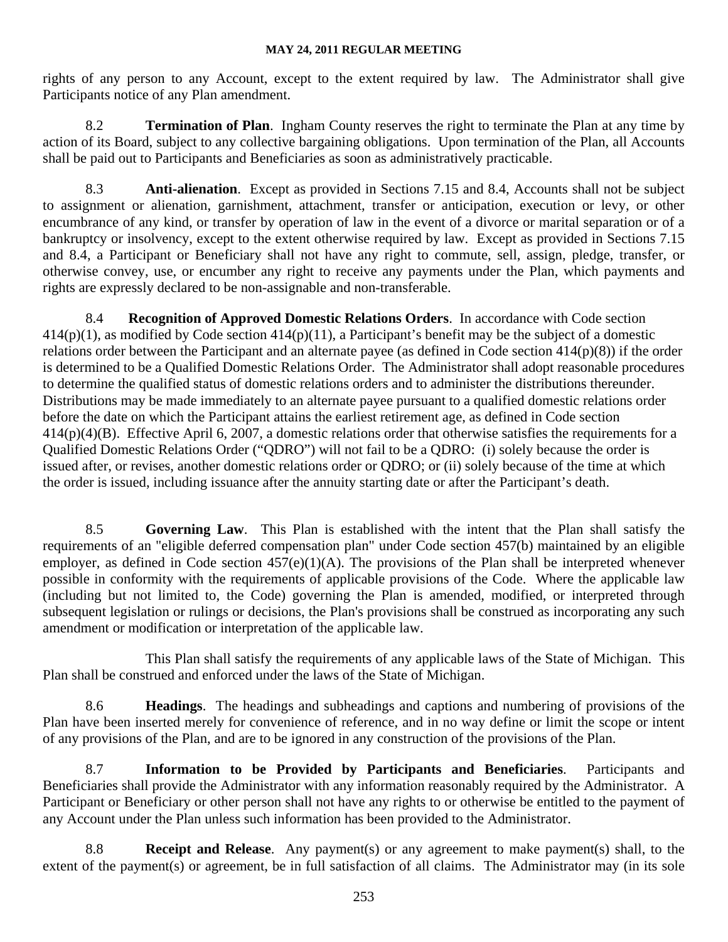rights of any person to any Account, except to the extent required by law. The Administrator shall give Participants notice of any Plan amendment.

8.2 **Termination of Plan**. Ingham County reserves the right to terminate the Plan at any time by action of its Board, subject to any collective bargaining obligations. Upon termination of the Plan, all Accounts shall be paid out to Participants and Beneficiaries as soon as administratively practicable.

8.3 **Anti-alienation**. Except as provided in Sections 7.15 and 8.4, Accounts shall not be subject to assignment or alienation, garnishment, attachment, transfer or anticipation, execution or levy, or other encumbrance of any kind, or transfer by operation of law in the event of a divorce or marital separation or of a bankruptcy or insolvency, except to the extent otherwise required by law. Except as provided in Sections 7.15 and 8.4, a Participant or Beneficiary shall not have any right to commute, sell, assign, pledge, transfer, or otherwise convey, use, or encumber any right to receive any payments under the Plan, which payments and rights are expressly declared to be non-assignable and non-transferable.

8.4 **Recognition of Approved Domestic Relations Orders**. In accordance with Code section  $414(p)(1)$ , as modified by Code section  $414(p)(11)$ , a Participant's benefit may be the subject of a domestic relations order between the Participant and an alternate payee (as defined in Code section 414(p)(8)) if the order is determined to be a Qualified Domestic Relations Order. The Administrator shall adopt reasonable procedures to determine the qualified status of domestic relations orders and to administer the distributions thereunder. Distributions may be made immediately to an alternate payee pursuant to a qualified domestic relations order before the date on which the Participant attains the earliest retirement age, as defined in Code section 414(p)(4)(B). Effective April 6, 2007, a domestic relations order that otherwise satisfies the requirements for a Qualified Domestic Relations Order ("QDRO") will not fail to be a QDRO: (i) solely because the order is issued after, or revises, another domestic relations order or QDRO; or (ii) solely because of the time at which the order is issued, including issuance after the annuity starting date or after the Participant's death.

8.5 **Governing Law**. This Plan is established with the intent that the Plan shall satisfy the requirements of an "eligible deferred compensation plan" under Code section 457(b) maintained by an eligible employer, as defined in Code section  $457(e)(1)(A)$ . The provisions of the Plan shall be interpreted whenever possible in conformity with the requirements of applicable provisions of the Code. Where the applicable law (including but not limited to, the Code) governing the Plan is amended, modified, or interpreted through subsequent legislation or rulings or decisions, the Plan's provisions shall be construed as incorporating any such amendment or modification or interpretation of the applicable law.

This Plan shall satisfy the requirements of any applicable laws of the State of Michigan. This Plan shall be construed and enforced under the laws of the State of Michigan.

8.6 **Headings**. The headings and subheadings and captions and numbering of provisions of the Plan have been inserted merely for convenience of reference, and in no way define or limit the scope or intent of any provisions of the Plan, and are to be ignored in any construction of the provisions of the Plan.

8.7 **Information to be Provided by Participants and Beneficiaries**. Participants and Beneficiaries shall provide the Administrator with any information reasonably required by the Administrator. A Participant or Beneficiary or other person shall not have any rights to or otherwise be entitled to the payment of any Account under the Plan unless such information has been provided to the Administrator.

8.8 **Receipt and Release**. Any payment(s) or any agreement to make payment(s) shall, to the extent of the payment(s) or agreement, be in full satisfaction of all claims. The Administrator may (in its sole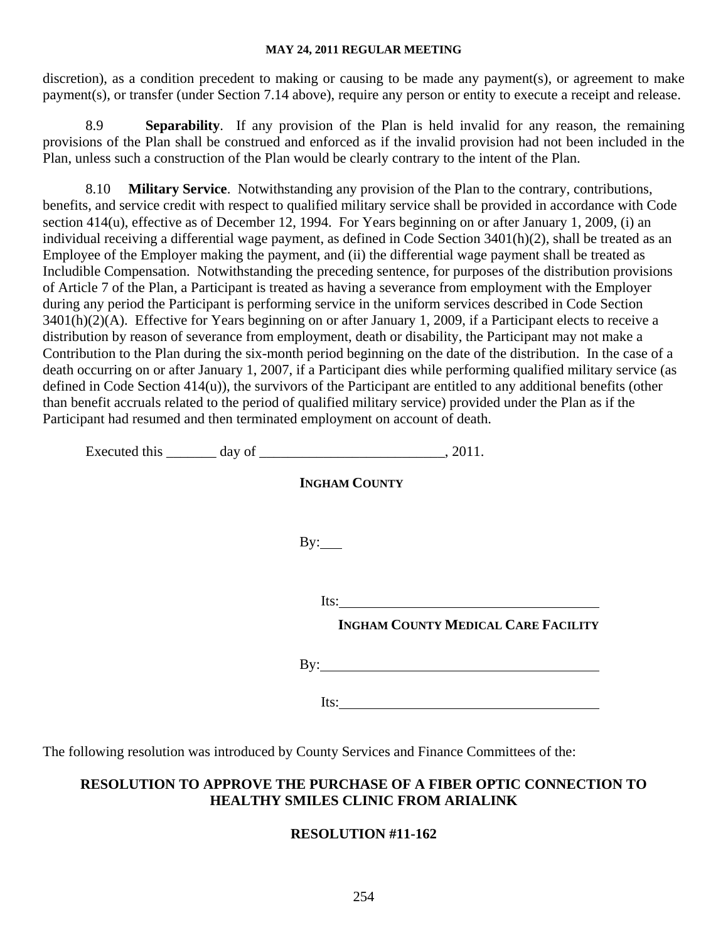discretion), as a condition precedent to making or causing to be made any payment(s), or agreement to make payment(s), or transfer (under Section 7.14 above), require any person or entity to execute a receipt and release.

8.9 **Separability**. If any provision of the Plan is held invalid for any reason, the remaining provisions of the Plan shall be construed and enforced as if the invalid provision had not been included in the Plan, unless such a construction of the Plan would be clearly contrary to the intent of the Plan.

8.10 **Military Service**. Notwithstanding any provision of the Plan to the contrary, contributions, benefits, and service credit with respect to qualified military service shall be provided in accordance with Code section 414(u), effective as of December 12, 1994. For Years beginning on or after January 1, 2009, (i) an individual receiving a differential wage payment, as defined in Code Section 3401(h)(2), shall be treated as an Employee of the Employer making the payment, and (ii) the differential wage payment shall be treated as Includible Compensation. Notwithstanding the preceding sentence, for purposes of the distribution provisions of Article 7 of the Plan, a Participant is treated as having a severance from employment with the Employer during any period the Participant is performing service in the uniform services described in Code Section 3401(h)(2)(A). Effective for Years beginning on or after January 1, 2009, if a Participant elects to receive a distribution by reason of severance from employment, death or disability, the Participant may not make a Contribution to the Plan during the six-month period beginning on the date of the distribution. In the case of a death occurring on or after January 1, 2007, if a Participant dies while performing qualified military service (as defined in Code Section 414(u)), the survivors of the Participant are entitled to any additional benefits (other than benefit accruals related to the period of qualified military service) provided under the Plan as if the Participant had resumed and then terminated employment on account of death.

Executed this day of 2011.

 **INGHAM COUNTY** By: Its:  **INGHAM COUNTY MEDICAL CARE FACILITY** By:

Its:

The following resolution was introduced by County Services and Finance Committees of the:

## **RESOLUTION TO APPROVE THE PURCHASE OF A FIBER OPTIC CONNECTION TO HEALTHY SMILES CLINIC FROM ARIALINK**

## **RESOLUTION #11-162**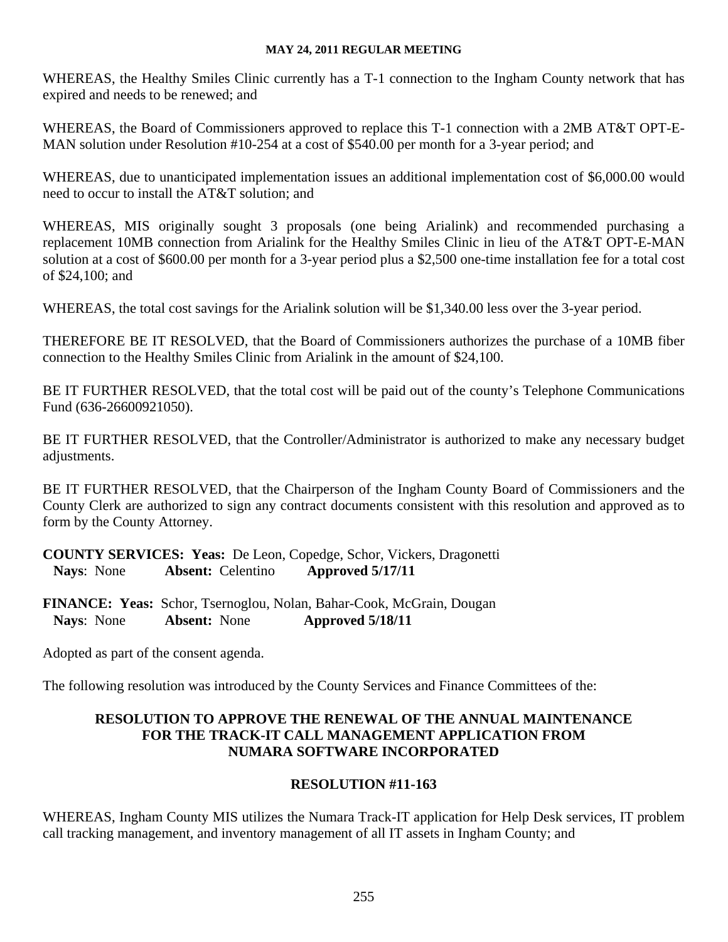WHEREAS, the Healthy Smiles Clinic currently has a T-1 connection to the Ingham County network that has expired and needs to be renewed; and

WHEREAS, the Board of Commissioners approved to replace this T-1 connection with a 2MB AT&T OPT-E-MAN solution under Resolution #10-254 at a cost of \$540.00 per month for a 3-year period; and

WHEREAS, due to unanticipated implementation issues an additional implementation cost of \$6,000.00 would need to occur to install the AT&T solution; and

WHEREAS, MIS originally sought 3 proposals (one being Arialink) and recommended purchasing a replacement 10MB connection from Arialink for the Healthy Smiles Clinic in lieu of the AT&T OPT-E-MAN solution at a cost of \$600.00 per month for a 3-year period plus a \$2,500 one-time installation fee for a total cost of \$24,100; and

WHEREAS, the total cost savings for the Arialink solution will be \$1,340.00 less over the 3-year period.

THEREFORE BE IT RESOLVED, that the Board of Commissioners authorizes the purchase of a 10MB fiber connection to the Healthy Smiles Clinic from Arialink in the amount of \$24,100.

BE IT FURTHER RESOLVED, that the total cost will be paid out of the county's Telephone Communications Fund (636-26600921050).

BE IT FURTHER RESOLVED, that the Controller/Administrator is authorized to make any necessary budget adjustments.

BE IT FURTHER RESOLVED, that the Chairperson of the Ingham County Board of Commissioners and the County Clerk are authorized to sign any contract documents consistent with this resolution and approved as to form by the County Attorney.

**COUNTY SERVICES: Yeas:** De Leon, Copedge, Schor, Vickers, Dragonetti  **Nays**: None **Absent:** Celentino **Approved 5/17/11**

**FINANCE: Yeas:** Schor, Tsernoglou, Nolan, Bahar-Cook, McGrain, Dougan  **Nays**: None **Absent:** None **Approved 5/18/11** 

Adopted as part of the consent agenda.

The following resolution was introduced by the County Services and Finance Committees of the:

## **RESOLUTION TO APPROVE THE RENEWAL OF THE ANNUAL MAINTENANCE FOR THE TRACK-IT CALL MANAGEMENT APPLICATION FROM NUMARA SOFTWARE INCORPORATED**

## **RESOLUTION #11-163**

WHEREAS, Ingham County MIS utilizes the Numara Track-IT application for Help Desk services, IT problem call tracking management, and inventory management of all IT assets in Ingham County; and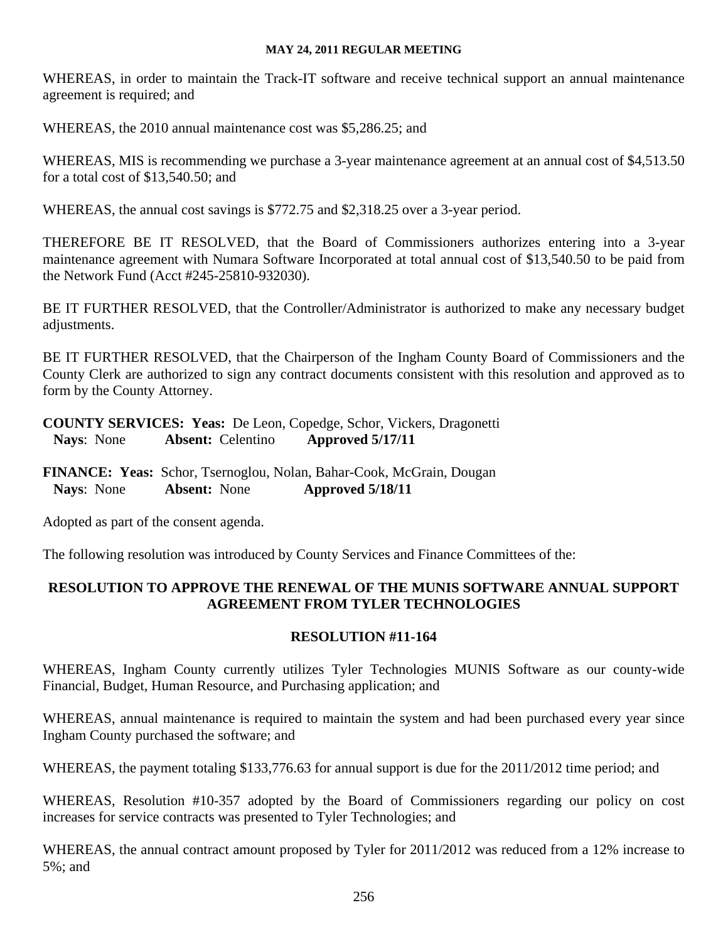WHEREAS, in order to maintain the Track-IT software and receive technical support an annual maintenance agreement is required; and

WHEREAS, the 2010 annual maintenance cost was \$5,286.25; and

WHEREAS, MIS is recommending we purchase a 3-year maintenance agreement at an annual cost of \$4,513.50 for a total cost of \$13,540.50; and

WHEREAS, the annual cost savings is \$772.75 and \$2,318.25 over a 3-year period.

THEREFORE BE IT RESOLVED, that the Board of Commissioners authorizes entering into a 3-year maintenance agreement with Numara Software Incorporated at total annual cost of \$13,540.50 to be paid from the Network Fund (Acct #245-25810-932030).

BE IT FURTHER RESOLVED, that the Controller/Administrator is authorized to make any necessary budget adjustments.

BE IT FURTHER RESOLVED, that the Chairperson of the Ingham County Board of Commissioners and the County Clerk are authorized to sign any contract documents consistent with this resolution and approved as to form by the County Attorney.

**COUNTY SERVICES: Yeas:** De Leon, Copedge, Schor, Vickers, Dragonetti  **Nays**: None **Absent:** Celentino **Approved 5/17/11**

**FINANCE: Yeas:** Schor, Tsernoglou, Nolan, Bahar-Cook, McGrain, Dougan  **Nays**: None **Absent:** None **Approved 5/18/11**

Adopted as part of the consent agenda.

The following resolution was introduced by County Services and Finance Committees of the:

## **RESOLUTION TO APPROVE THE RENEWAL OF THE MUNIS SOFTWARE ANNUAL SUPPORT AGREEMENT FROM TYLER TECHNOLOGIES**

## **RESOLUTION #11-164**

WHEREAS, Ingham County currently utilizes Tyler Technologies MUNIS Software as our county-wide Financial, Budget, Human Resource, and Purchasing application; and

WHEREAS, annual maintenance is required to maintain the system and had been purchased every year since Ingham County purchased the software; and

WHEREAS, the payment totaling \$133,776.63 for annual support is due for the 2011/2012 time period; and

WHEREAS, Resolution #10-357 adopted by the Board of Commissioners regarding our policy on cost increases for service contracts was presented to Tyler Technologies; and

WHEREAS, the annual contract amount proposed by Tyler for 2011/2012 was reduced from a 12% increase to 5%; and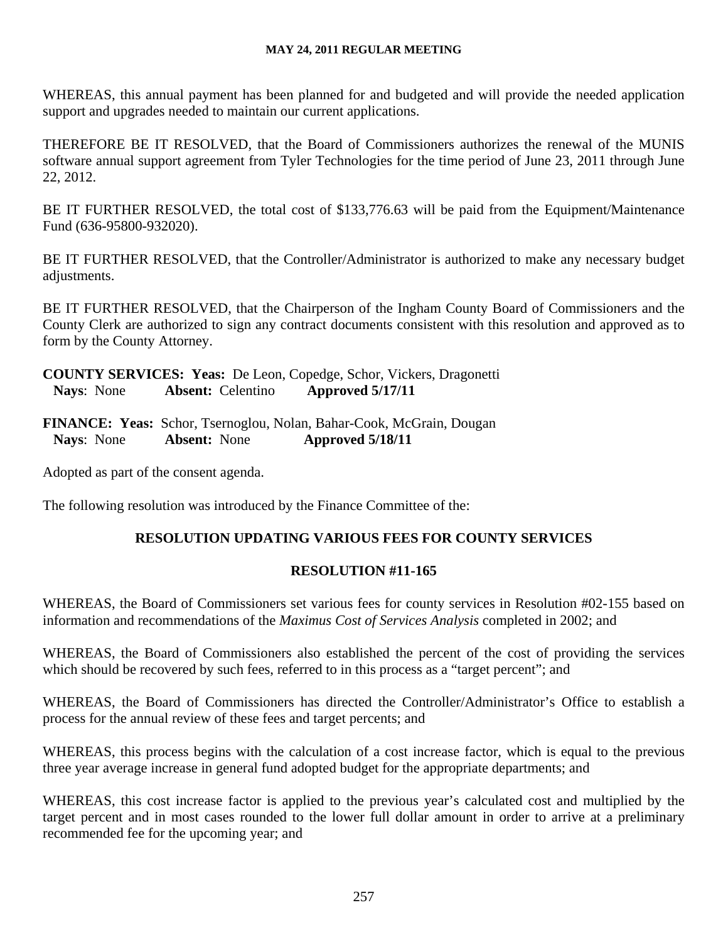WHEREAS, this annual payment has been planned for and budgeted and will provide the needed application support and upgrades needed to maintain our current applications.

THEREFORE BE IT RESOLVED, that the Board of Commissioners authorizes the renewal of the MUNIS software annual support agreement from Tyler Technologies for the time period of June 23, 2011 through June 22, 2012.

BE IT FURTHER RESOLVED, the total cost of \$133,776.63 will be paid from the Equipment/Maintenance Fund (636-95800-932020).

BE IT FURTHER RESOLVED, that the Controller/Administrator is authorized to make any necessary budget adjustments.

BE IT FURTHER RESOLVED, that the Chairperson of the Ingham County Board of Commissioners and the County Clerk are authorized to sign any contract documents consistent with this resolution and approved as to form by the County Attorney.

**COUNTY SERVICES: Yeas:** De Leon, Copedge, Schor, Vickers, Dragonetti  **Nays**: None **Absent:** Celentino **Approved 5/17/11**

**FINANCE: Yeas:** Schor, Tsernoglou, Nolan, Bahar-Cook, McGrain, Dougan  **Nays**: None **Absent:** None **Approved 5/18/11** 

Adopted as part of the consent agenda.

The following resolution was introduced by the Finance Committee of the:

## **RESOLUTION UPDATING VARIOUS FEES FOR COUNTY SERVICES**

## **RESOLUTION #11-165**

WHEREAS, the Board of Commissioners set various fees for county services in Resolution #02-155 based on information and recommendations of the *Maximus Cost of Services Analysis* completed in 2002; and

WHEREAS, the Board of Commissioners also established the percent of the cost of providing the services which should be recovered by such fees, referred to in this process as a "target percent"; and

WHEREAS, the Board of Commissioners has directed the Controller/Administrator's Office to establish a process for the annual review of these fees and target percents; and

WHEREAS, this process begins with the calculation of a cost increase factor, which is equal to the previous three year average increase in general fund adopted budget for the appropriate departments; and

WHEREAS, this cost increase factor is applied to the previous year's calculated cost and multiplied by the target percent and in most cases rounded to the lower full dollar amount in order to arrive at a preliminary recommended fee for the upcoming year; and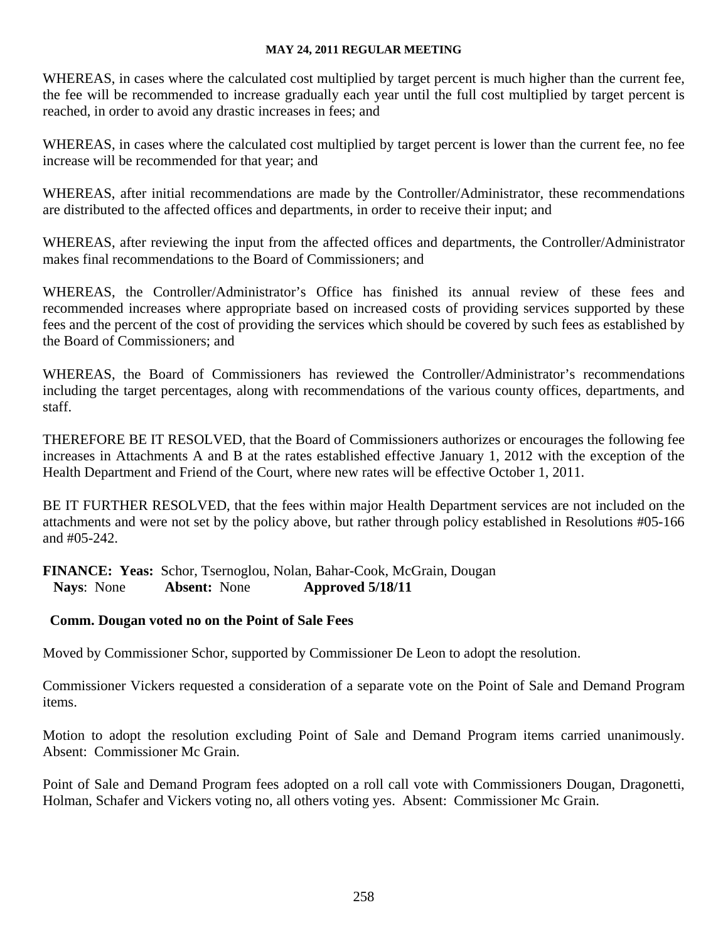WHEREAS, in cases where the calculated cost multiplied by target percent is much higher than the current fee, the fee will be recommended to increase gradually each year until the full cost multiplied by target percent is reached, in order to avoid any drastic increases in fees; and

WHEREAS, in cases where the calculated cost multiplied by target percent is lower than the current fee, no fee increase will be recommended for that year; and

WHEREAS, after initial recommendations are made by the Controller/Administrator, these recommendations are distributed to the affected offices and departments, in order to receive their input; and

WHEREAS, after reviewing the input from the affected offices and departments, the Controller/Administrator makes final recommendations to the Board of Commissioners; and

WHEREAS, the Controller/Administrator's Office has finished its annual review of these fees and recommended increases where appropriate based on increased costs of providing services supported by these fees and the percent of the cost of providing the services which should be covered by such fees as established by the Board of Commissioners; and

WHEREAS, the Board of Commissioners has reviewed the Controller/Administrator's recommendations including the target percentages, along with recommendations of the various county offices, departments, and staff.

THEREFORE BE IT RESOLVED, that the Board of Commissioners authorizes or encourages the following fee increases in Attachments A and B at the rates established effective January 1, 2012 with the exception of the Health Department and Friend of the Court, where new rates will be effective October 1, 2011.

BE IT FURTHER RESOLVED, that the fees within major Health Department services are not included on the attachments and were not set by the policy above, but rather through policy established in Resolutions #05-166 and #05-242.

**FINANCE: Yeas:** Schor, Tsernoglou, Nolan, Bahar-Cook, McGrain, Dougan  **Nays**: None **Absent:** None **Approved 5/18/11**

## **Comm. Dougan voted no on the Point of Sale Fees**

Moved by Commissioner Schor, supported by Commissioner De Leon to adopt the resolution.

Commissioner Vickers requested a consideration of a separate vote on the Point of Sale and Demand Program items.

Motion to adopt the resolution excluding Point of Sale and Demand Program items carried unanimously. Absent: Commissioner Mc Grain.

Point of Sale and Demand Program fees adopted on a roll call vote with Commissioners Dougan, Dragonetti, Holman, Schafer and Vickers voting no, all others voting yes. Absent: Commissioner Mc Grain.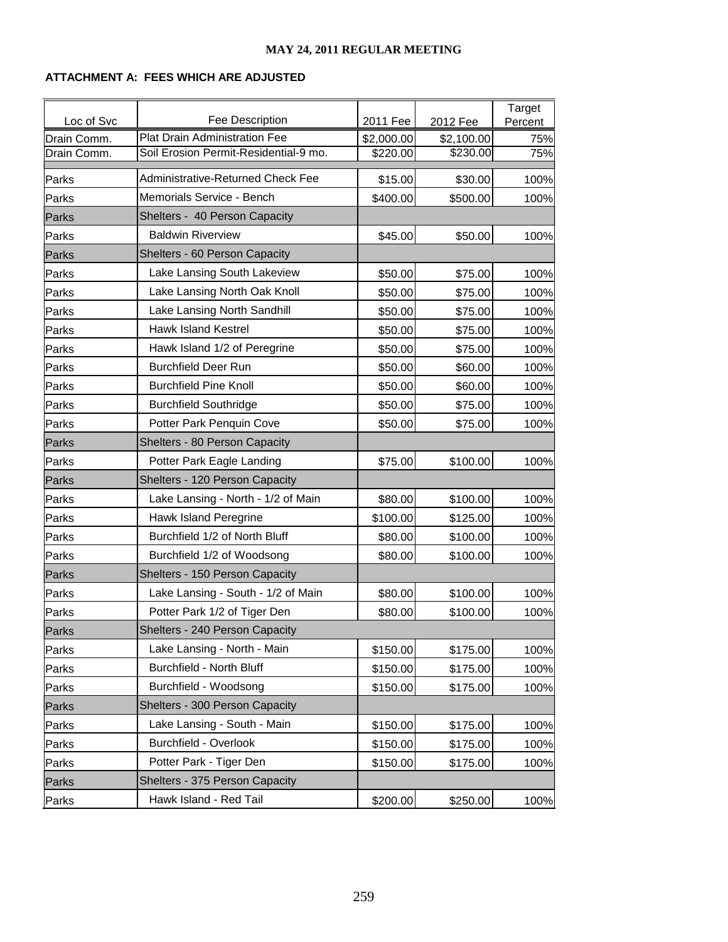#### **ATTACHMENT A: FEES WHICH ARE ADJUSTED**

| Loc of Svc  | Fee Description                       | 2011 Fee   | 2012 Fee   | Target<br>Percent |
|-------------|---------------------------------------|------------|------------|-------------------|
| Drain Comm. | <b>Plat Drain Administration Fee</b>  | \$2,000.00 | \$2,100.00 | 75%               |
| Drain Comm. | Soil Erosion Permit-Residential-9 mo. | \$220.00   | \$230.00   | 75%               |
| Parks       | Administrative-Returned Check Fee     | \$15.00    | \$30.00    | 100%              |
| Parks       | Memorials Service - Bench             | \$400.00   | \$500.00   | 100%              |
| Parks       | Shelters - 40 Person Capacity         |            |            |                   |
| Parks       | <b>Baldwin Riverview</b>              | \$45.00    | \$50.00    | 100%              |
| Parks       | Shelters - 60 Person Capacity         |            |            |                   |
| Parks       | Lake Lansing South Lakeview           | \$50.00    | \$75.00    | 100%              |
| Parks       | Lake Lansing North Oak Knoll          | \$50.00    | \$75.00    | 100%              |
| Parks       | Lake Lansing North Sandhill           | \$50.00    | \$75.00    | 100%              |
| Parks       | <b>Hawk Island Kestrel</b>            | \$50.00    | \$75.00    | 100%              |
| Parks       | Hawk Island 1/2 of Peregrine          | \$50.00    | \$75.00    | 100%              |
| Parks       | <b>Burchfield Deer Run</b>            | \$50.00    | \$60.00    | 100%              |
| Parks       | <b>Burchfield Pine Knoll</b>          | \$50.00    | \$60.00    | 100%              |
| Parks       | <b>Burchfield Southridge</b>          | \$50.00    | \$75.00    | 100%              |
| Parks       | Potter Park Penquin Cove              | \$50.00    | \$75.00    | 100%              |
| Parks       | Shelters - 80 Person Capacity         |            |            |                   |
| Parks       | Potter Park Eagle Landing             | \$75.00    | \$100.00   | 100%              |
| Parks       | Shelters - 120 Person Capacity        |            |            |                   |
| Parks       | Lake Lansing - North - 1/2 of Main    | \$80.00    | \$100.00   | 100%              |
| Parks       | Hawk Island Peregrine                 | \$100.00   | \$125.00   | 100%              |
| Parks       | Burchfield 1/2 of North Bluff         | \$80.00    | \$100.00   | 100%              |
| Parks       | Burchfield 1/2 of Woodsong            | \$80.00    | \$100.00   | 100%              |
| Parks       | Shelters - 150 Person Capacity        |            |            |                   |
| Parks       | Lake Lansing - South - 1/2 of Main    | \$80.00    | \$100.00   | 100%              |
| Parks       | Potter Park 1/2 of Tiger Den          | \$80.00    | \$100.00   | 100%              |
| Parks       | Shelters - 240 Person Capacity        |            |            |                   |
| Parks       | Lake Lansing - North - Main           | \$150.00   | \$175.00   | 100%              |
| Parks       | <b>Burchfield - North Bluff</b>       | \$150.00   | \$175.00   | 100%              |
| Parks       | Burchfield - Woodsong                 | \$150.00   | \$175.00   | 100%              |
| Parks       | Shelters - 300 Person Capacity        |            |            |                   |
| Parks       | Lake Lansing - South - Main           | \$150.00   | \$175.00   | 100%              |
| Parks       | <b>Burchfield - Overlook</b>          | \$150.00   | \$175.00   | 100%              |
| Parks       | Potter Park - Tiger Den               | \$150.00   | \$175.00   | 100%              |
| Parks       | Shelters - 375 Person Capacity        |            |            |                   |
| Parks       | Hawk Island - Red Tail                | \$200.00   | \$250.00   | 100%              |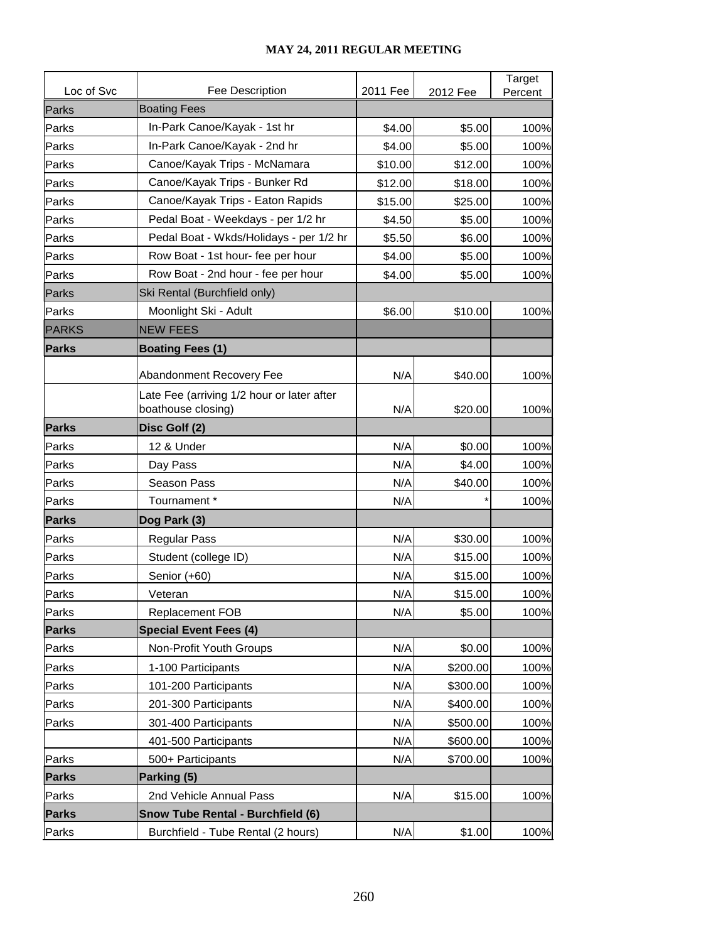|              |                                                                  |          |          | Target  |
|--------------|------------------------------------------------------------------|----------|----------|---------|
| Loc of Svc   | Fee Description                                                  | 2011 Fee | 2012 Fee | Percent |
| Parks        | <b>Boating Fees</b>                                              |          |          |         |
| Parks        | In-Park Canoe/Kayak - 1st hr                                     | \$4.00   | \$5.00   | 100%    |
| Parks        | In-Park Canoe/Kayak - 2nd hr                                     | \$4.00   | \$5.00   | 100%    |
| Parks        | Canoe/Kayak Trips - McNamara                                     | \$10.00  | \$12.00  | 100%    |
| Parks        | Canoe/Kayak Trips - Bunker Rd                                    | \$12.00  | \$18.00  | 100%    |
| Parks        | Canoe/Kayak Trips - Eaton Rapids                                 | \$15.00  | \$25.00  | 100%    |
| Parks        | Pedal Boat - Weekdays - per 1/2 hr                               | \$4.50   | \$5.00   | 100%    |
| Parks        | Pedal Boat - Wkds/Holidays - per 1/2 hr                          | \$5.50   | \$6.00   | 100%    |
| Parks        | Row Boat - 1st hour- fee per hour                                | \$4.00   | \$5.00   | 100%    |
| Parks        | Row Boat - 2nd hour - fee per hour                               | \$4.00   | \$5.00   | 100%    |
| Parks        | Ski Rental (Burchfield only)                                     |          |          |         |
| Parks        | Moonlight Ski - Adult                                            | \$6.00   | \$10.00  | 100%    |
| <b>PARKS</b> | <b>NEW FEES</b>                                                  |          |          |         |
| <b>Parks</b> | <b>Boating Fees (1)</b>                                          |          |          |         |
|              | Abandonment Recovery Fee                                         | N/A      | \$40.00  | 100%    |
|              | Late Fee (arriving 1/2 hour or later after<br>boathouse closing) | N/A      | \$20.00  | 100%    |
| <b>Parks</b> | Disc Golf (2)                                                    |          |          |         |
| Parks        | 12 & Under                                                       | N/A      | \$0.00   | 100%    |
| Parks        | Day Pass                                                         | N/A      | \$4.00   | 100%    |
| Parks        | Season Pass                                                      | N/A      | \$40.00  | 100%    |
| Parks        | Tournament*                                                      | N/A      |          | 100%    |
| <b>Parks</b> | Dog Park (3)                                                     |          |          |         |
| Parks        | <b>Regular Pass</b>                                              | N/A      | \$30.00  | 100%    |
| Parks        | Student (college ID)                                             | N/A      | \$15.00  | 100%    |
| Parks        | Senior (+60)                                                     | N/A      | \$15.00  | 100%    |
| Parks        | Veteran                                                          | N/A      | \$15.00  | 100%    |
| Parks        | <b>Replacement FOB</b>                                           | N/A      | \$5.00   | 100%    |
| <b>Parks</b> | <b>Special Event Fees (4)</b>                                    |          |          |         |
| Parks        | Non-Profit Youth Groups                                          | N/A      | \$0.00   | 100%    |
| Parks        | 1-100 Participants                                               | N/A      | \$200.00 | 100%    |
| Parks        | 101-200 Participants                                             | N/A      | \$300.00 | 100%    |
| Parks        | 201-300 Participants                                             | N/A      | \$400.00 | 100%    |
| Parks        | 301-400 Participants                                             | N/A      | \$500.00 | 100%    |
|              | 401-500 Participants                                             | N/A      | \$600.00 | 100%    |
| Parks        | 500+ Participants                                                | N/A      | \$700.00 | 100%    |
| <b>Parks</b> | Parking (5)                                                      |          |          |         |
| Parks        | 2nd Vehicle Annual Pass                                          | N/A      | \$15.00  | 100%    |
| <b>Parks</b> | Snow Tube Rental - Burchfield (6)                                |          |          |         |
| Parks        | Burchfield - Tube Rental (2 hours)                               | N/A      | \$1.00   | 100%    |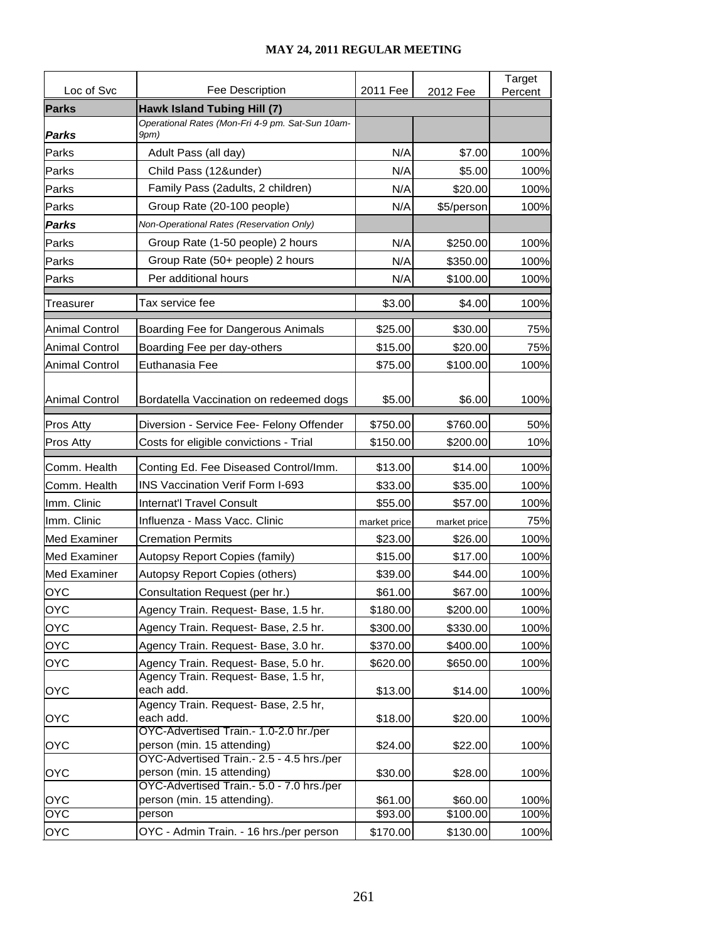|                       |                                                                         |              |              | Target  |
|-----------------------|-------------------------------------------------------------------------|--------------|--------------|---------|
| Loc of Svc            | Fee Description                                                         | 2011 Fee     | 2012 Fee     | Percent |
| <b>Parks</b>          | <b>Hawk Island Tubing Hill (7)</b>                                      |              |              |         |
| <b>Parks</b>          | Operational Rates (Mon-Fri 4-9 pm. Sat-Sun 10am-<br>9pm)                |              |              |         |
| Parks                 | Adult Pass (all day)                                                    | N/A          | \$7.00       | 100%    |
| Parks                 | Child Pass (12&under)                                                   | N/A          | \$5.00       | 100%    |
| Parks                 | Family Pass (2adults, 2 children)                                       | N/A          | \$20.00      | 100%    |
| Parks                 | Group Rate (20-100 people)                                              | N/A          | \$5/person   | 100%    |
| Parks                 | Non-Operational Rates (Reservation Only)                                |              |              |         |
| Parks                 | Group Rate (1-50 people) 2 hours                                        | N/A          | \$250.00     | 100%    |
| Parks                 | Group Rate (50+ people) 2 hours                                         | N/A          | \$350.00     | 100%    |
| Parks                 | Per additional hours                                                    | N/A          | \$100.00     | 100%    |
| Treasurer             | Tax service fee                                                         | \$3.00       | \$4.00       | 100%    |
|                       |                                                                         |              |              |         |
| Animal Control        | Boarding Fee for Dangerous Animals                                      | \$25.00      | \$30.00      | 75%     |
| Animal Control        | Boarding Fee per day-others                                             | \$15.00      | \$20.00      | 75%     |
| <b>Animal Control</b> | Euthanasia Fee                                                          | \$75.00      | \$100.00     | 100%    |
|                       |                                                                         |              |              |         |
| Animal Control        | Bordatella Vaccination on redeemed dogs                                 | \$5.00       | \$6.00       | 100%    |
| Pros Atty             | Diversion - Service Fee- Felony Offender                                | \$750.00     | \$760.00     | 50%     |
| <b>Pros Atty</b>      | Costs for eligible convictions - Trial                                  | \$150.00     | \$200.00     | 10%     |
| Comm. Health          | Conting Ed. Fee Diseased Control/Imm.                                   | \$13.00      | \$14.00      | 100%    |
| Comm. Health          | <b>INS Vaccination Verif Form I-693</b>                                 | \$33.00      | \$35.00      | 100%    |
| Imm. Clinic           | <b>Internat'l Travel Consult</b>                                        | \$55.00      | \$57.00      | 100%    |
| Imm. Clinic           | Influenza - Mass Vacc. Clinic                                           | market price | market price | 75%     |
| lMed Examiner         | <b>Cremation Permits</b>                                                | \$23.00      | \$26.00      | 100%    |
| <b>Med Examiner</b>   | Autopsy Report Copies (family)                                          | \$15.00      | \$17.00      | 100%    |
| <b>Med Examiner</b>   | Autopsy Report Copies (others)                                          | \$39.00      | \$44.00      | 100%    |
| <b>OYC</b>            | Consultation Request (per hr.)                                          | \$61.00      | \$67.00      | 100%    |
| <b>OYC</b>            | Agency Train. Request- Base, 1.5 hr.                                    | \$180.00     | \$200.00     | 100%    |
| <b>OYC</b>            | Agency Train. Request- Base, 2.5 hr.                                    | \$300.00     | \$330.00     | 100%    |
| <b>OYC</b>            | Agency Train. Request- Base, 3.0 hr.                                    | \$370.00     | \$400.00     | 100%    |
| <b>OYC</b>            | Agency Train. Request- Base, 5.0 hr.                                    | \$620.00     | \$650.00     | 100%    |
|                       | Agency Train. Request- Base, 1.5 hr,                                    |              |              |         |
| <b>OYC</b>            | each add.                                                               | \$13.00      | \$14.00      | 100%    |
| <b>OYC</b>            | Agency Train. Request- Base, 2.5 hr,<br>each add.                       | \$18.00      | \$20.00      | 100%    |
|                       | OYC-Advertised Train.- 1.0-2.0 hr./per                                  |              |              |         |
| <b>OYC</b>            | person (min. 15 attending)                                              | \$24.00      | \$22.00      | 100%    |
|                       | OYC-Advertised Train.- 2.5 - 4.5 hrs./per                               |              |              |         |
| <b>OYC</b>            | person (min. 15 attending)<br>OYC-Advertised Train.- 5.0 - 7.0 hrs./per | \$30.00      | \$28.00      | 100%    |
| <b>OYC</b>            | person (min. 15 attending).                                             | \$61.00      | \$60.00      | 100%    |
| OYC                   | person                                                                  | \$93.00      | \$100.00     | 100%    |
| <b>OYC</b>            | OYC - Admin Train. - 16 hrs./per person                                 | \$170.00     | \$130.00     | 100%    |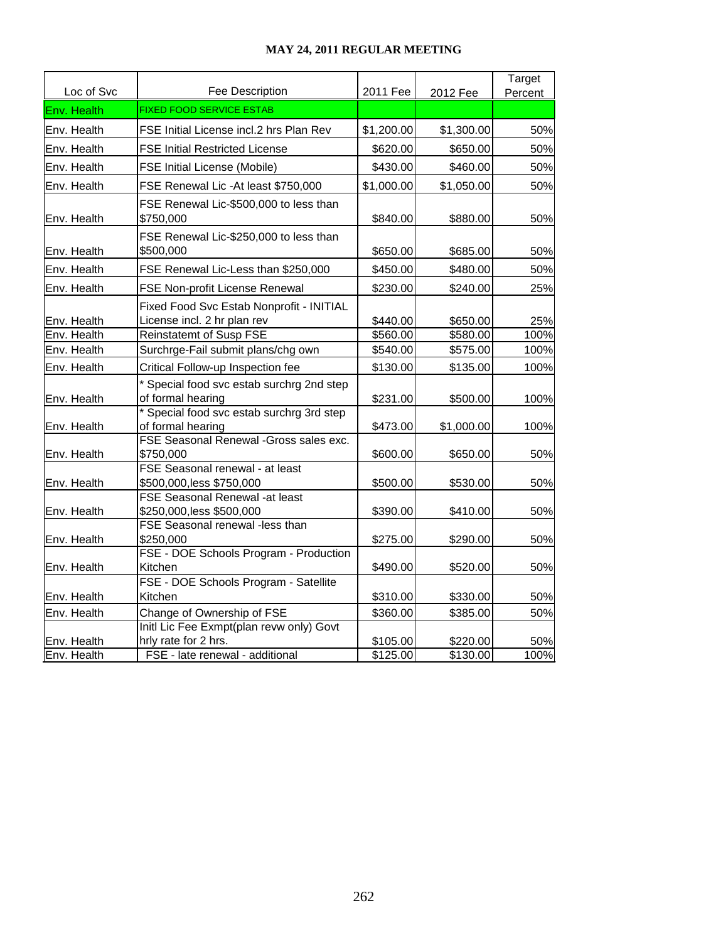| Loc of Svc  | Fee Description                                                         | 2011 Fee   | 2012 Fee   | Target<br>Percent |
|-------------|-------------------------------------------------------------------------|------------|------------|-------------------|
| Env. Health | <b>FIXED FOOD SERVICE ESTAB</b>                                         |            |            |                   |
| Env. Health | FSE Initial License incl.2 hrs Plan Rev                                 | \$1,200.00 | \$1,300.00 | 50%               |
| Env. Health | <b>FSE Initial Restricted License</b>                                   | \$620.00   | \$650.00   | 50%               |
|             |                                                                         |            |            |                   |
| Env. Health | <b>FSE Initial License (Mobile)</b>                                     | \$430.00   | \$460.00   | 50%               |
| Env. Health | FSE Renewal Lic -At least \$750,000                                     | \$1,000.00 | \$1,050.00 | 50%               |
| Env. Health | FSE Renewal Lic-\$500,000 to less than<br>\$750,000                     | \$840.00   | \$880.00   | 50%               |
| Env. Health | FSE Renewal Lic-\$250,000 to less than<br>\$500,000                     | \$650.00   | \$685.00   | 50%               |
| Env. Health | FSE Renewal Lic-Less than \$250,000                                     | \$450.00   | \$480.00   | 50%               |
| Env. Health | FSE Non-profit License Renewal                                          | \$230.00   | \$240.00   | 25%               |
| Env. Health | Fixed Food Svc Estab Nonprofit - INITIAL<br>License incl. 2 hr plan rev | \$440.00   | \$650.00   | 25%               |
| Env. Health | <b>Reinstatemt of Susp FSE</b>                                          | \$560.00   | \$580.00   | 100%              |
| Env. Health | Surchrge-Fail submit plans/chg own                                      | \$540.00   | \$575.00   | 100%              |
| Env. Health | Critical Follow-up Inspection fee                                       | \$130.00   | \$135.00   | 100%              |
| Env. Health | * Special food svc estab surchrg 2nd step<br>of formal hearing          | \$231.00   | \$500.00   | 100%              |
| Env. Health | * Special food svc estab surchrg 3rd step<br>of formal hearing          | \$473.00   | \$1,000.00 | 100%              |
| Env. Health | FSE Seasonal Renewal - Gross sales exc.<br>\$750,000                    | \$600.00   | \$650.00   | 50%               |
| Env. Health | FSE Seasonal renewal - at least<br>\$500,000, less \$750,000            | \$500.00   | \$530.00   | 50%               |
| Env. Health | <b>FSE Seasonal Renewal -at least</b><br>\$250,000, less \$500,000      | \$390.00   | \$410.00   | 50%               |
| Env. Health | FSE Seasonal renewal -less than<br>\$250,000                            | \$275.00   | \$290.00   | 50%               |
| Env. Health | FSE - DOE Schools Program - Production<br>Kitchen                       | \$490.00   | \$520.00   | 50%               |
| Env. Health | FSE - DOE Schools Program - Satellite<br>Kitchen                        | \$310.00   | \$330.00   | 50%               |
|             |                                                                         |            |            |                   |
| Env. Health | Change of Ownership of FSE<br>Initl Lic Fee Exmpt(plan revw only) Govt  | \$360.00   | \$385.00   | 50%               |
| Env. Health | hrly rate for 2 hrs.                                                    | \$105.00   | \$220.00   | 50%               |
| Env. Health | FSE - late renewal - additional                                         | \$125.00   | \$130.00   | 100%              |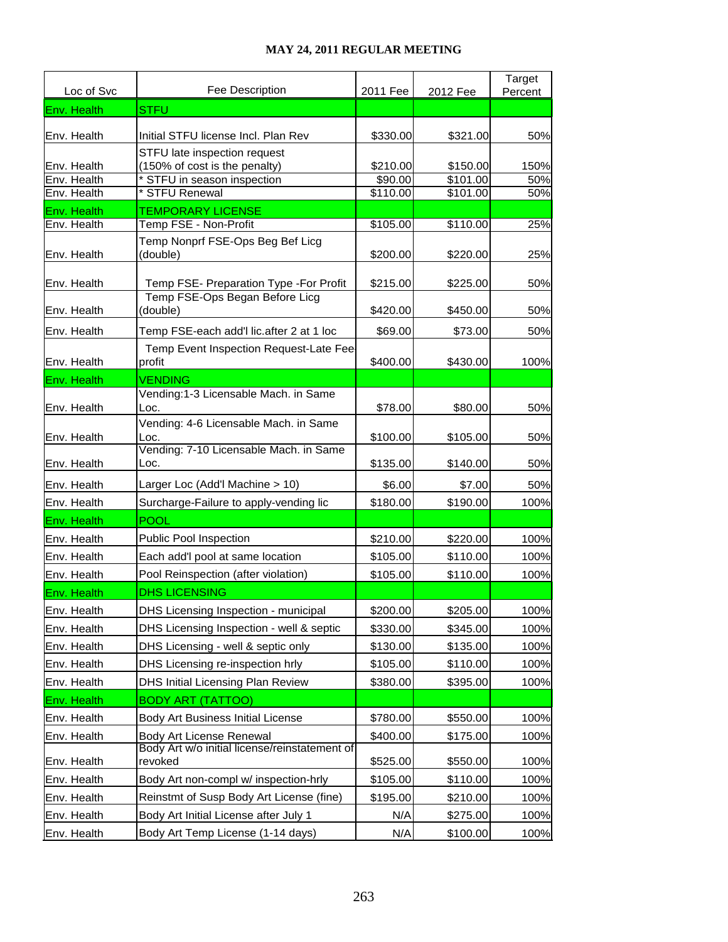| Loc of Svc  | Fee Description                                               | 2011 Fee | 2012 Fee | Target<br>Percent |
|-------------|---------------------------------------------------------------|----------|----------|-------------------|
| Env. Health | <b>STFU</b>                                                   |          |          |                   |
| Env. Health | Initial STFU license Incl. Plan Rev                           | \$330.00 | \$321.00 | 50%               |
| Env. Health | STFU late inspection request<br>(150% of cost is the penalty) | \$210.00 | \$150.00 | 150%              |
| Env. Health | STFU in season inspection                                     | \$90.00  | \$101.00 | 50%               |
| Env. Health | <b>STFU Renewal</b>                                           | \$110.00 | \$101.00 | 50%               |
| Env. Health | <b>TEMPORARY LICENSE</b>                                      |          |          |                   |
| Env. Health | Temp FSE - Non-Profit                                         | \$105.00 | \$110.00 | 25%               |
| Env. Health | Temp Nonprf FSE-Ops Beg Bef Licg<br>(double)                  | \$200.00 | \$220.00 | 25%               |
| Env. Health | Temp FSE- Preparation Type -For Profit                        | \$215.00 | \$225.00 | 50%               |
| Env. Health | Temp FSE-Ops Began Before Licg<br>(double)                    | \$420.00 | \$450.00 | 50%               |
| Env. Health | Temp FSE-each add'l lic.after 2 at 1 loc                      | \$69.00  | \$73.00  | 50%               |
| Env. Health | Temp Event Inspection Request-Late Fee-<br>profit             | \$400.00 | \$430.00 | 100%              |
| Env. Health | <b>VENDING</b>                                                |          |          |                   |
| Env. Health | Vending:1-3 Licensable Mach. in Same<br>Loc.                  | \$78.00  | \$80.00  | 50%               |
| Env. Health | Vending: 4-6 Licensable Mach. in Same<br>Loc.                 | \$100.00 | \$105.00 | 50%               |
|             | Vending: 7-10 Licensable Mach. in Same                        |          |          |                   |
| Env. Health | Loc.                                                          | \$135.00 | \$140.00 | 50%               |
| Env. Health | Larger Loc (Add'l Machine > 10)                               | \$6.00   | \$7.00   | 50%               |
| Env. Health | Surcharge-Failure to apply-vending lic                        | \$180.00 | \$190.00 | 100%              |
| Env. Health | <b>POOL</b>                                                   |          |          |                   |
| Env. Health | <b>Public Pool Inspection</b>                                 | \$210.00 | \$220.00 | 100%              |
| Env. Health | Each add'l pool at same location                              | \$105.00 | \$110.00 | 100%              |
| Env. Health | Pool Reinspection (after violation)                           | \$105.00 | \$110.00 | 100%              |
| Env. Health | <b>DHS LICENSING</b>                                          |          |          |                   |
| Env. Health | DHS Licensing Inspection - municipal                          | \$200.00 | \$205.00 | 100%              |
| Env. Health | DHS Licensing Inspection - well & septic                      | \$330.00 | \$345.00 | 100%              |
| Env. Health | DHS Licensing - well & septic only                            | \$130.00 | \$135.00 | 100%              |
| Env. Health | DHS Licensing re-inspection hrly                              | \$105.00 | \$110.00 | 100%              |
| Env. Health | DHS Initial Licensing Plan Review                             | \$380.00 | \$395.00 | 100%              |
| Env. Health | <b>BODY ART (TATTOO)</b>                                      |          |          |                   |
| Env. Health | Body Art Business Initial License                             | \$780.00 | \$550.00 | 100%              |
| Env. Health | Body Art License Renewal                                      | \$400.00 | \$175.00 | 100%              |
| Env. Health | Body Art w/o initial license/reinstatement of<br>revoked      | \$525.00 | \$550.00 | 100%              |
| Env. Health | Body Art non-compl w/ inspection-hrly                         | \$105.00 | \$110.00 | 100%              |
| Env. Health | Reinstmt of Susp Body Art License (fine)                      | \$195.00 | \$210.00 | 100%              |
| Env. Health | Body Art Initial License after July 1                         | N/A      | \$275.00 | 100%              |
| Env. Health | Body Art Temp License (1-14 days)                             | N/A      | \$100.00 | 100%              |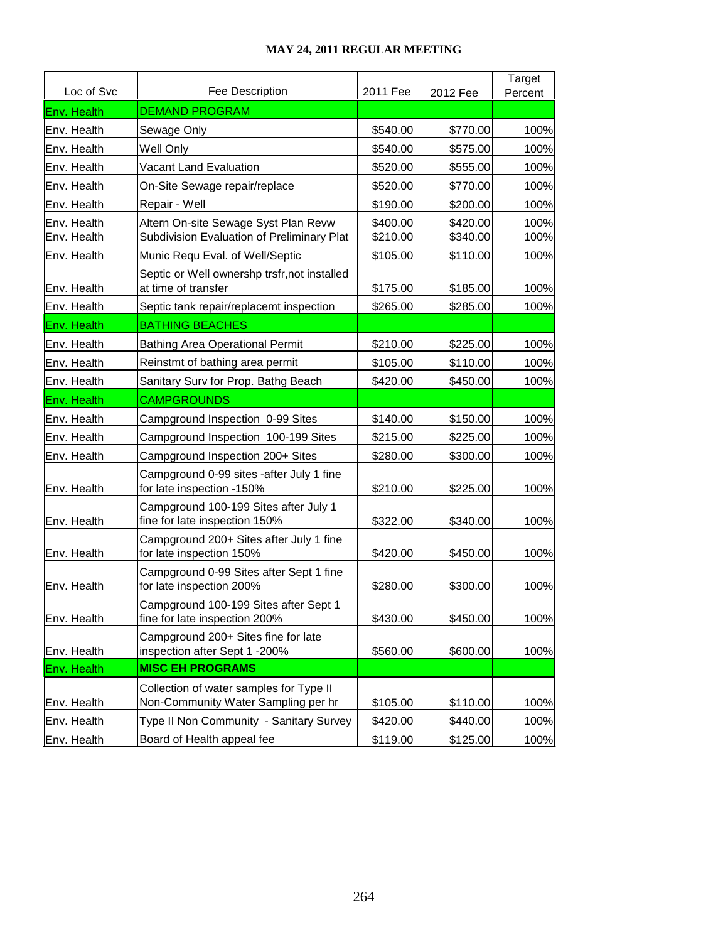| Loc of Svc  | Fee Description                                                                | 2011 Fee | 2012 Fee | Target<br>Percent |
|-------------|--------------------------------------------------------------------------------|----------|----------|-------------------|
| Env. Health | <b>DEMAND PROGRAM</b>                                                          |          |          |                   |
| Env. Health | Sewage Only                                                                    | \$540.00 | \$770.00 | 100%              |
| Env. Health | Well Only                                                                      | \$540.00 | \$575.00 | 100%              |
| Env. Health | <b>Vacant Land Evaluation</b>                                                  | \$520.00 | \$555.00 | 100%              |
| Env. Health | On-Site Sewage repair/replace                                                  | \$520.00 | \$770.00 | 100%              |
| Env. Health | Repair - Well                                                                  | \$190.00 | \$200.00 | 100%              |
| Env. Health | Altern On-site Sewage Syst Plan Revw                                           | \$400.00 | \$420.00 | 100%              |
| Env. Health | Subdivision Evaluation of Preliminary Plat                                     | \$210.00 | \$340.00 | 100%              |
| Env. Health | Munic Requ Eval. of Well/Septic                                                | \$105.00 | \$110.00 | 100%              |
| Env. Health | Septic or Well ownershp trsfr, not installed<br>at time of transfer            | \$175.00 | \$185.00 | 100%              |
| Env. Health | Septic tank repair/replacemt inspection                                        | \$265.00 | \$285.00 | 100%              |
| Env. Health | <b>BATHING BEACHES</b>                                                         |          |          |                   |
| Env. Health | <b>Bathing Area Operational Permit</b>                                         | \$210.00 | \$225.00 | 100%              |
| Env. Health | Reinstmt of bathing area permit                                                | \$105.00 | \$110.00 | 100%              |
| Env. Health | Sanitary Surv for Prop. Bathg Beach                                            | \$420.00 | \$450.00 | 100%              |
| Env. Health | <b>CAMPGROUNDS</b>                                                             |          |          |                   |
| Env. Health | Campground Inspection 0-99 Sites                                               | \$140.00 | \$150.00 | 100%              |
| Env. Health | Campground Inspection 100-199 Sites                                            | \$215.00 | \$225.00 | 100%              |
| Env. Health | Campground Inspection 200+ Sites                                               | \$280.00 | \$300.00 | 100%              |
| Env. Health | Campground 0-99 sites -after July 1 fine<br>for late inspection -150%          | \$210.00 | \$225.00 | 100%              |
| Env. Health | Campground 100-199 Sites after July 1<br>fine for late inspection 150%         | \$322.00 | \$340.00 | 100%              |
| Env. Health | Campground 200+ Sites after July 1 fine<br>for late inspection 150%            | \$420.00 | \$450.00 | 100%              |
| Env. Health | Campground 0-99 Sites after Sept 1 fine<br>for late inspection 200%            | \$280.00 | \$300.00 | 100%              |
| Env. Health | Campground 100-199 Sites after Sept 1<br>fine for late inspection 200%         | \$430.00 | \$450.00 | 100%              |
| Env. Health | Campground 200+ Sites fine for late<br>inspection after Sept 1 -200%           | \$560.00 | \$600.00 | 100%              |
| Env. Health | <b>MISC EH PROGRAMS</b>                                                        |          |          |                   |
| Env. Health | Collection of water samples for Type II<br>Non-Community Water Sampling per hr | \$105.00 | \$110.00 | 100%              |
| Env. Health | Type II Non Community - Sanitary Survey                                        | \$420.00 | \$440.00 | 100%              |
| Env. Health | Board of Health appeal fee                                                     | \$119.00 | \$125.00 | 100%              |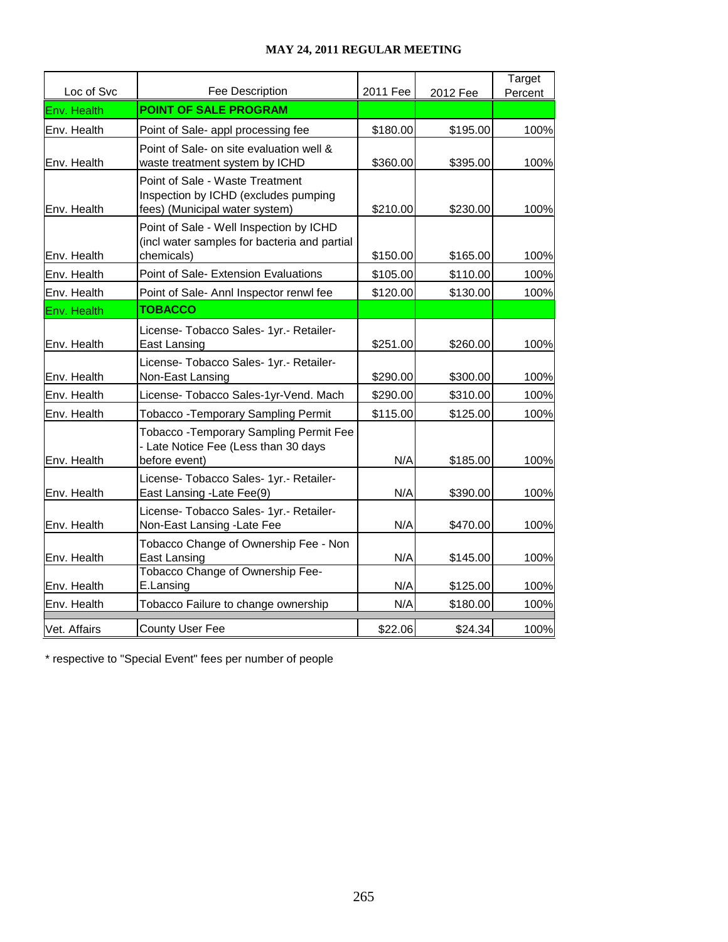| Loc of Svc   | Fee Description                                                                                           | 2011 Fee | 2012 Fee | Target<br>Percent |
|--------------|-----------------------------------------------------------------------------------------------------------|----------|----------|-------------------|
| Env. Health  | <b>POINT OF SALE PROGRAM</b>                                                                              |          |          |                   |
| Env. Health  | Point of Sale- appl processing fee                                                                        | \$180.00 | \$195.00 | 100%              |
| Env. Health  | Point of Sale- on site evaluation well &<br>waste treatment system by ICHD                                | \$360.00 | \$395.00 | 100%              |
| Env. Health  | Point of Sale - Waste Treatment<br>Inspection by ICHD (excludes pumping<br>fees) (Municipal water system) | \$210.00 | \$230.00 | 100%              |
| Env. Health  | Point of Sale - Well Inspection by ICHD<br>(incl water samples for bacteria and partial<br>chemicals)     | \$150.00 | \$165.00 | 100%              |
| Env. Health  | Point of Sale- Extension Evaluations                                                                      | \$105.00 | \$110.00 | 100%              |
| Env. Health  | Point of Sale- Annl Inspector renwl fee                                                                   | \$120.00 | \$130.00 | 100%              |
| Env. Health  | <b>TOBACCO</b>                                                                                            |          |          |                   |
| Env. Health  | License- Tobacco Sales- 1yr.- Retailer-<br>East Lansing                                                   | \$251.00 | \$260.00 | 100%              |
| Env. Health  | License- Tobacco Sales- 1yr.- Retailer-<br>Non-East Lansing                                               | \$290.00 | \$300.00 | 100%              |
| Env. Health  | License- Tobacco Sales-1yr-Vend. Mach                                                                     | \$290.00 | \$310.00 | 100%              |
| Env. Health  | <b>Tobacco - Temporary Sampling Permit</b>                                                                | \$115.00 | \$125.00 | 100%              |
| Env. Health  | <b>Tobacco - Temporary Sampling Permit Fee</b><br>- Late Notice Fee (Less than 30 days<br>before event)   | N/A      | \$185.00 | 100%              |
| Env. Health  | License- Tobacco Sales- 1yr.- Retailer-<br>East Lansing - Late Fee(9)                                     | N/A      | \$390.00 | 100%              |
| Env. Health  | License- Tobacco Sales- 1yr.- Retailer-<br>Non-East Lansing -Late Fee                                     | N/A      | \$470.00 | 100%              |
| Env. Health  | Tobacco Change of Ownership Fee - Non<br>East Lansing                                                     | N/A      | \$145.00 | 100%              |
| Env. Health  | Tobacco Change of Ownership Fee-<br>E.Lansing                                                             | N/A      | \$125.00 | 100%              |
| Env. Health  | Tobacco Failure to change ownership                                                                       | N/A      | \$180.00 | 100%              |
| Vet. Affairs | <b>County User Fee</b>                                                                                    | \$22.06  | \$24.34  | 100%              |

\* respective to "Special Event" fees per number of people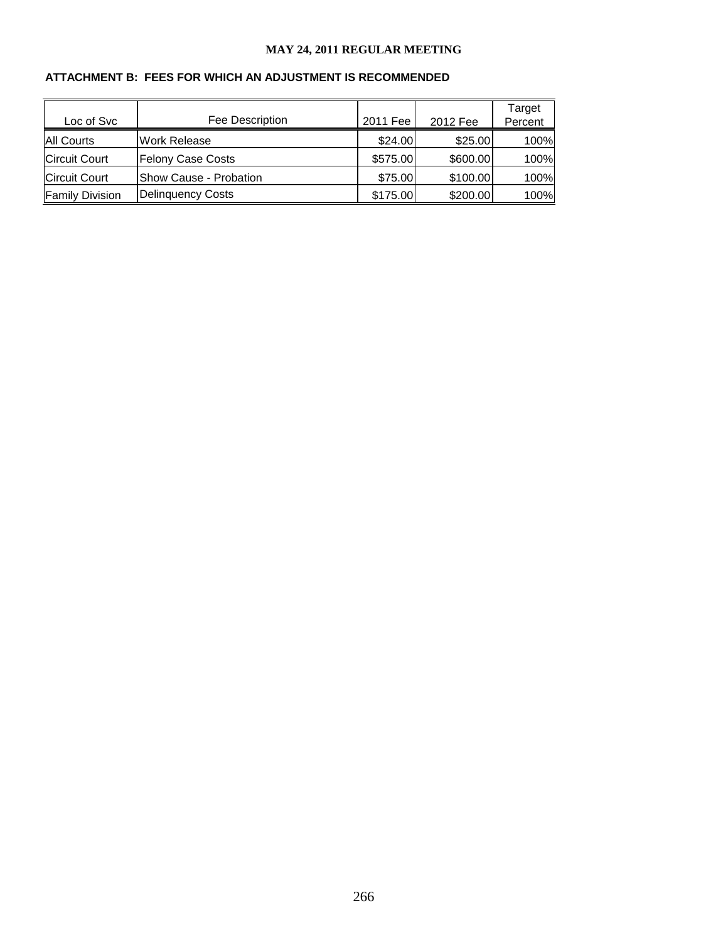#### **ATTACHMENT B: FEES FOR WHICH AN ADJUSTMENT IS RECOMMENDED**

| Loc of Svc             | Fee Description          | 2011 Fee | 2012 Fee | Target<br>Percent |
|------------------------|--------------------------|----------|----------|-------------------|
| <b>All Courts</b>      | <b>Work Release</b>      | \$24.00  | \$25.00  | 100%              |
| <b>Circuit Court</b>   | <b>Felony Case Costs</b> | \$575.00 | \$600.00 | 100%              |
| <b>Circuit Court</b>   | Show Cause - Probation   | \$75.00  | \$100.00 | 100%              |
| <b>Family Division</b> | <b>Delinquency Costs</b> | \$175.00 | \$200.00 | 100%              |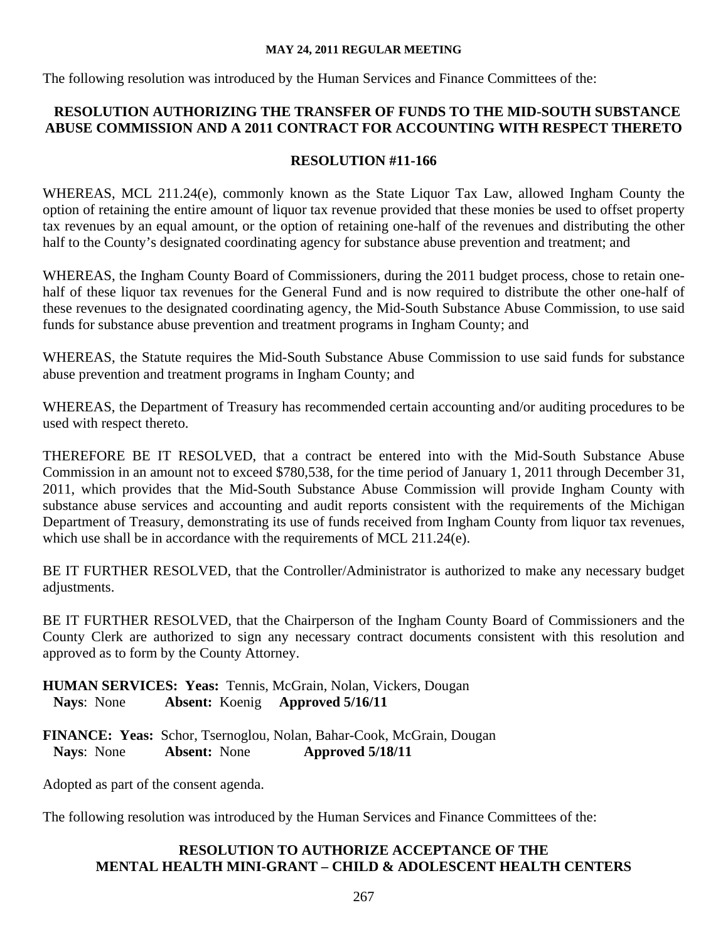The following resolution was introduced by the Human Services and Finance Committees of the:

## **RESOLUTION AUTHORIZING THE TRANSFER OF FUNDS TO THE MID-SOUTH SUBSTANCE ABUSE COMMISSION AND A 2011 CONTRACT FOR ACCOUNTING WITH RESPECT THERETO**

## **RESOLUTION #11-166**

WHEREAS, MCL 211.24(e), commonly known as the State Liquor Tax Law, allowed Ingham County the option of retaining the entire amount of liquor tax revenue provided that these monies be used to offset property tax revenues by an equal amount, or the option of retaining one-half of the revenues and distributing the other half to the County's designated coordinating agency for substance abuse prevention and treatment; and

WHEREAS, the Ingham County Board of Commissioners, during the 2011 budget process, chose to retain onehalf of these liquor tax revenues for the General Fund and is now required to distribute the other one-half of these revenues to the designated coordinating agency, the Mid-South Substance Abuse Commission, to use said funds for substance abuse prevention and treatment programs in Ingham County; and

WHEREAS, the Statute requires the Mid-South Substance Abuse Commission to use said funds for substance abuse prevention and treatment programs in Ingham County; and

WHEREAS, the Department of Treasury has recommended certain accounting and/or auditing procedures to be used with respect thereto.

THEREFORE BE IT RESOLVED, that a contract be entered into with the Mid-South Substance Abuse Commission in an amount not to exceed \$780,538, for the time period of January 1, 2011 through December 31, 2011, which provides that the Mid-South Substance Abuse Commission will provide Ingham County with substance abuse services and accounting and audit reports consistent with the requirements of the Michigan Department of Treasury, demonstrating its use of funds received from Ingham County from liquor tax revenues, which use shall be in accordance with the requirements of MCL 211.24(e).

BE IT FURTHER RESOLVED, that the Controller/Administrator is authorized to make any necessary budget adjustments.

BE IT FURTHER RESOLVED, that the Chairperson of the Ingham County Board of Commissioners and the County Clerk are authorized to sign any necessary contract documents consistent with this resolution and approved as to form by the County Attorney.

**HUMAN SERVICES: Yeas:** Tennis, McGrain, Nolan, Vickers, Dougan  **Nays**: None **Absent:** Koenig **Approved 5/16/11**

**FINANCE: Yeas:** Schor, Tsernoglou, Nolan, Bahar-Cook, McGrain, Dougan  **Nays**: None **Absent:** None **Approved 5/18/11** 

Adopted as part of the consent agenda.

The following resolution was introduced by the Human Services and Finance Committees of the:

## **RESOLUTION TO AUTHORIZE ACCEPTANCE OF THE MENTAL HEALTH MINI-GRANT – CHILD & ADOLESCENT HEALTH CENTERS**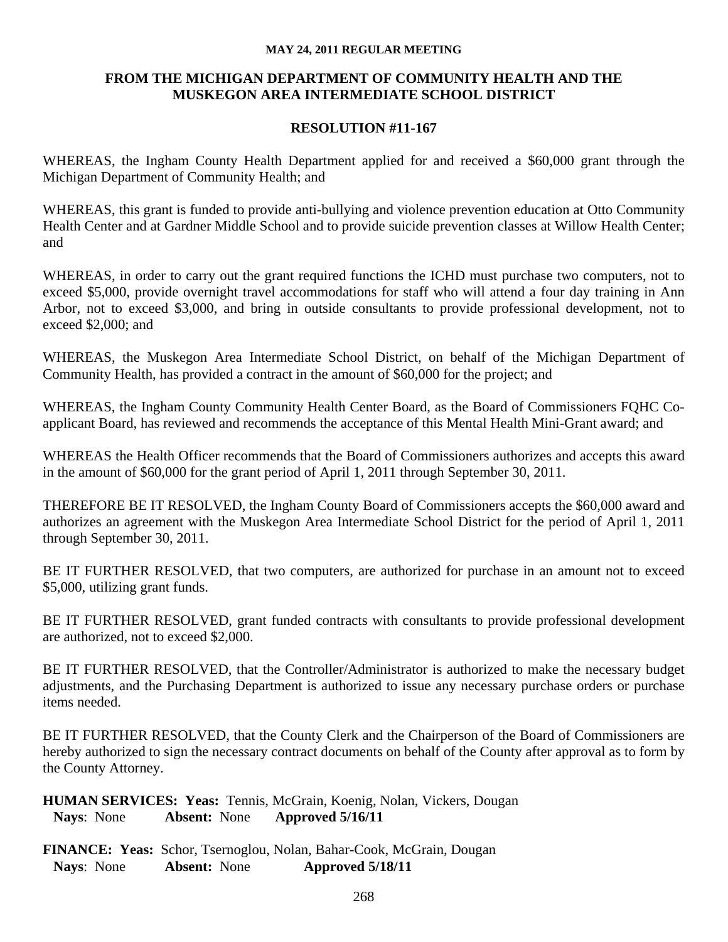## **FROM THE MICHIGAN DEPARTMENT OF COMMUNITY HEALTH AND THE MUSKEGON AREA INTERMEDIATE SCHOOL DISTRICT**

#### **RESOLUTION #11-167**

WHEREAS, the Ingham County Health Department applied for and received a \$60,000 grant through the Michigan Department of Community Health; and

WHEREAS, this grant is funded to provide anti-bullying and violence prevention education at Otto Community Health Center and at Gardner Middle School and to provide suicide prevention classes at Willow Health Center; and

WHEREAS, in order to carry out the grant required functions the ICHD must purchase two computers, not to exceed \$5,000, provide overnight travel accommodations for staff who will attend a four day training in Ann Arbor, not to exceed \$3,000, and bring in outside consultants to provide professional development, not to exceed \$2,000; and

WHEREAS, the Muskegon Area Intermediate School District, on behalf of the Michigan Department of Community Health, has provided a contract in the amount of \$60,000 for the project; and

WHEREAS, the Ingham County Community Health Center Board, as the Board of Commissioners FQHC Coapplicant Board, has reviewed and recommends the acceptance of this Mental Health Mini-Grant award; and

WHEREAS the Health Officer recommends that the Board of Commissioners authorizes and accepts this award in the amount of \$60,000 for the grant period of April 1, 2011 through September 30, 2011.

THEREFORE BE IT RESOLVED, the Ingham County Board of Commissioners accepts the \$60,000 award and authorizes an agreement with the Muskegon Area Intermediate School District for the period of April 1, 2011 through September 30, 2011.

BE IT FURTHER RESOLVED, that two computers, are authorized for purchase in an amount not to exceed \$5,000, utilizing grant funds.

BE IT FURTHER RESOLVED, grant funded contracts with consultants to provide professional development are authorized, not to exceed \$2,000.

BE IT FURTHER RESOLVED, that the Controller/Administrator is authorized to make the necessary budget adjustments, and the Purchasing Department is authorized to issue any necessary purchase orders or purchase items needed.

BE IT FURTHER RESOLVED, that the County Clerk and the Chairperson of the Board of Commissioners are hereby authorized to sign the necessary contract documents on behalf of the County after approval as to form by the County Attorney.

**HUMAN SERVICES: Yeas:** Tennis, McGrain, Koenig, Nolan, Vickers, Dougan  **Nays**: None **Absent:** None **Approved 5/16/11**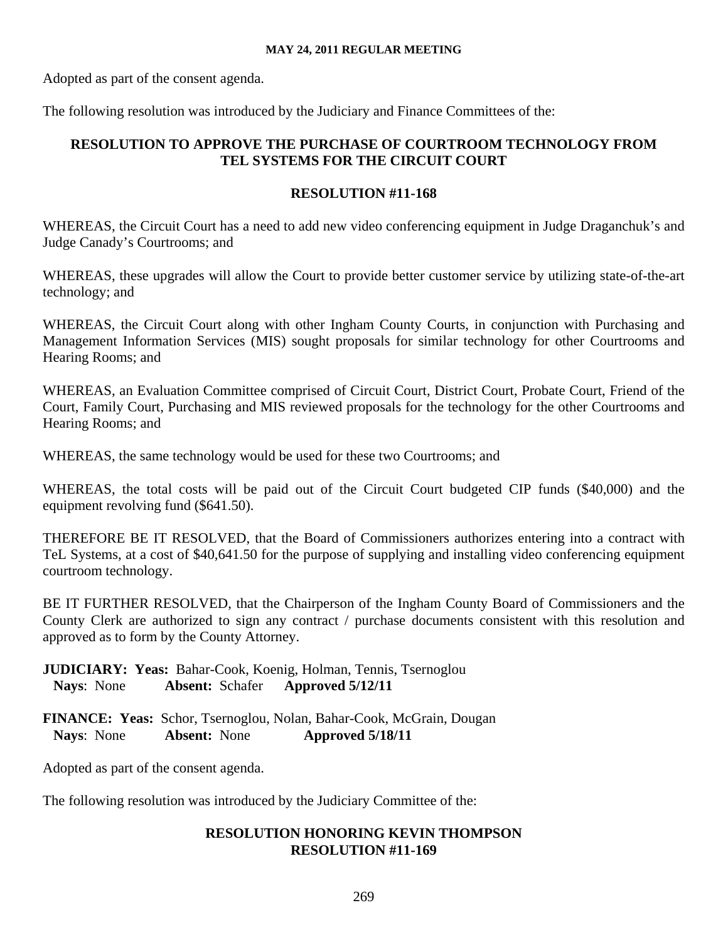Adopted as part of the consent agenda.

The following resolution was introduced by the Judiciary and Finance Committees of the:

## **RESOLUTION TO APPROVE THE PURCHASE OF COURTROOM TECHNOLOGY FROM TEL SYSTEMS FOR THE CIRCUIT COURT**

## **RESOLUTION #11-168**

WHEREAS, the Circuit Court has a need to add new video conferencing equipment in Judge Draganchuk's and Judge Canady's Courtrooms; and

WHEREAS, these upgrades will allow the Court to provide better customer service by utilizing state-of-the-art technology; and

WHEREAS, the Circuit Court along with other Ingham County Courts, in conjunction with Purchasing and Management Information Services (MIS) sought proposals for similar technology for other Courtrooms and Hearing Rooms; and

WHEREAS, an Evaluation Committee comprised of Circuit Court, District Court, Probate Court, Friend of the Court, Family Court, Purchasing and MIS reviewed proposals for the technology for the other Courtrooms and Hearing Rooms; and

WHEREAS, the same technology would be used for these two Courtrooms; and

WHEREAS, the total costs will be paid out of the Circuit Court budgeted CIP funds (\$40,000) and the equipment revolving fund (\$641.50).

THEREFORE BE IT RESOLVED, that the Board of Commissioners authorizes entering into a contract with TeL Systems, at a cost of \$40,641.50 for the purpose of supplying and installing video conferencing equipment courtroom technology.

BE IT FURTHER RESOLVED, that the Chairperson of the Ingham County Board of Commissioners and the County Clerk are authorized to sign any contract / purchase documents consistent with this resolution and approved as to form by the County Attorney.

**JUDICIARY: Yeas:** Bahar-Cook, Koenig, Holman, Tennis, Tsernoglou  **Nays**: None **Absent:** Schafer **Approved 5/12/11**

**FINANCE: Yeas:** Schor, Tsernoglou, Nolan, Bahar-Cook, McGrain, Dougan Nays: None **Absent:** None **Approved 5/18/11 Nays**: None **Absent:** None **Approved 5/18/11**

Adopted as part of the consent agenda.

The following resolution was introduced by the Judiciary Committee of the:

## **RESOLUTION HONORING KEVIN THOMPSON RESOLUTION #11-169**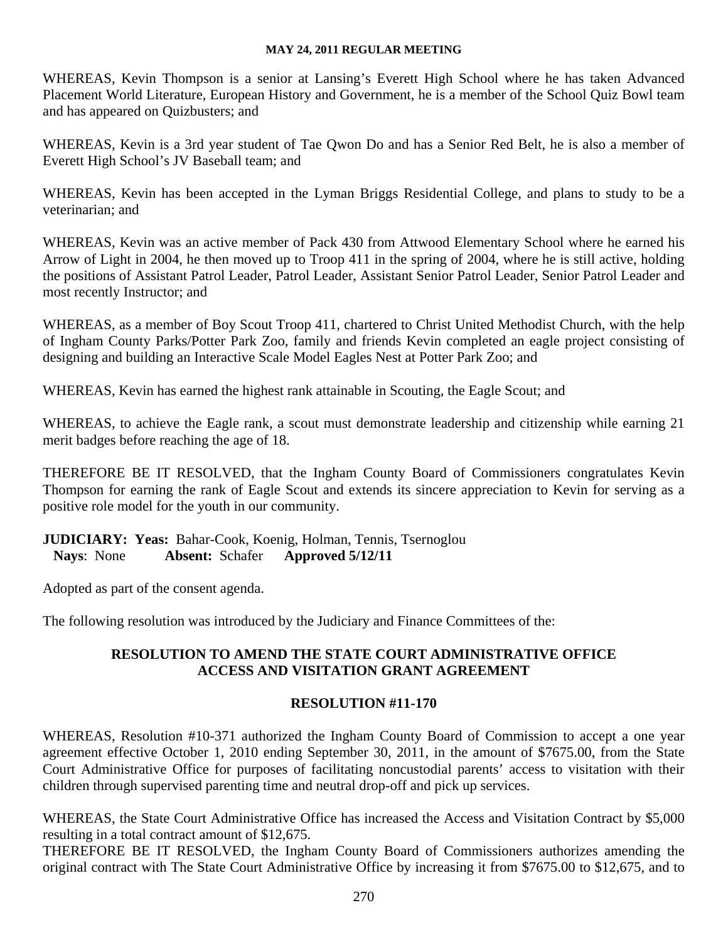WHEREAS, Kevin Thompson is a senior at Lansing's Everett High School where he has taken Advanced Placement World Literature, European History and Government, he is a member of the School Quiz Bowl team and has appeared on Quizbusters; and

WHEREAS, Kevin is a 3rd year student of Tae Qwon Do and has a Senior Red Belt, he is also a member of Everett High School's JV Baseball team; and

WHEREAS, Kevin has been accepted in the Lyman Briggs Residential College, and plans to study to be a veterinarian; and

WHEREAS, Kevin was an active member of Pack 430 from Attwood Elementary School where he earned his Arrow of Light in 2004, he then moved up to Troop 411 in the spring of 2004, where he is still active, holding the positions of Assistant Patrol Leader, Patrol Leader, Assistant Senior Patrol Leader, Senior Patrol Leader and most recently Instructor; and

WHEREAS, as a member of Boy Scout Troop 411, chartered to Christ United Methodist Church, with the help of Ingham County Parks/Potter Park Zoo, family and friends Kevin completed an eagle project consisting of designing and building an Interactive Scale Model Eagles Nest at Potter Park Zoo; and

WHEREAS, Kevin has earned the highest rank attainable in Scouting, the Eagle Scout; and

WHEREAS, to achieve the Eagle rank, a scout must demonstrate leadership and citizenship while earning 21 merit badges before reaching the age of 18.

THEREFORE BE IT RESOLVED, that the Ingham County Board of Commissioners congratulates Kevin Thompson for earning the rank of Eagle Scout and extends its sincere appreciation to Kevin for serving as a positive role model for the youth in our community.

**JUDICIARY: Yeas:** Bahar-Cook, Koenig, Holman, Tennis, Tsernoglou  **Nays**: None **Absent:** Schafer **Approved 5/12/11**

Adopted as part of the consent agenda.

The following resolution was introduced by the Judiciary and Finance Committees of the:

## **RESOLUTION TO AMEND THE STATE COURT ADMINISTRATIVE OFFICE ACCESS AND VISITATION GRANT AGREEMENT**

## **RESOLUTION #11-170**

WHEREAS, Resolution #10-371 authorized the Ingham County Board of Commission to accept a one year agreement effective October 1, 2010 ending September 30, 2011, in the amount of \$7675.00, from the State Court Administrative Office for purposes of facilitating noncustodial parents' access to visitation with their children through supervised parenting time and neutral drop-off and pick up services.

WHEREAS, the State Court Administrative Office has increased the Access and Visitation Contract by \$5,000 resulting in a total contract amount of \$12,675.

THEREFORE BE IT RESOLVED, the Ingham County Board of Commissioners authorizes amending the original contract with The State Court Administrative Office by increasing it from \$7675.00 to \$12,675, and to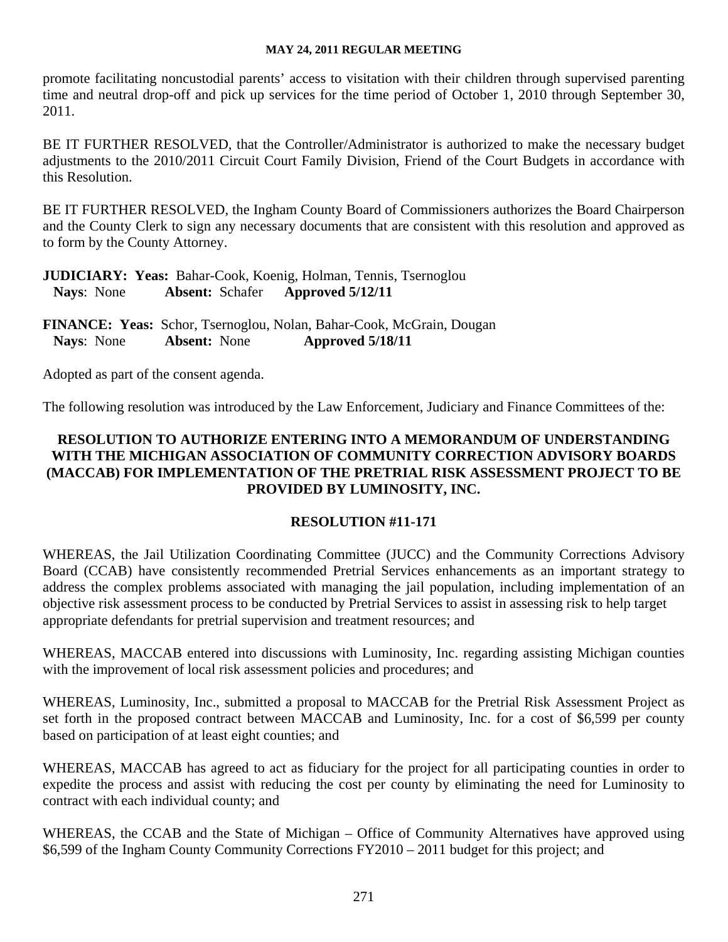promote facilitating noncustodial parents' access to visitation with their children through supervised parenting time and neutral drop-off and pick up services for the time period of October 1, 2010 through September 30, 2011.

BE IT FURTHER RESOLVED, that the Controller/Administrator is authorized to make the necessary budget adjustments to the 2010/2011 Circuit Court Family Division, Friend of the Court Budgets in accordance with this Resolution.

BE IT FURTHER RESOLVED, the Ingham County Board of Commissioners authorizes the Board Chairperson and the County Clerk to sign any necessary documents that are consistent with this resolution and approved as to form by the County Attorney.

**JUDICIARY: Yeas:** Bahar-Cook, Koenig, Holman, Tennis, Tsernoglou  **Nays**: None **Absent:** Schafer **Approved 5/12/11**

**FINANCE: Yeas:** Schor, Tsernoglou, Nolan, Bahar-Cook, McGrain, Dougan  **Nays**: None **Absent:** None **Approved 5/18/11**

Adopted as part of the consent agenda.

The following resolution was introduced by the Law Enforcement, Judiciary and Finance Committees of the:

## **RESOLUTION TO AUTHORIZE ENTERING INTO A MEMORANDUM OF UNDERSTANDING WITH THE MICHIGAN ASSOCIATION OF COMMUNITY CORRECTION ADVISORY BOARDS (MACCAB) FOR IMPLEMENTATION OF THE PRETRIAL RISK ASSESSMENT PROJECT TO BE PROVIDED BY LUMINOSITY, INC.**

## **RESOLUTION #11-171**

WHEREAS, the Jail Utilization Coordinating Committee (JUCC) and the Community Corrections Advisory Board (CCAB) have consistently recommended Pretrial Services enhancements as an important strategy to address the complex problems associated with managing the jail population, including implementation of an objective risk assessment process to be conducted by Pretrial Services to assist in assessing risk to help target appropriate defendants for pretrial supervision and treatment resources; and

WHEREAS, MACCAB entered into discussions with Luminosity, Inc. regarding assisting Michigan counties with the improvement of local risk assessment policies and procedures; and

WHEREAS, Luminosity, Inc., submitted a proposal to MACCAB for the Pretrial Risk Assessment Project as set forth in the proposed contract between MACCAB and Luminosity, Inc. for a cost of \$6,599 per county based on participation of at least eight counties; and

WHEREAS, MACCAB has agreed to act as fiduciary for the project for all participating counties in order to expedite the process and assist with reducing the cost per county by eliminating the need for Luminosity to contract with each individual county; and

WHEREAS, the CCAB and the State of Michigan – Office of Community Alternatives have approved using \$6,599 of the Ingham County Community Corrections FY2010 – 2011 budget for this project; and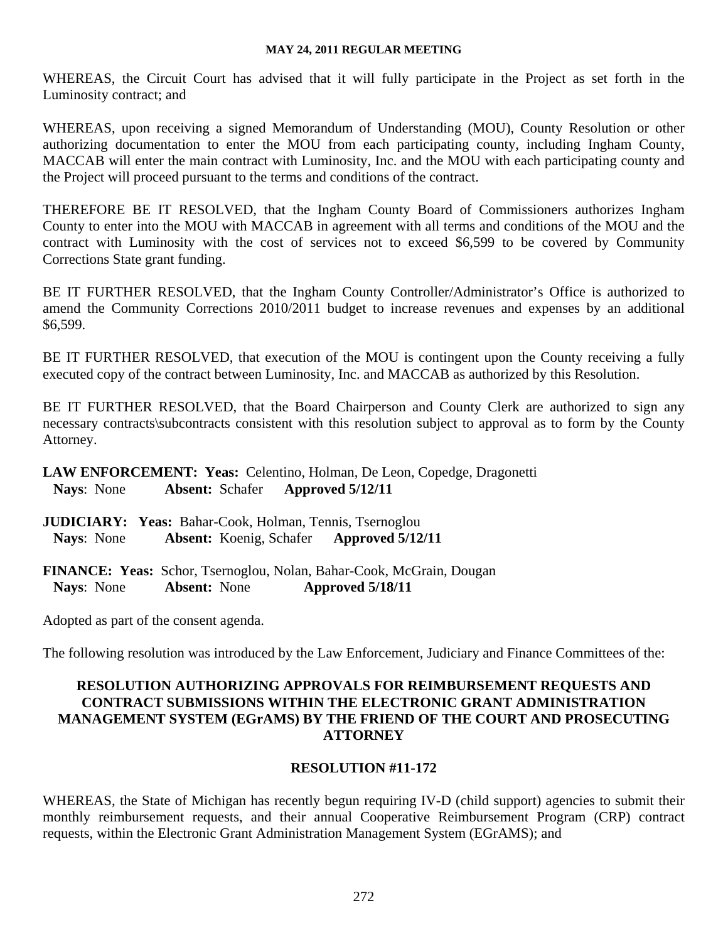WHEREAS, the Circuit Court has advised that it will fully participate in the Project as set forth in the Luminosity contract; and

WHEREAS, upon receiving a signed Memorandum of Understanding (MOU), County Resolution or other authorizing documentation to enter the MOU from each participating county, including Ingham County, MACCAB will enter the main contract with Luminosity, Inc. and the MOU with each participating county and the Project will proceed pursuant to the terms and conditions of the contract.

THEREFORE BE IT RESOLVED, that the Ingham County Board of Commissioners authorizes Ingham County to enter into the MOU with MACCAB in agreement with all terms and conditions of the MOU and the contract with Luminosity with the cost of services not to exceed \$6,599 to be covered by Community Corrections State grant funding.

BE IT FURTHER RESOLVED, that the Ingham County Controller/Administrator's Office is authorized to amend the Community Corrections 2010/2011 budget to increase revenues and expenses by an additional \$6,599.

BE IT FURTHER RESOLVED, that execution of the MOU is contingent upon the County receiving a fully executed copy of the contract between Luminosity, Inc. and MACCAB as authorized by this Resolution.

BE IT FURTHER RESOLVED, that the Board Chairperson and County Clerk are authorized to sign any necessary contracts\subcontracts consistent with this resolution subject to approval as to form by the County Attorney.

**LAW ENFORCEMENT: Yeas:** Celentino, Holman, De Leon, Copedge, Dragonetti  **Nays**: None **Absent:** Schafer **Approved 5/12/11**

**JUDICIARY: Yeas:** Bahar-Cook, Holman, Tennis, Tsernoglou  **Nays**: None **Absent:** Koenig, Schafer **Approved 5/12/11**

**FINANCE: Yeas:** Schor, Tsernoglou, Nolan, Bahar-Cook, McGrain, Dougan  **Nays**: None **Absent:** None **Approved 5/18/11**

Adopted as part of the consent agenda.

The following resolution was introduced by the Law Enforcement, Judiciary and Finance Committees of the:

## **RESOLUTION AUTHORIZING APPROVALS FOR REIMBURSEMENT REQUESTS AND CONTRACT SUBMISSIONS WITHIN THE ELECTRONIC GRANT ADMINISTRATION MANAGEMENT SYSTEM (EGrAMS) BY THE FRIEND OF THE COURT AND PROSECUTING ATTORNEY**

## **RESOLUTION #11-172**

WHEREAS, the State of Michigan has recently begun requiring IV-D (child support) agencies to submit their monthly reimbursement requests, and their annual Cooperative Reimbursement Program (CRP) contract requests, within the Electronic Grant Administration Management System (EGrAMS); and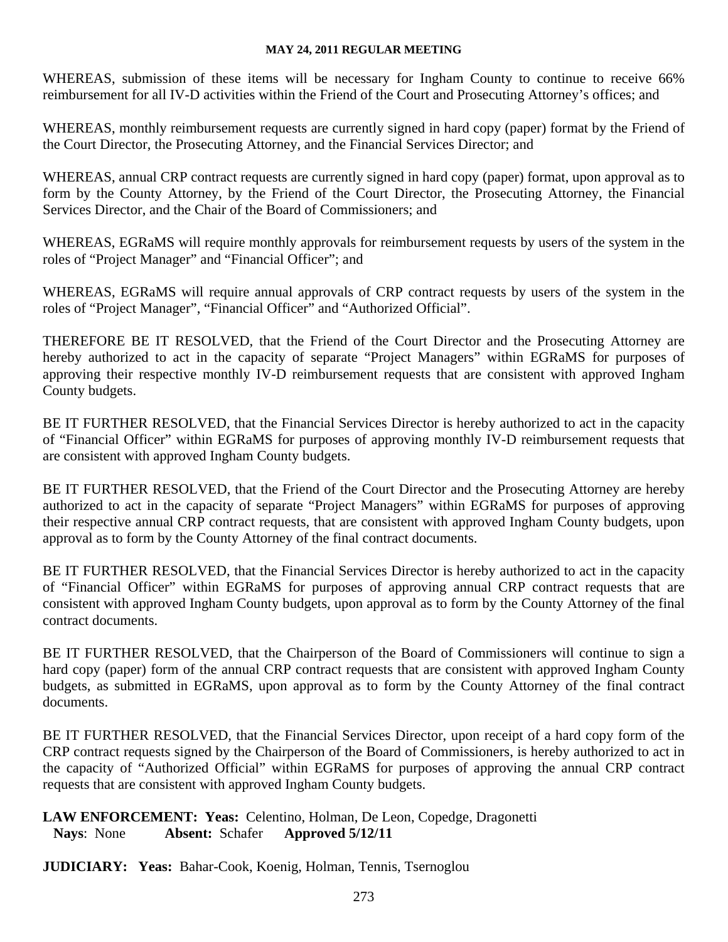WHEREAS, submission of these items will be necessary for Ingham County to continue to receive 66% reimbursement for all IV-D activities within the Friend of the Court and Prosecuting Attorney's offices; and

WHEREAS, monthly reimbursement requests are currently signed in hard copy (paper) format by the Friend of the Court Director, the Prosecuting Attorney, and the Financial Services Director; and

WHEREAS, annual CRP contract requests are currently signed in hard copy (paper) format, upon approval as to form by the County Attorney, by the Friend of the Court Director, the Prosecuting Attorney, the Financial Services Director, and the Chair of the Board of Commissioners; and

WHEREAS, EGRaMS will require monthly approvals for reimbursement requests by users of the system in the roles of "Project Manager" and "Financial Officer"; and

WHEREAS, EGRaMS will require annual approvals of CRP contract requests by users of the system in the roles of "Project Manager", "Financial Officer" and "Authorized Official".

THEREFORE BE IT RESOLVED, that the Friend of the Court Director and the Prosecuting Attorney are hereby authorized to act in the capacity of separate "Project Managers" within EGRaMS for purposes of approving their respective monthly IV-D reimbursement requests that are consistent with approved Ingham County budgets.

BE IT FURTHER RESOLVED, that the Financial Services Director is hereby authorized to act in the capacity of "Financial Officer" within EGRaMS for purposes of approving monthly IV-D reimbursement requests that are consistent with approved Ingham County budgets.

BE IT FURTHER RESOLVED, that the Friend of the Court Director and the Prosecuting Attorney are hereby authorized to act in the capacity of separate "Project Managers" within EGRaMS for purposes of approving their respective annual CRP contract requests, that are consistent with approved Ingham County budgets, upon approval as to form by the County Attorney of the final contract documents.

BE IT FURTHER RESOLVED, that the Financial Services Director is hereby authorized to act in the capacity of "Financial Officer" within EGRaMS for purposes of approving annual CRP contract requests that are consistent with approved Ingham County budgets, upon approval as to form by the County Attorney of the final contract documents.

BE IT FURTHER RESOLVED, that the Chairperson of the Board of Commissioners will continue to sign a hard copy (paper) form of the annual CRP contract requests that are consistent with approved Ingham County budgets, as submitted in EGRaMS, upon approval as to form by the County Attorney of the final contract documents.

BE IT FURTHER RESOLVED, that the Financial Services Director, upon receipt of a hard copy form of the CRP contract requests signed by the Chairperson of the Board of Commissioners, is hereby authorized to act in the capacity of "Authorized Official" within EGRaMS for purposes of approving the annual CRP contract requests that are consistent with approved Ingham County budgets.

## **LAW ENFORCEMENT: Yeas:** Celentino, Holman, De Leon, Copedge, Dragonetti  **Nays**: None **Absent:** Schafer **Approved 5/12/11**

**JUDICIARY: Yeas:** Bahar-Cook, Koenig, Holman, Tennis, Tsernoglou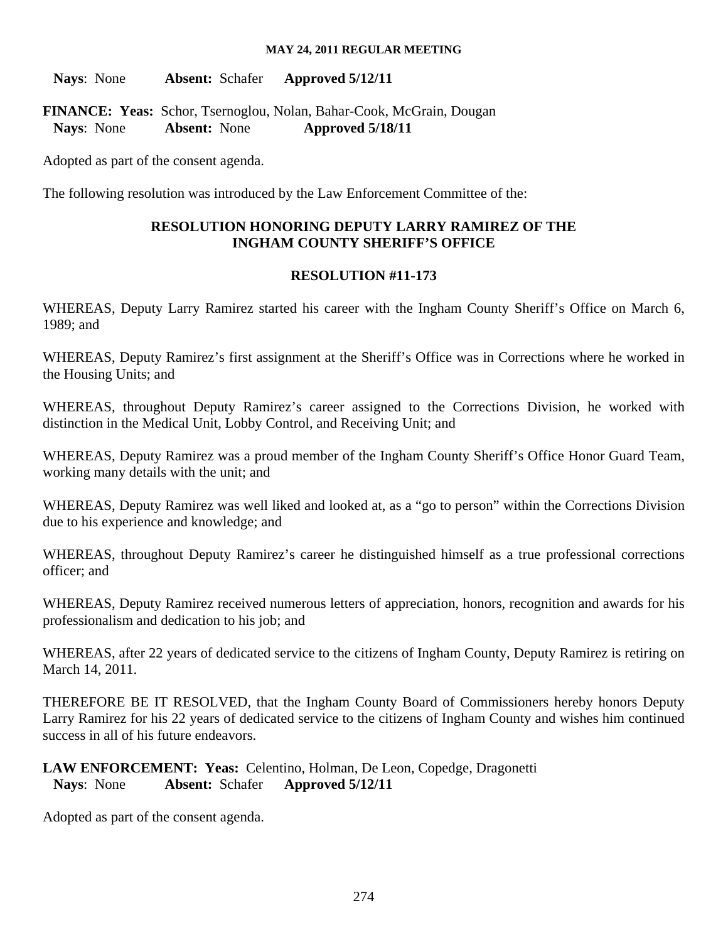**Nays**: None **Absent:** Schafer **Approved 5/12/11**

**FINANCE: Yeas:** Schor, Tsernoglou, Nolan, Bahar-Cook, McGrain, Dougan  **Nays**: None **Absent:** None **Approved 5/18/11**

Adopted as part of the consent agenda.

The following resolution was introduced by the Law Enforcement Committee of the:

## **RESOLUTION HONORING DEPUTY LARRY RAMIREZ OF THE INGHAM COUNTY SHERIFF'S OFFICE**

## **RESOLUTION #11-173**

WHEREAS, Deputy Larry Ramirez started his career with the Ingham County Sheriff's Office on March 6, 1989; and

WHEREAS, Deputy Ramirez's first assignment at the Sheriff's Office was in Corrections where he worked in the Housing Units; and

WHEREAS, throughout Deputy Ramirez's career assigned to the Corrections Division, he worked with distinction in the Medical Unit, Lobby Control, and Receiving Unit; and

WHEREAS, Deputy Ramirez was a proud member of the Ingham County Sheriff's Office Honor Guard Team, working many details with the unit; and

WHEREAS, Deputy Ramirez was well liked and looked at, as a "go to person" within the Corrections Division due to his experience and knowledge; and

WHEREAS, throughout Deputy Ramirez's career he distinguished himself as a true professional corrections officer; and

WHEREAS, Deputy Ramirez received numerous letters of appreciation, honors, recognition and awards for his professionalism and dedication to his job; and

WHEREAS, after 22 years of dedicated service to the citizens of Ingham County, Deputy Ramirez is retiring on March 14, 2011.

THEREFORE BE IT RESOLVED, that the Ingham County Board of Commissioners hereby honors Deputy Larry Ramirez for his 22 years of dedicated service to the citizens of Ingham County and wishes him continued success in all of his future endeavors.

## **LAW ENFORCEMENT: Yeas:** Celentino, Holman, De Leon, Copedge, Dragonetti  **Nays**: None **Absent:** Schafer **Approved 5/12/11**

Adopted as part of the consent agenda.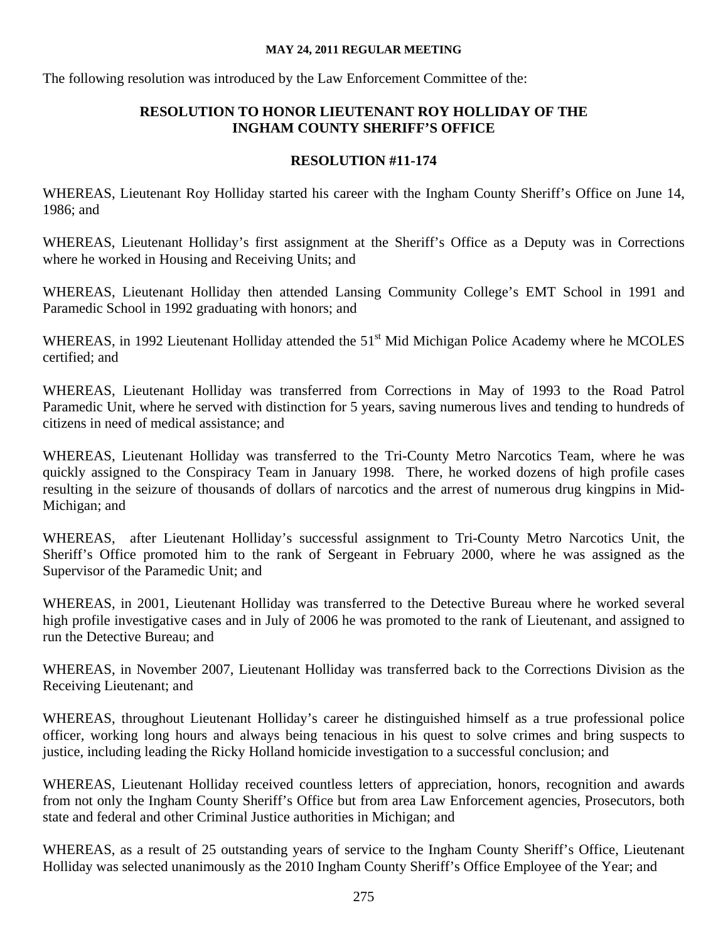The following resolution was introduced by the Law Enforcement Committee of the:

## **RESOLUTION TO HONOR LIEUTENANT ROY HOLLIDAY OF THE INGHAM COUNTY SHERIFF'S OFFICE**

## **RESOLUTION #11-174**

WHEREAS, Lieutenant Roy Holliday started his career with the Ingham County Sheriff's Office on June 14, 1986; and

WHEREAS, Lieutenant Holliday's first assignment at the Sheriff's Office as a Deputy was in Corrections where he worked in Housing and Receiving Units; and

WHEREAS, Lieutenant Holliday then attended Lansing Community College's EMT School in 1991 and Paramedic School in 1992 graduating with honors; and

WHEREAS, in 1992 Lieutenant Holliday attended the 51<sup>st</sup> Mid Michigan Police Academy where he MCOLES certified; and

WHEREAS, Lieutenant Holliday was transferred from Corrections in May of 1993 to the Road Patrol Paramedic Unit, where he served with distinction for 5 years, saving numerous lives and tending to hundreds of citizens in need of medical assistance; and

WHEREAS, Lieutenant Holliday was transferred to the Tri-County Metro Narcotics Team, where he was quickly assigned to the Conspiracy Team in January 1998. There, he worked dozens of high profile cases resulting in the seizure of thousands of dollars of narcotics and the arrest of numerous drug kingpins in Mid-Michigan; and

WHEREAS, after Lieutenant Holliday's successful assignment to Tri-County Metro Narcotics Unit, the Sheriff's Office promoted him to the rank of Sergeant in February 2000, where he was assigned as the Supervisor of the Paramedic Unit; and

WHEREAS, in 2001, Lieutenant Holliday was transferred to the Detective Bureau where he worked several high profile investigative cases and in July of 2006 he was promoted to the rank of Lieutenant, and assigned to run the Detective Bureau; and

WHEREAS, in November 2007, Lieutenant Holliday was transferred back to the Corrections Division as the Receiving Lieutenant; and

WHEREAS, throughout Lieutenant Holliday's career he distinguished himself as a true professional police officer, working long hours and always being tenacious in his quest to solve crimes and bring suspects to justice, including leading the Ricky Holland homicide investigation to a successful conclusion; and

WHEREAS, Lieutenant Holliday received countless letters of appreciation, honors, recognition and awards from not only the Ingham County Sheriff's Office but from area Law Enforcement agencies, Prosecutors, both state and federal and other Criminal Justice authorities in Michigan; and

WHEREAS, as a result of 25 outstanding years of service to the Ingham County Sheriff's Office, Lieutenant Holliday was selected unanimously as the 2010 Ingham County Sheriff's Office Employee of the Year; and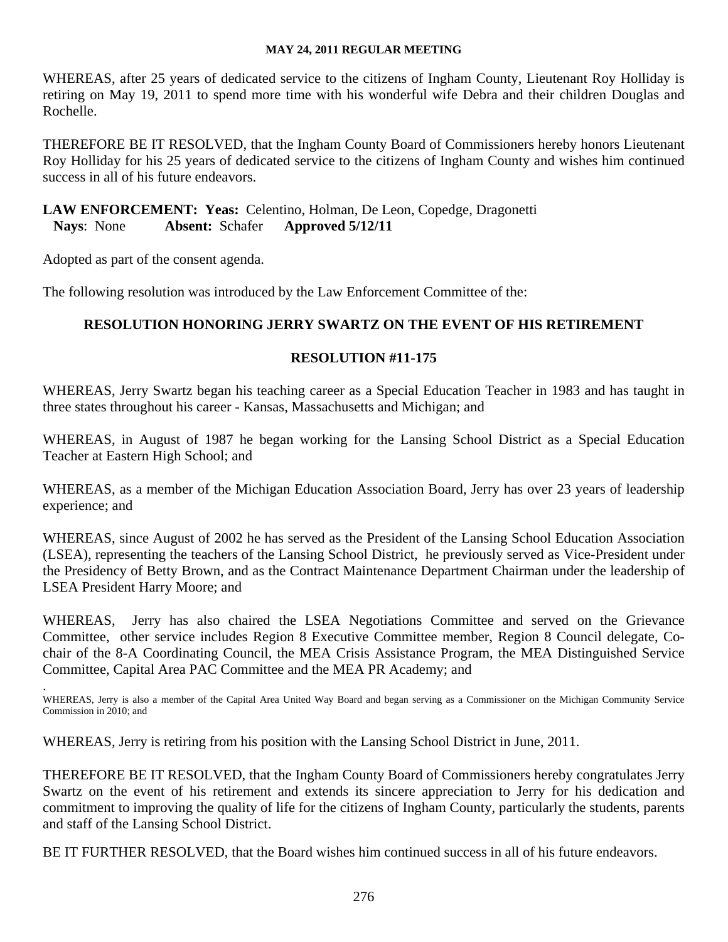WHEREAS, after 25 years of dedicated service to the citizens of Ingham County, Lieutenant Roy Holliday is retiring on May 19, 2011 to spend more time with his wonderful wife Debra and their children Douglas and Rochelle.

THEREFORE BE IT RESOLVED, that the Ingham County Board of Commissioners hereby honors Lieutenant Roy Holliday for his 25 years of dedicated service to the citizens of Ingham County and wishes him continued success in all of his future endeavors.

## **LAW ENFORCEMENT: Yeas:** Celentino, Holman, De Leon, Copedge, Dragonetti  **Nays**: None **Absent:** Schafer **Approved 5/12/11**

Adopted as part of the consent agenda.

The following resolution was introduced by the Law Enforcement Committee of the:

## **RESOLUTION HONORING JERRY SWARTZ ON THE EVENT OF HIS RETIREMENT**

## **RESOLUTION #11-175**

WHEREAS, Jerry Swartz began his teaching career as a Special Education Teacher in 1983 and has taught in three states throughout his career - Kansas, Massachusetts and Michigan; and

WHEREAS, in August of 1987 he began working for the Lansing School District as a Special Education Teacher at Eastern High School; and

WHEREAS, as a member of the Michigan Education Association Board, Jerry has over 23 years of leadership experience; and

WHEREAS, since August of 2002 he has served as the President of the Lansing School Education Association (LSEA), representing the teachers of the Lansing School District, he previously served as Vice-President under the Presidency of Betty Brown, and as the Contract Maintenance Department Chairman under the leadership of LSEA President Harry Moore; and

WHEREAS, Jerry has also chaired the LSEA Negotiations Committee and served on the Grievance Committee, other service includes Region 8 Executive Committee member, Region 8 Council delegate, Cochair of the 8-A Coordinating Council, the MEA Crisis Assistance Program, the MEA Distinguished Service Committee, Capital Area PAC Committee and the MEA PR Academy; and

. WHEREAS, Jerry is also a member of the Capital Area United Way Board and began serving as a Commissioner on the Michigan Community Service Commission in 2010; and

WHEREAS, Jerry is retiring from his position with the Lansing School District in June, 2011.

THEREFORE BE IT RESOLVED, that the Ingham County Board of Commissioners hereby congratulates Jerry Swartz on the event of his retirement and extends its sincere appreciation to Jerry for his dedication and commitment to improving the quality of life for the citizens of Ingham County, particularly the students, parents and staff of the Lansing School District.

BE IT FURTHER RESOLVED, that the Board wishes him continued success in all of his future endeavors.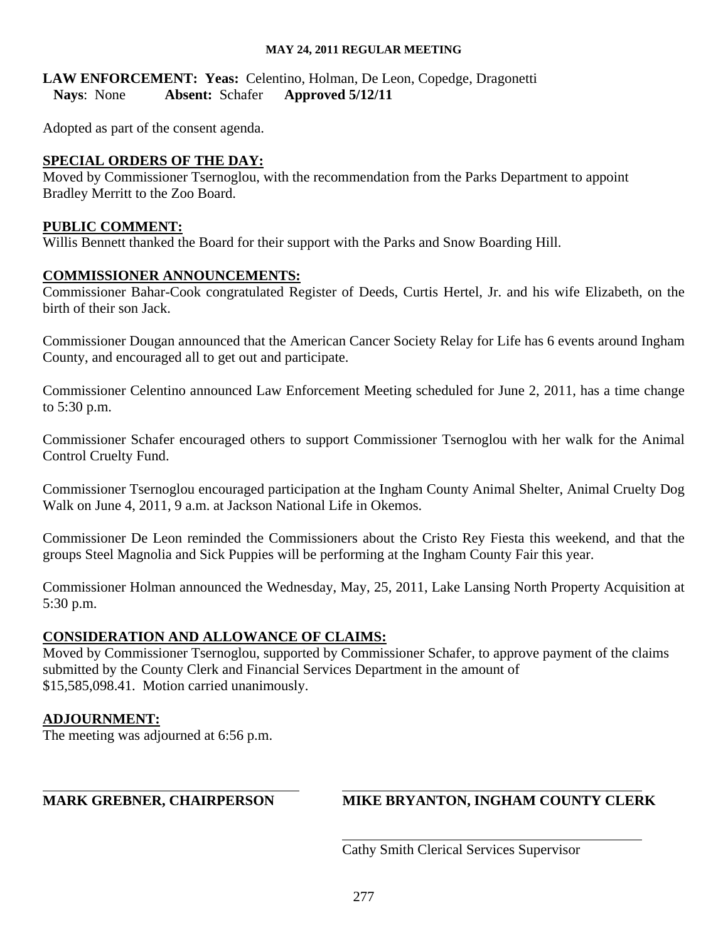## **LAW ENFORCEMENT: Yeas:** Celentino, Holman, De Leon, Copedge, Dragonetti  **Nays**: None **Absent:** Schafer **Approved 5/12/11**

Adopted as part of the consent agenda.

## **SPECIAL ORDERS OF THE DAY:**

Moved by Commissioner Tsernoglou, with the recommendation from the Parks Department to appoint Bradley Merritt to the Zoo Board.

## **PUBLIC COMMENT:**

Willis Bennett thanked the Board for their support with the Parks and Snow Boarding Hill.

## **COMMISSIONER ANNOUNCEMENTS:**

Commissioner Bahar-Cook congratulated Register of Deeds, Curtis Hertel, Jr. and his wife Elizabeth, on the birth of their son Jack.

Commissioner Dougan announced that the American Cancer Society Relay for Life has 6 events around Ingham County, and encouraged all to get out and participate.

Commissioner Celentino announced Law Enforcement Meeting scheduled for June 2, 2011, has a time change to 5:30 p.m.

Commissioner Schafer encouraged others to support Commissioner Tsernoglou with her walk for the Animal Control Cruelty Fund.

Commissioner Tsernoglou encouraged participation at the Ingham County Animal Shelter, Animal Cruelty Dog Walk on June 4, 2011, 9 a.m. at Jackson National Life in Okemos.

Commissioner De Leon reminded the Commissioners about the Cristo Rey Fiesta this weekend, and that the groups Steel Magnolia and Sick Puppies will be performing at the Ingham County Fair this year.

Commissioner Holman announced the Wednesday, May, 25, 2011, Lake Lansing North Property Acquisition at 5:30 p.m.

## **CONSIDERATION AND ALLOWANCE OF CLAIMS:**

Moved by Commissioner Tsernoglou, supported by Commissioner Schafer, to approve payment of the claims submitted by the County Clerk and Financial Services Department in the amount of \$15,585,098.41. Motion carried unanimously.

## **ADJOURNMENT:**

 $\overline{a}$ 

The meeting was adjourned at 6:56 p.m.

## **MARK GREBNER, CHAIRPERSON MIKE BRYANTON, INGHAM COUNTY CLERK**

Cathy Smith Clerical Services Supervisor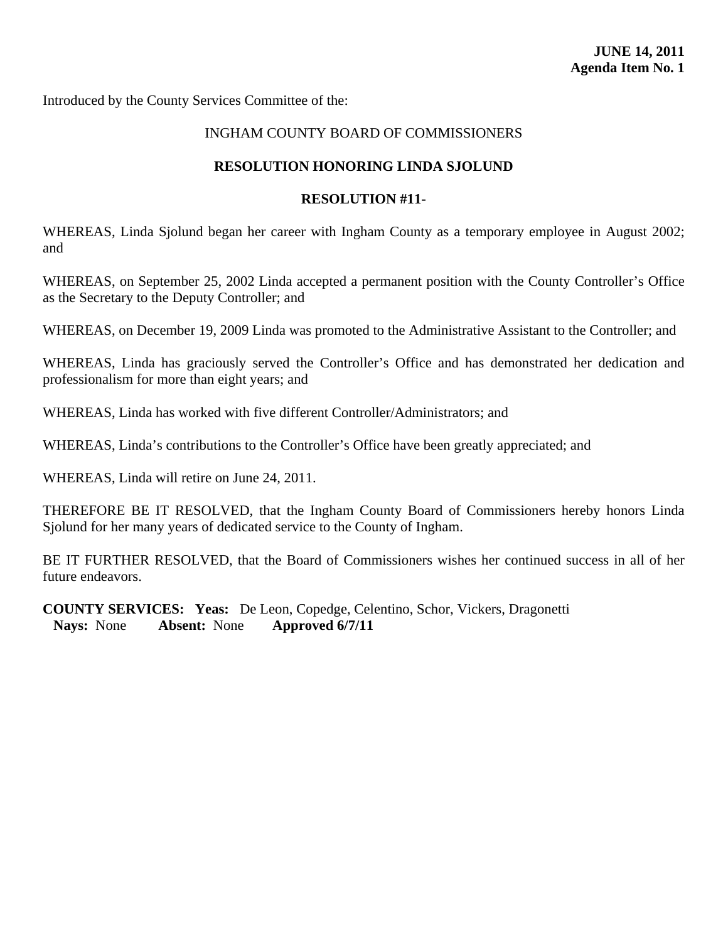<span id="page-48-0"></span>Introduced by the County Services Committee of the:

## INGHAM COUNTY BOARD OF COMMISSIONERS

#### **RESOLUTION HONORING LINDA SJOLUND**

#### **RESOLUTION #11-**

WHEREAS, Linda Sjolund began her career with Ingham County as a temporary employee in August 2002; and

WHEREAS, on September 25, 2002 Linda accepted a permanent position with the County Controller's Office as the Secretary to the Deputy Controller; and

WHEREAS, on December 19, 2009 Linda was promoted to the Administrative Assistant to the Controller; and

WHEREAS, Linda has graciously served the Controller's Office and has demonstrated her dedication and professionalism for more than eight years; and

WHEREAS, Linda has worked with five different Controller/Administrators; and

WHEREAS, Linda's contributions to the Controller's Office have been greatly appreciated; and

WHEREAS, Linda will retire on June 24, 2011.

THEREFORE BE IT RESOLVED, that the Ingham County Board of Commissioners hereby honors Linda Sjolund for her many years of dedicated service to the County of Ingham.

BE IT FURTHER RESOLVED, that the Board of Commissioners wishes her continued success in all of her future endeavors.

**COUNTY SERVICES: Yeas:** De Leon, Copedge, Celentino, Schor, Vickers, Dragonetti  **Nays:** None **Absent:** None **Approved 6/7/11**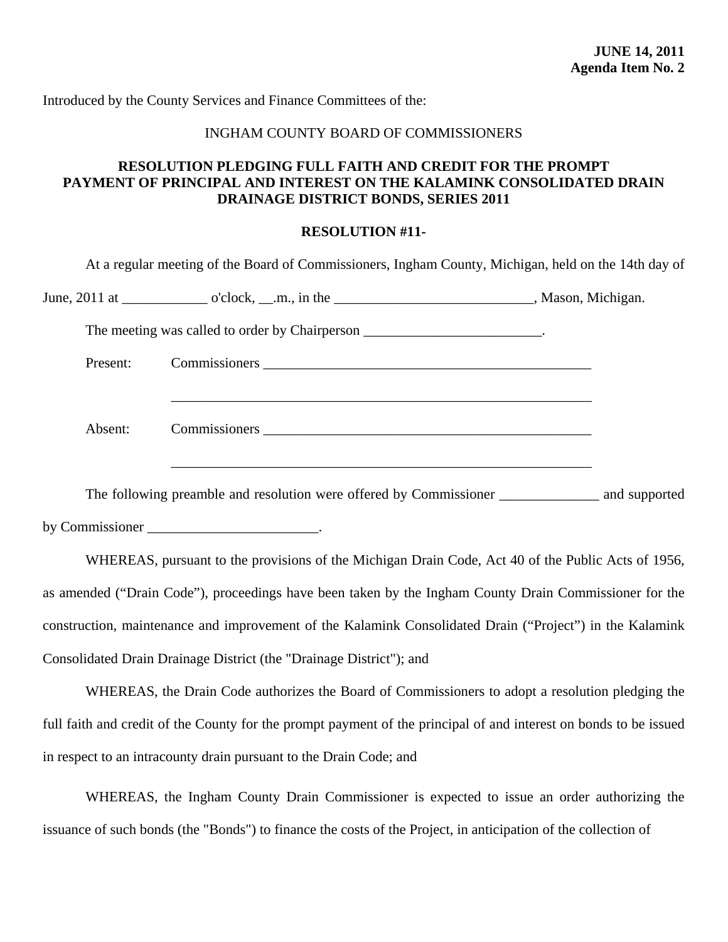## INGHAM COUNTY BOARD OF COMMISSIONERS

## <span id="page-49-0"></span>**RESOLUTION PLEDGING FULL FAITH AND CREDIT FOR THE PROMPT PAYMENT OF PRINCIPAL AND INTEREST ON THE KALAMINK CONSOLIDATED DRAIN DRAINAGE DISTRICT BONDS, SERIES 2011**

#### **RESOLUTION #11-**

| The meeting was called to order by Chairperson ________________________________. |  |
|----------------------------------------------------------------------------------|--|
|                                                                                  |  |
| Present:                                                                         |  |
| Absent:                                                                          |  |

by Commissioner \_\_\_\_\_\_\_\_\_\_\_\_\_\_\_\_\_\_\_\_\_\_\_\_.

 WHEREAS, pursuant to the provisions of the Michigan Drain Code, Act 40 of the Public Acts of 1956, as amended ("Drain Code"), proceedings have been taken by the Ingham County Drain Commissioner for the construction, maintenance and improvement of the Kalamink Consolidated Drain ("Project") in the Kalamink Consolidated Drain Drainage District (the "Drainage District"); and

WHEREAS, the Drain Code authorizes the Board of Commissioners to adopt a resolution pledging the full faith and credit of the County for the prompt payment of the principal of and interest on bonds to be issued in respect to an intracounty drain pursuant to the Drain Code; and

WHEREAS, the Ingham County Drain Commissioner is expected to issue an order authorizing the issuance of such bonds (the "Bonds") to finance the costs of the Project, in anticipation of the collection of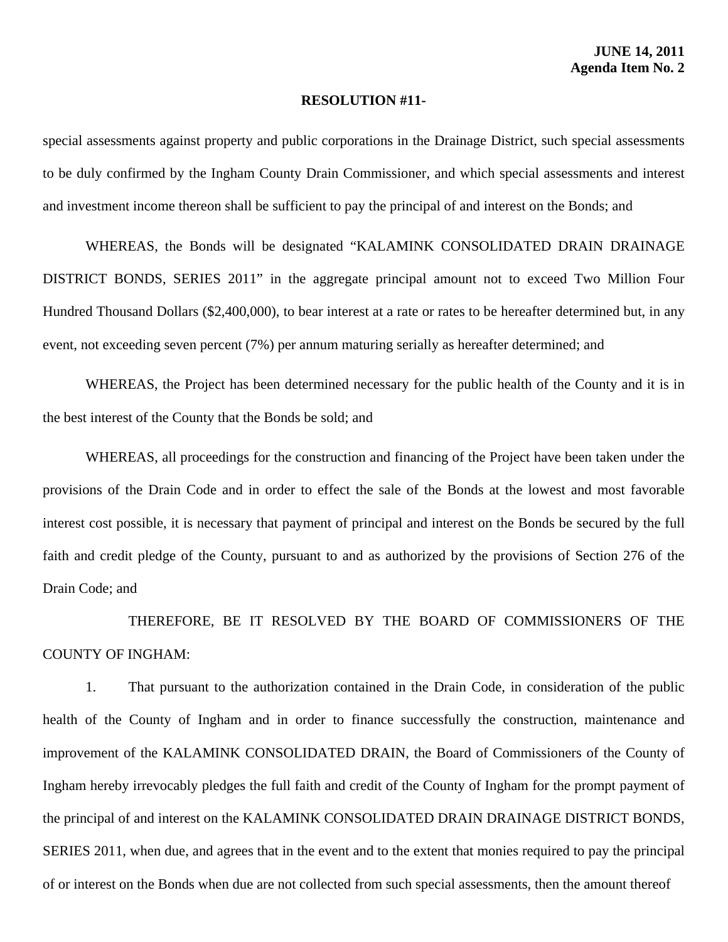special assessments against property and public corporations in the Drainage District, such special assessments to be duly confirmed by the Ingham County Drain Commissioner, and which special assessments and interest and investment income thereon shall be sufficient to pay the principal of and interest on the Bonds; and

 WHEREAS, the Bonds will be designated "KALAMINK CONSOLIDATED DRAIN DRAINAGE DISTRICT BONDS, SERIES 2011" in the aggregate principal amount not to exceed Two Million Four Hundred Thousand Dollars (\$2,400,000), to bear interest at a rate or rates to be hereafter determined but, in any event, not exceeding seven percent (7%) per annum maturing serially as hereafter determined; and

 WHEREAS, the Project has been determined necessary for the public health of the County and it is in the best interest of the County that the Bonds be sold; and

 WHEREAS, all proceedings for the construction and financing of the Project have been taken under the provisions of the Drain Code and in order to effect the sale of the Bonds at the lowest and most favorable interest cost possible, it is necessary that payment of principal and interest on the Bonds be secured by the full faith and credit pledge of the County, pursuant to and as authorized by the provisions of Section 276 of the Drain Code; and

 THEREFORE, BE IT RESOLVED BY THE BOARD OF COMMISSIONERS OF THE COUNTY OF INGHAM:

 1. That pursuant to the authorization contained in the Drain Code, in consideration of the public health of the County of Ingham and in order to finance successfully the construction, maintenance and improvement of the KALAMINK CONSOLIDATED DRAIN, the Board of Commissioners of the County of Ingham hereby irrevocably pledges the full faith and credit of the County of Ingham for the prompt payment of the principal of and interest on the KALAMINK CONSOLIDATED DRAIN DRAINAGE DISTRICT BONDS, SERIES 2011, when due, and agrees that in the event and to the extent that monies required to pay the principal of or interest on the Bonds when due are not collected from such special assessments, then the amount thereof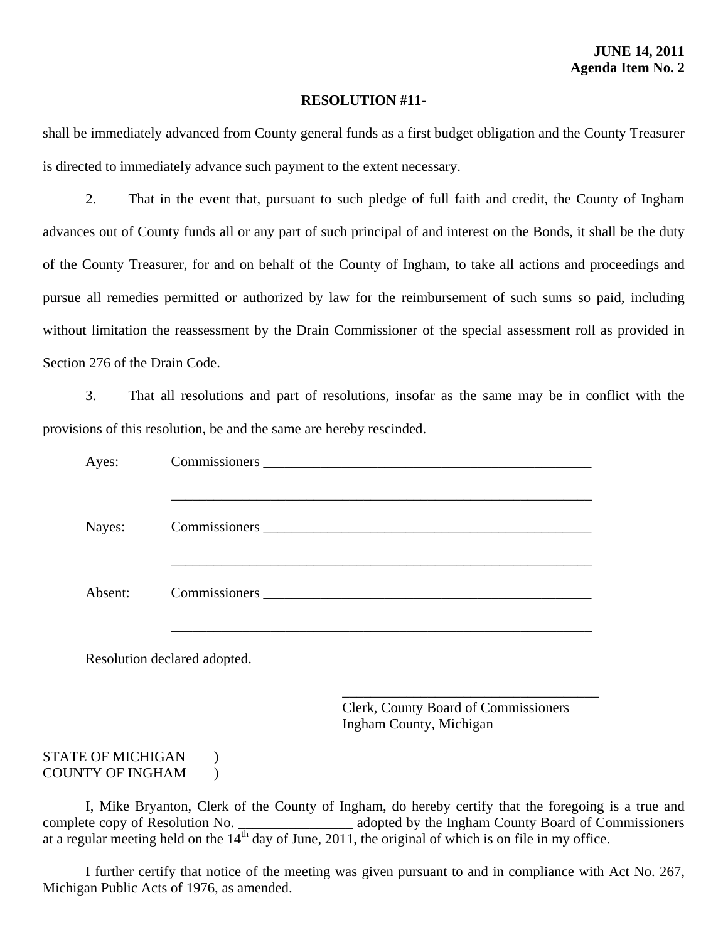shall be immediately advanced from County general funds as a first budget obligation and the County Treasurer is directed to immediately advance such payment to the extent necessary.

 2. That in the event that, pursuant to such pledge of full faith and credit, the County of Ingham advances out of County funds all or any part of such principal of and interest on the Bonds, it shall be the duty of the County Treasurer, for and on behalf of the County of Ingham, to take all actions and proceedings and pursue all remedies permitted or authorized by law for the reimbursement of such sums so paid, including without limitation the reassessment by the Drain Commissioner of the special assessment roll as provided in Section 276 of the Drain Code.

 3. That all resolutions and part of resolutions, insofar as the same may be in conflict with the provisions of this resolution, be and the same are hereby rescinded.

| Ayes:   |                              | Commissioners New York Commissioners                                                                                                                                                                                          |
|---------|------------------------------|-------------------------------------------------------------------------------------------------------------------------------------------------------------------------------------------------------------------------------|
| Nayes:  |                              |                                                                                                                                                                                                                               |
| Absent: |                              | Commissioners executive and the commissioners of the contract of the contract of the contract of the contract of the contract of the contract of the contract of the contract of the contract of the contract of the contract |
|         | Resolution declared adopted. |                                                                                                                                                                                                                               |
|         |                              | Clerk, County Board of Commissioners<br>Ingham County, Michigan                                                                                                                                                               |

#### STATE OF MICHIGAN ) COUNTY OF INGHAM )

I, Mike Bryanton, Clerk of the County of Ingham, do hereby certify that the foregoing is a true and te copy of Resolution No. complete copy of Resolution No. \_\_\_\_\_\_\_\_\_\_\_\_\_\_\_\_ adopted by the Ingham County Board of Commissioners at a regular meeting held on the  $14<sup>th</sup>$  day of June, 2011, the original of which is on file in my office.

 I further certify that notice of the meeting was given pursuant to and in compliance with Act No. 267, Michigan Public Acts of 1976, as amended.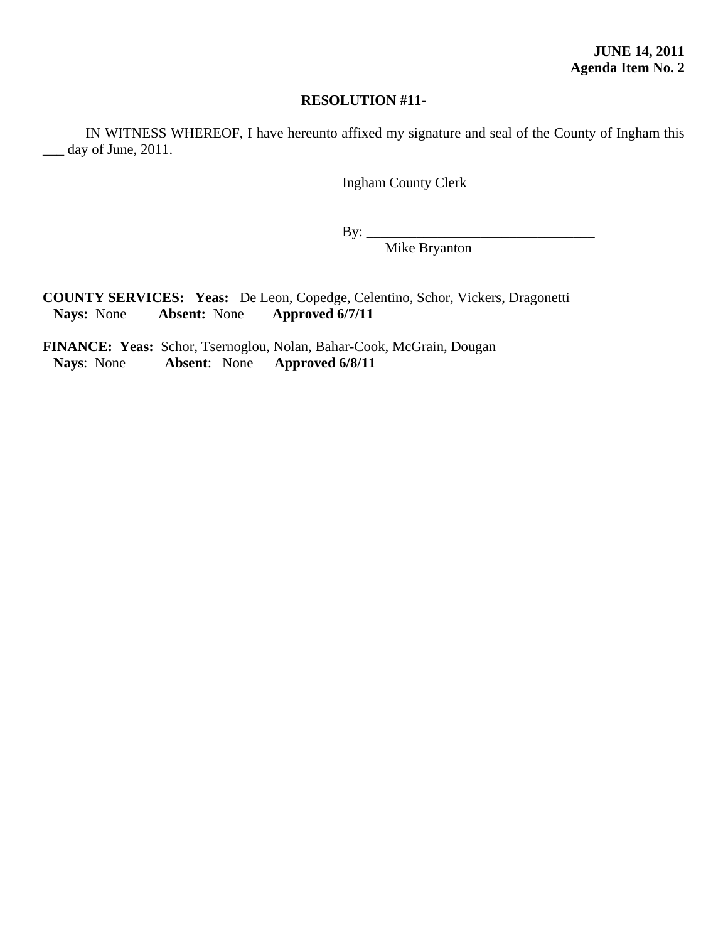IN WITNESS WHEREOF, I have hereunto affixed my signature and seal of the County of Ingham this day of June, 2011.

Ingham County Clerk

 $By:$ 

Mike Bryanton

**COUNTY SERVICES: Yeas:** De Leon, Copedge, Celentino, Schor, Vickers, Dragonetti  **Nays:** None **Absent:** None **Approved 6/7/11**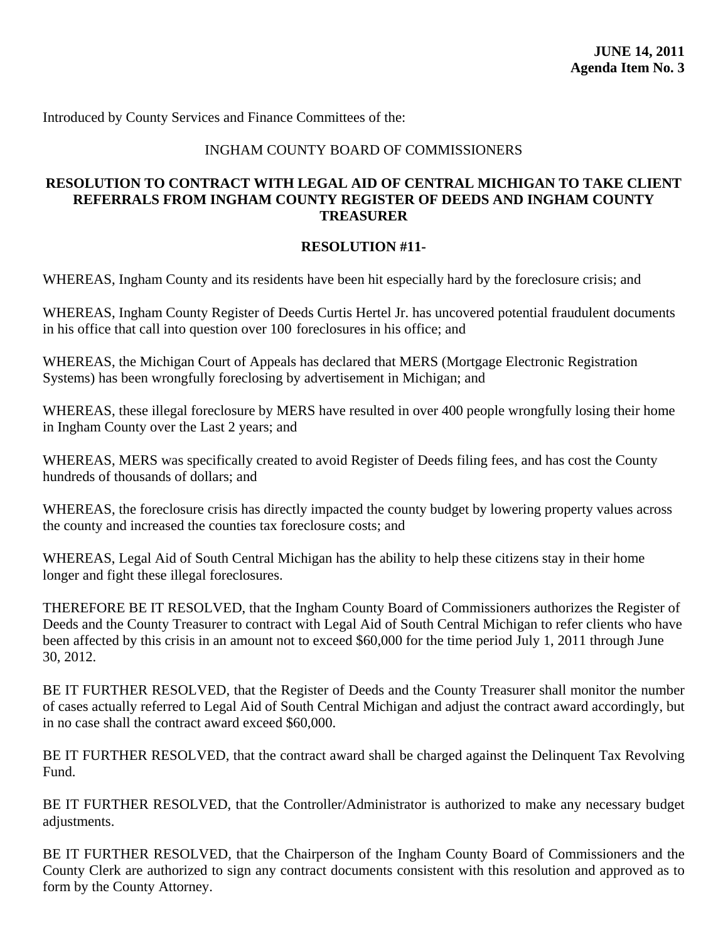## INGHAM COUNTY BOARD OF COMMISSIONERS

## <span id="page-53-0"></span>**RESOLUTION TO CONTRACT WITH LEGAL AID OF CENTRAL MICHIGAN TO TAKE CLIENT REFERRALS FROM INGHAM COUNTY REGISTER OF DEEDS AND INGHAM COUNTY TREASURER**

#### **RESOLUTION #11-**

WHEREAS, Ingham County and its residents have been hit especially hard by the foreclosure crisis; and

WHEREAS, Ingham County Register of Deeds Curtis Hertel Jr. has uncovered potential fraudulent documents in his office that call into question over 100 foreclosures in his office; and

WHEREAS, the Michigan Court of Appeals has declared that MERS (Mortgage Electronic Registration Systems) has been wrongfully foreclosing by advertisement in Michigan; and

WHEREAS, these illegal foreclosure by MERS have resulted in over 400 people wrongfully losing their home in Ingham County over the Last 2 years; and

WHEREAS, MERS was specifically created to avoid Register of Deeds filing fees, and has cost the County hundreds of thousands of dollars; and

WHEREAS, the foreclosure crisis has directly impacted the county budget by lowering property values across the county and increased the counties tax foreclosure costs; and

WHEREAS, Legal Aid of South Central Michigan has the ability to help these citizens stay in their home longer and fight these illegal foreclosures.

THEREFORE BE IT RESOLVED, that the Ingham County Board of Commissioners authorizes the Register of Deeds and the County Treasurer to contract with Legal Aid of South Central Michigan to refer clients who have been affected by this crisis in an amount not to exceed \$60,000 for the time period July 1, 2011 through June 30, 2012.

BE IT FURTHER RESOLVED, that the Register of Deeds and the County Treasurer shall monitor the number of cases actually referred to Legal Aid of South Central Michigan and adjust the contract award accordingly, but in no case shall the contract award exceed \$60,000.

BE IT FURTHER RESOLVED, that the contract award shall be charged against the Delinquent Tax Revolving Fund.

BE IT FURTHER RESOLVED, that the Controller/Administrator is authorized to make any necessary budget adjustments.

BE IT FURTHER RESOLVED, that the Chairperson of the Ingham County Board of Commissioners and the County Clerk are authorized to sign any contract documents consistent with this resolution and approved as to form by the County Attorney.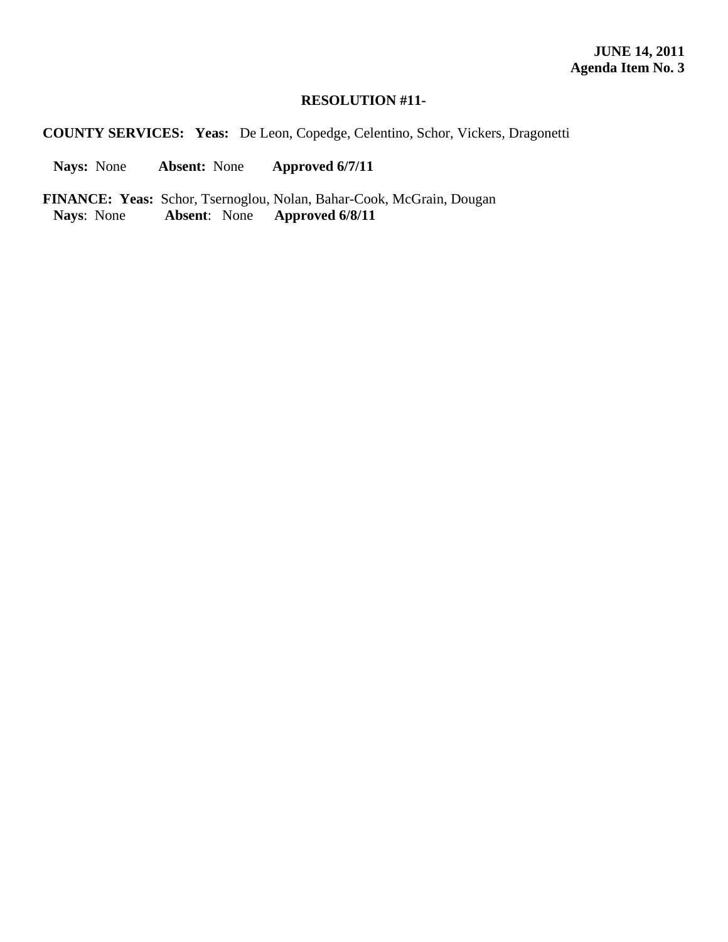**COUNTY SERVICES: Yeas:** De Leon, Copedge, Celentino, Schor, Vickers, Dragonetti

 **Nays:** None **Absent:** None **Approved 6/7/11** 

**FINANCE: Yeas:** Schor, Tsernoglou, Nolan, Bahar-Cook, McGrain, Dougan Nays: None Absent: None Approved 6/8/11 **Nays**: None **Absent**: None **Approved 6/8/11**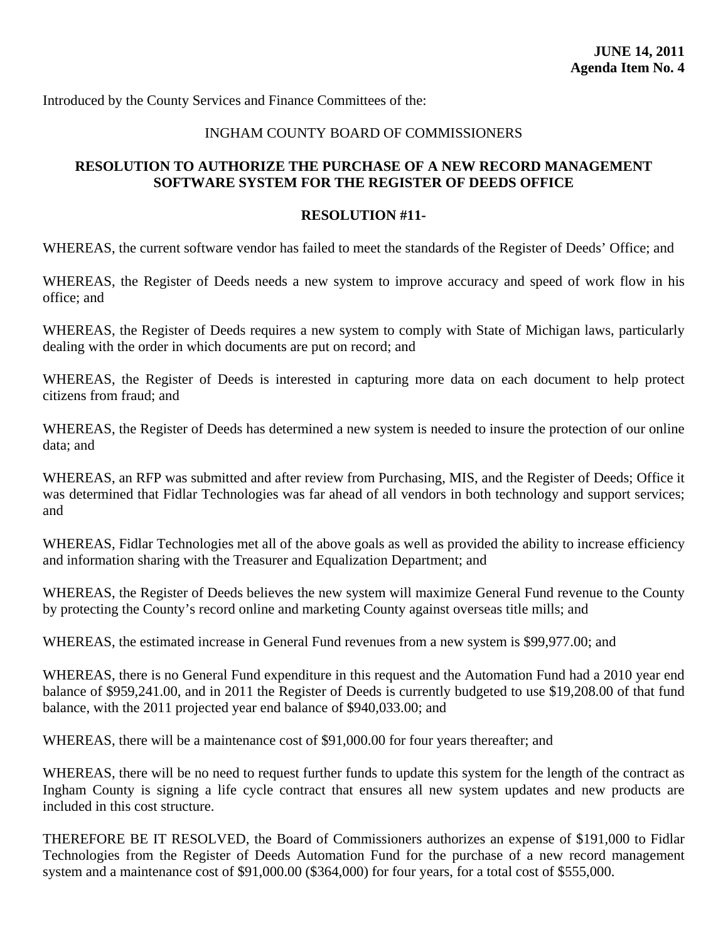## INGHAM COUNTY BOARD OF COMMISSIONERS

## <span id="page-55-0"></span>**RESOLUTION TO AUTHORIZE THE PURCHASE OF A NEW RECORD MANAGEMENT SOFTWARE SYSTEM FOR THE REGISTER OF DEEDS OFFICE**

#### **RESOLUTION #11-**

WHEREAS, the current software vendor has failed to meet the standards of the Register of Deeds' Office; and

WHEREAS, the Register of Deeds needs a new system to improve accuracy and speed of work flow in his office; and

WHEREAS, the Register of Deeds requires a new system to comply with State of Michigan laws, particularly dealing with the order in which documents are put on record; and

WHEREAS, the Register of Deeds is interested in capturing more data on each document to help protect citizens from fraud; and

WHEREAS, the Register of Deeds has determined a new system is needed to insure the protection of our online data; and

WHEREAS, an RFP was submitted and after review from Purchasing, MIS, and the Register of Deeds; Office it was determined that Fidlar Technologies was far ahead of all vendors in both technology and support services; and

WHEREAS, Fidlar Technologies met all of the above goals as well as provided the ability to increase efficiency and information sharing with the Treasurer and Equalization Department; and

WHEREAS, the Register of Deeds believes the new system will maximize General Fund revenue to the County by protecting the County's record online and marketing County against overseas title mills; and

WHEREAS, the estimated increase in General Fund revenues from a new system is \$99,977.00; and

WHEREAS, there is no General Fund expenditure in this request and the Automation Fund had a 2010 year end balance of \$959,241.00, and in 2011 the Register of Deeds is currently budgeted to use \$19,208.00 of that fund balance, with the 2011 projected year end balance of \$940,033.00; and

WHEREAS, there will be a maintenance cost of \$91,000.00 for four years thereafter; and

WHEREAS, there will be no need to request further funds to update this system for the length of the contract as Ingham County is signing a life cycle contract that ensures all new system updates and new products are included in this cost structure.

THEREFORE BE IT RESOLVED, the Board of Commissioners authorizes an expense of \$191,000 to Fidlar Technologies from the Register of Deeds Automation Fund for the purchase of a new record management system and a maintenance cost of \$91,000.00 (\$364,000) for four years, for a total cost of \$555,000.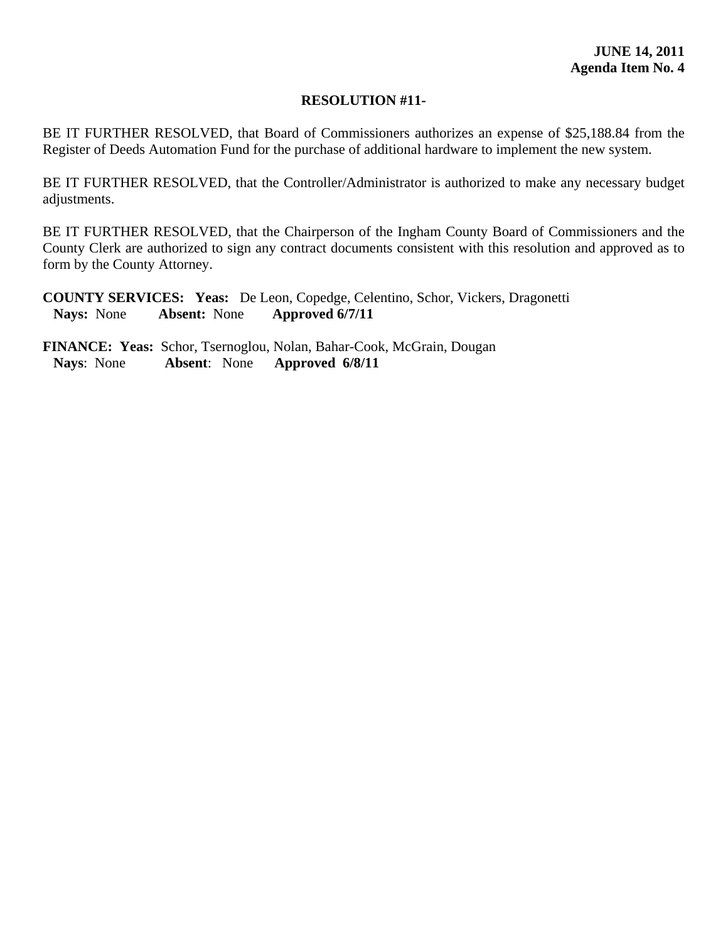BE IT FURTHER RESOLVED, that Board of Commissioners authorizes an expense of \$25,188.84 from the Register of Deeds Automation Fund for the purchase of additional hardware to implement the new system.

BE IT FURTHER RESOLVED, that the Controller/Administrator is authorized to make any necessary budget adjustments.

BE IT FURTHER RESOLVED, that the Chairperson of the Ingham County Board of Commissioners and the County Clerk are authorized to sign any contract documents consistent with this resolution and approved as to form by the County Attorney.

**COUNTY SERVICES: Yeas:** De Leon, Copedge, Celentino, Schor, Vickers, Dragonetti  **Nays:** None **Absent:** None **Approved 6/7/11**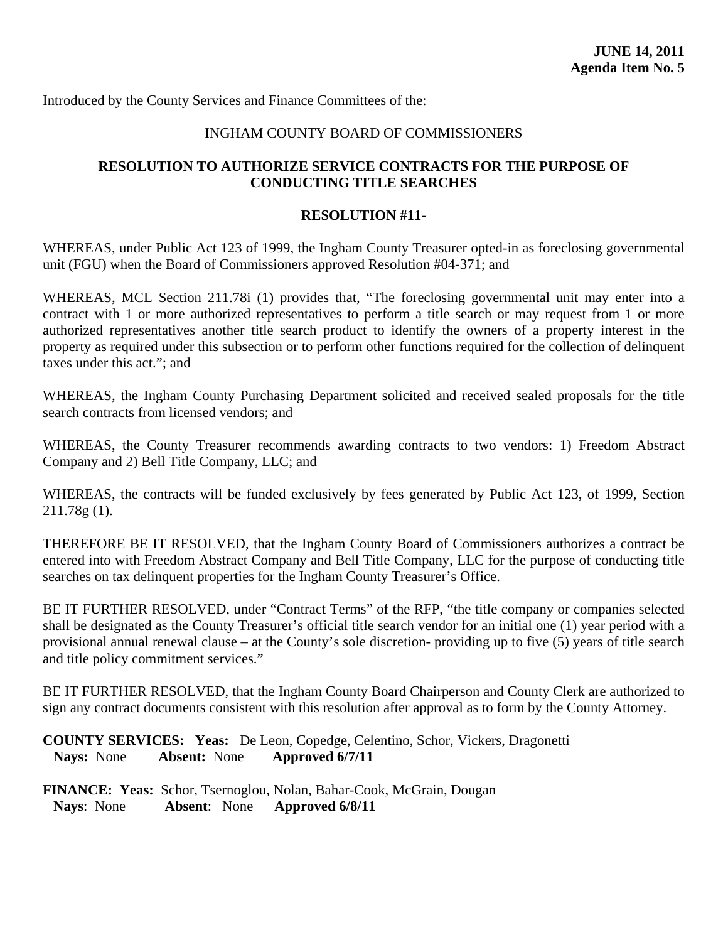## INGHAM COUNTY BOARD OF COMMISSIONERS

## <span id="page-57-0"></span>**RESOLUTION TO AUTHORIZE SERVICE CONTRACTS FOR THE PURPOSE OF CONDUCTING TITLE SEARCHES**

#### **RESOLUTION #11-**

WHEREAS, under Public Act 123 of 1999, the Ingham County Treasurer opted-in as foreclosing governmental unit (FGU) when the Board of Commissioners approved Resolution #04-371; and

WHEREAS, MCL Section 211.78i (1) provides that, "The foreclosing governmental unit may enter into a contract with 1 or more authorized representatives to perform a title search or may request from 1 or more authorized representatives another title search product to identify the owners of a property interest in the property as required under this subsection or to perform other functions required for the collection of delinquent taxes under this act."; and

WHEREAS, the Ingham County Purchasing Department solicited and received sealed proposals for the title search contracts from licensed vendors; and

WHEREAS, the County Treasurer recommends awarding contracts to two vendors: 1) Freedom Abstract Company and 2) Bell Title Company, LLC; and

WHEREAS, the contracts will be funded exclusively by fees generated by Public Act 123, of 1999, Section 211.78g (1).

THEREFORE BE IT RESOLVED, that the Ingham County Board of Commissioners authorizes a contract be entered into with Freedom Abstract Company and Bell Title Company, LLC for the purpose of conducting title searches on tax delinquent properties for the Ingham County Treasurer's Office.

BE IT FURTHER RESOLVED, under "Contract Terms" of the RFP, "the title company or companies selected shall be designated as the County Treasurer's official title search vendor for an initial one (1) year period with a provisional annual renewal clause – at the County's sole discretion- providing up to five (5) years of title search and title policy commitment services."

BE IT FURTHER RESOLVED, that the Ingham County Board Chairperson and County Clerk are authorized to sign any contract documents consistent with this resolution after approval as to form by the County Attorney.

**COUNTY SERVICES: Yeas:** De Leon, Copedge, Celentino, Schor, Vickers, Dragonetti  **Nays:** None **Absent:** None **Approved 6/7/11**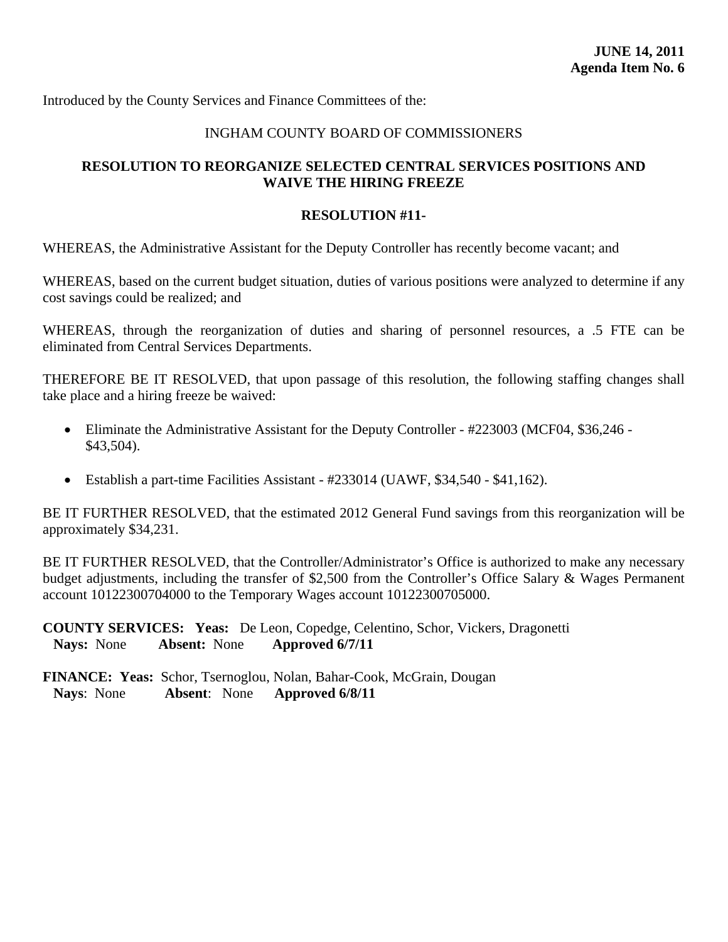## INGHAM COUNTY BOARD OF COMMISSIONERS

## <span id="page-58-0"></span>**RESOLUTION TO REORGANIZE SELECTED CENTRAL SERVICES POSITIONS AND WAIVE THE HIRING FREEZE**

#### **RESOLUTION #11-**

WHEREAS, the Administrative Assistant for the Deputy Controller has recently become vacant; and

WHEREAS, based on the current budget situation, duties of various positions were analyzed to determine if any cost savings could be realized; and

WHEREAS, through the reorganization of duties and sharing of personnel resources, a .5 FTE can be eliminated from Central Services Departments.

THEREFORE BE IT RESOLVED, that upon passage of this resolution, the following staffing changes shall take place and a hiring freeze be waived:

- Eliminate the Administrative Assistant for the Deputy Controller #223003 (MCF04, \$36,246 -\$43,504).
- Establish a part-time Facilities Assistant #233014 (UAWF, \$34,540 \$41,162).

BE IT FURTHER RESOLVED, that the estimated 2012 General Fund savings from this reorganization will be approximately \$34,231.

BE IT FURTHER RESOLVED, that the Controller/Administrator's Office is authorized to make any necessary budget adjustments, including the transfer of \$2,500 from the Controller's Office Salary & Wages Permanent account 10122300704000 to the Temporary Wages account 10122300705000.

**COUNTY SERVICES: Yeas:** De Leon, Copedge, Celentino, Schor, Vickers, Dragonetti  **Nays:** None **Absent:** None **Approved 6/7/11**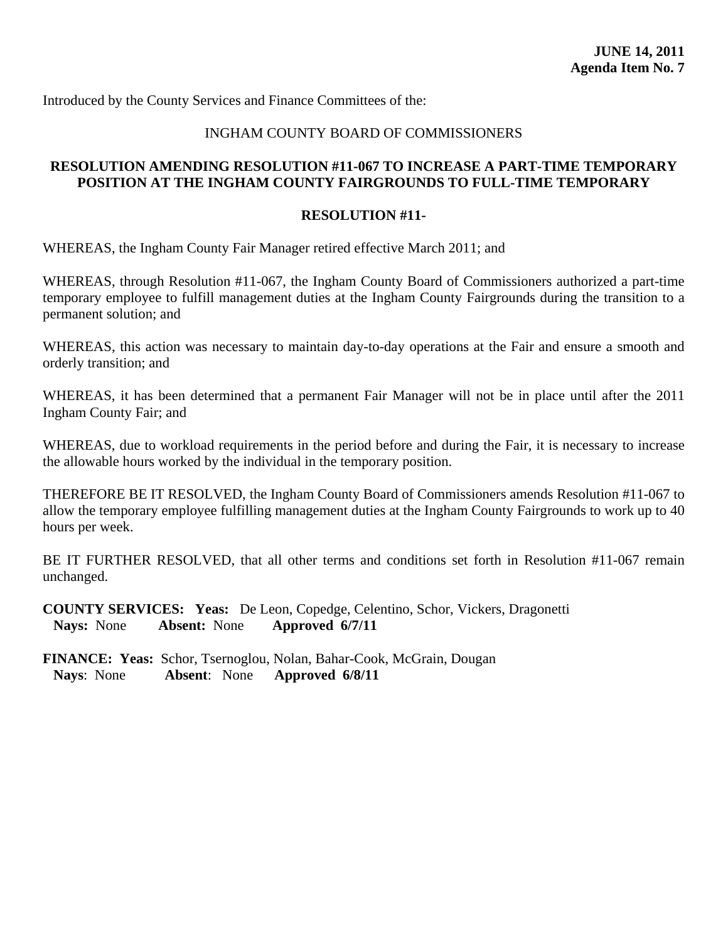## INGHAM COUNTY BOARD OF COMMISSIONERS

## <span id="page-59-0"></span>**RESOLUTION AMENDING RESOLUTION #11-067 TO INCREASE A PART-TIME TEMPORARY POSITION AT THE INGHAM COUNTY FAIRGROUNDS TO FULL-TIME TEMPORARY**

#### **RESOLUTION #11-**

WHEREAS, the Ingham County Fair Manager retired effective March 2011; and

WHEREAS, through Resolution #11-067, the Ingham County Board of Commissioners authorized a part-time temporary employee to fulfill management duties at the Ingham County Fairgrounds during the transition to a permanent solution; and

WHEREAS, this action was necessary to maintain day-to-day operations at the Fair and ensure a smooth and orderly transition; and

WHEREAS, it has been determined that a permanent Fair Manager will not be in place until after the 2011 Ingham County Fair; and

WHEREAS, due to workload requirements in the period before and during the Fair, it is necessary to increase the allowable hours worked by the individual in the temporary position.

THEREFORE BE IT RESOLVED, the Ingham County Board of Commissioners amends Resolution #11-067 to allow the temporary employee fulfilling management duties at the Ingham County Fairgrounds to work up to 40 hours per week.

BE IT FURTHER RESOLVED, that all other terms and conditions set forth in Resolution #11-067 remain unchanged.

**COUNTY SERVICES: Yeas:** De Leon, Copedge, Celentino, Schor, Vickers, Dragonetti  **Nays:** None **Absent:** None **Approved 6/7/11**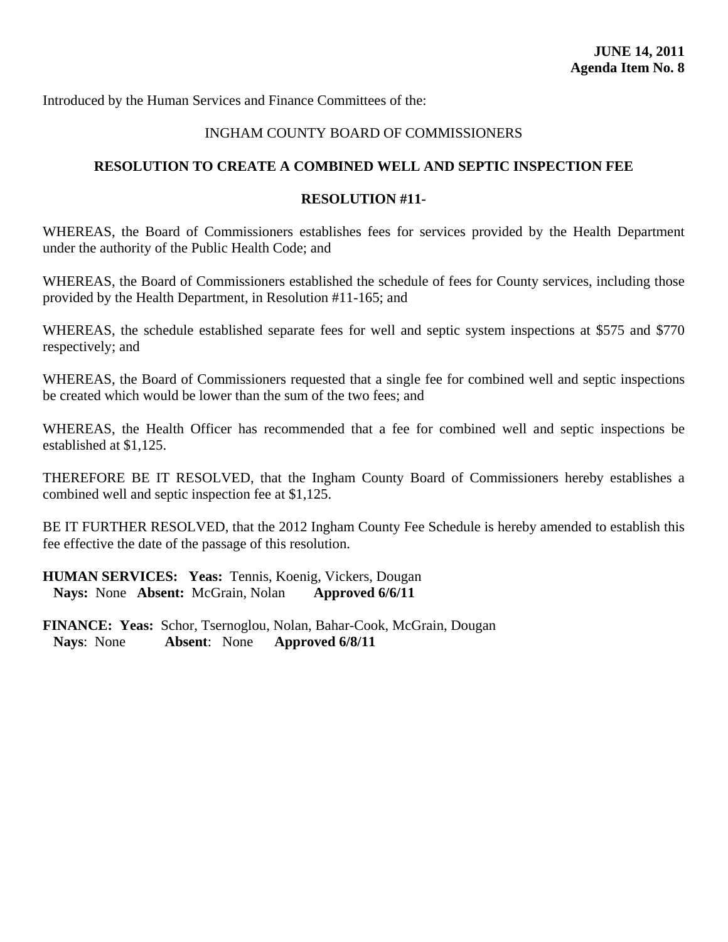## INGHAM COUNTY BOARD OF COMMISSIONERS

## <span id="page-60-0"></span>**RESOLUTION TO CREATE A COMBINED WELL AND SEPTIC INSPECTION FEE**

## **RESOLUTION #11-**

WHEREAS, the Board of Commissioners establishes fees for services provided by the Health Department under the authority of the Public Health Code; and

WHEREAS, the Board of Commissioners established the schedule of fees for County services, including those provided by the Health Department, in Resolution #11-165; and

WHEREAS, the schedule established separate fees for well and septic system inspections at \$575 and \$770 respectively; and

WHEREAS, the Board of Commissioners requested that a single fee for combined well and septic inspections be created which would be lower than the sum of the two fees; and

WHEREAS, the Health Officer has recommended that a fee for combined well and septic inspections be established at \$1,125.

THEREFORE BE IT RESOLVED, that the Ingham County Board of Commissioners hereby establishes a combined well and septic inspection fee at \$1,125.

BE IT FURTHER RESOLVED, that the 2012 Ingham County Fee Schedule is hereby amended to establish this fee effective the date of the passage of this resolution.

**HUMAN SERVICES: Yeas:** Tennis, Koenig, Vickers, Dougan  **Nays:** None **Absent:** McGrain, Nolan **Approved 6/6/11**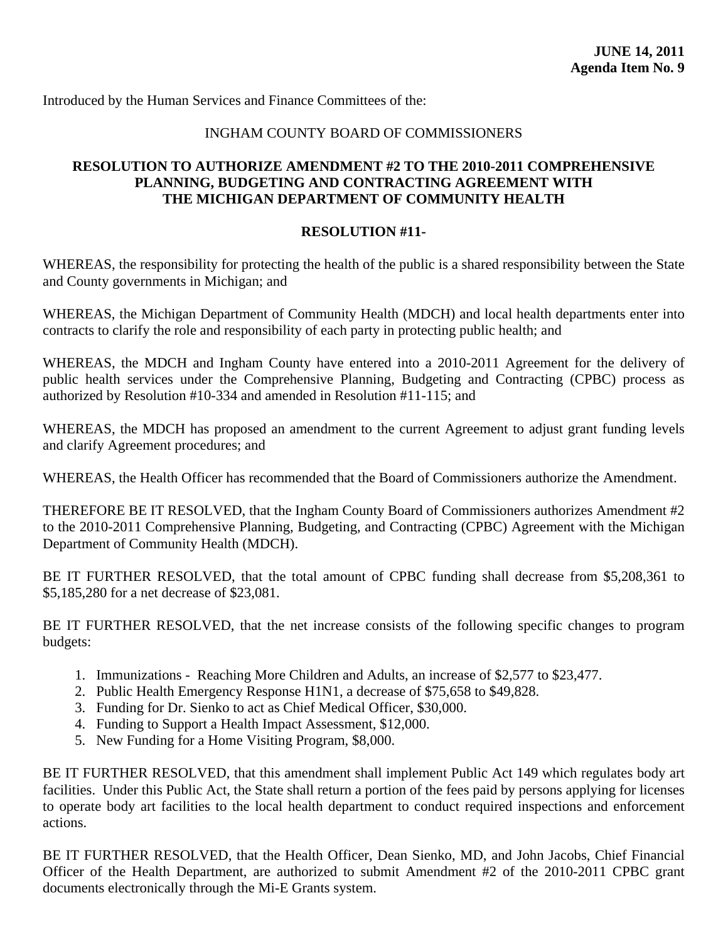## INGHAM COUNTY BOARD OF COMMISSIONERS

## <span id="page-61-0"></span>**RESOLUTION TO AUTHORIZE AMENDMENT #2 TO THE 2010-2011 COMPREHENSIVE PLANNING, BUDGETING AND CONTRACTING AGREEMENT WITH THE MICHIGAN DEPARTMENT OF COMMUNITY HEALTH**

#### **RESOLUTION #11-**

WHEREAS, the responsibility for protecting the health of the public is a shared responsibility between the State and County governments in Michigan; and

WHEREAS, the Michigan Department of Community Health (MDCH) and local health departments enter into contracts to clarify the role and responsibility of each party in protecting public health; and

WHEREAS, the MDCH and Ingham County have entered into a 2010-2011 Agreement for the delivery of public health services under the Comprehensive Planning, Budgeting and Contracting (CPBC) process as authorized by Resolution #10-334 and amended in Resolution #11-115; and

WHEREAS, the MDCH has proposed an amendment to the current Agreement to adjust grant funding levels and clarify Agreement procedures; and

WHEREAS, the Health Officer has recommended that the Board of Commissioners authorize the Amendment.

THEREFORE BE IT RESOLVED, that the Ingham County Board of Commissioners authorizes Amendment #2 to the 2010-2011 Comprehensive Planning, Budgeting, and Contracting (CPBC) Agreement with the Michigan Department of Community Health (MDCH).

BE IT FURTHER RESOLVED, that the total amount of CPBC funding shall decrease from \$5,208,361 to \$5,185,280 for a net decrease of \$23,081.

BE IT FURTHER RESOLVED, that the net increase consists of the following specific changes to program budgets:

- 1. Immunizations Reaching More Children and Adults, an increase of \$2,577 to \$23,477.
- 2. Public Health Emergency Response H1N1, a decrease of \$75,658 to \$49,828.
- 3. Funding for Dr. Sienko to act as Chief Medical Officer, \$30,000.
- 4. Funding to Support a Health Impact Assessment, \$12,000.
- 5. New Funding for a Home Visiting Program, \$8,000.

BE IT FURTHER RESOLVED, that this amendment shall implement Public Act 149 which regulates body art facilities. Under this Public Act, the State shall return a portion of the fees paid by persons applying for licenses to operate body art facilities to the local health department to conduct required inspections and enforcement actions.

BE IT FURTHER RESOLVED, that the Health Officer, Dean Sienko, MD, and John Jacobs, Chief Financial Officer of the Health Department, are authorized to submit Amendment #2 of the 2010-2011 CPBC grant documents electronically through the Mi-E Grants system.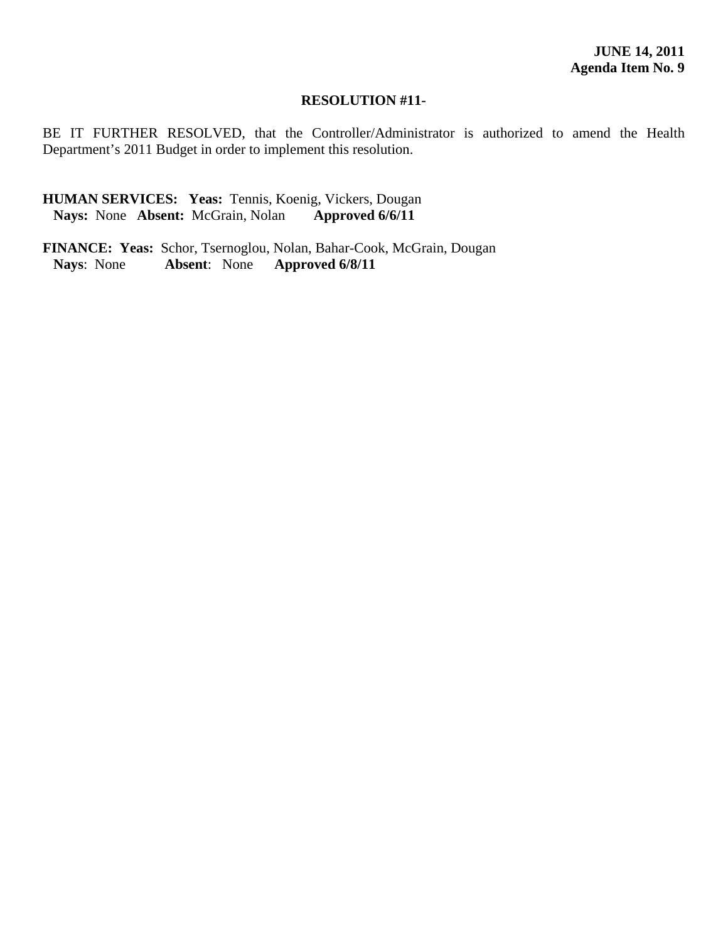BE IT FURTHER RESOLVED, that the Controller/Administrator is authorized to amend the Health Department's 2011 Budget in order to implement this resolution.

## **HUMAN SERVICES: Yeas:** Tennis, Koenig, Vickers, Dougan  **Nays:** None **Absent:** McGrain, Nolan **Approved 6/6/11**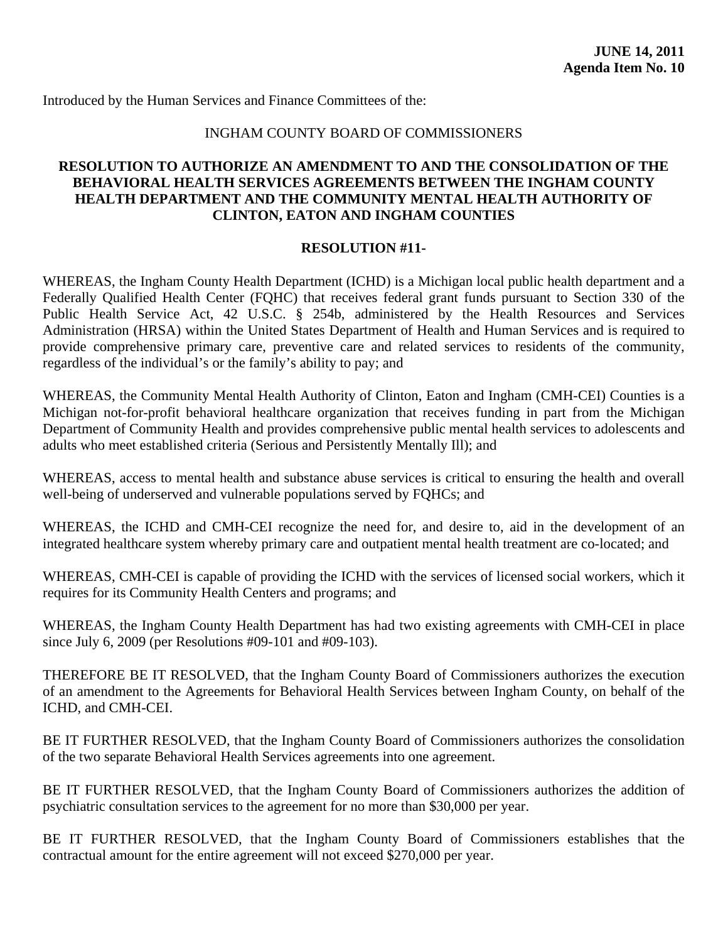## INGHAM COUNTY BOARD OF COMMISSIONERS

## <span id="page-63-0"></span>**RESOLUTION TO AUTHORIZE AN AMENDMENT TO AND THE CONSOLIDATION OF THE BEHAVIORAL HEALTH SERVICES AGREEMENTS BETWEEN THE INGHAM COUNTY HEALTH DEPARTMENT AND THE COMMUNITY MENTAL HEALTH AUTHORITY OF CLINTON, EATON AND INGHAM COUNTIES**

## **RESOLUTION #11-**

WHEREAS, the Ingham County Health Department (ICHD) is a Michigan local public health department and a Federally Qualified Health Center (FQHC) that receives federal grant funds pursuant to Section 330 of the Public Health Service Act, 42 U.S.C. § 254b, administered by the Health Resources and Services Administration (HRSA) within the United States Department of Health and Human Services and is required to provide comprehensive primary care, preventive care and related services to residents of the community, regardless of the individual's or the family's ability to pay; and

WHEREAS, the Community Mental Health Authority of Clinton, Eaton and Ingham (CMH-CEI) Counties is a Michigan not-for-profit behavioral healthcare organization that receives funding in part from the Michigan Department of Community Health and provides comprehensive public mental health services to adolescents and adults who meet established criteria (Serious and Persistently Mentally Ill); and

WHEREAS, access to mental health and substance abuse services is critical to ensuring the health and overall well-being of underserved and vulnerable populations served by FQHCs; and

WHEREAS, the ICHD and CMH-CEI recognize the need for, and desire to, aid in the development of an integrated healthcare system whereby primary care and outpatient mental health treatment are co-located; and

WHEREAS, CMH-CEI is capable of providing the ICHD with the services of licensed social workers, which it requires for its Community Health Centers and programs; and

WHEREAS, the Ingham County Health Department has had two existing agreements with CMH-CEI in place since July 6, 2009 (per Resolutions #09-101 and #09-103).

THEREFORE BE IT RESOLVED, that the Ingham County Board of Commissioners authorizes the execution of an amendment to the Agreements for Behavioral Health Services between Ingham County, on behalf of the ICHD, and CMH-CEI.

BE IT FURTHER RESOLVED, that the Ingham County Board of Commissioners authorizes the consolidation of the two separate Behavioral Health Services agreements into one agreement.

BE IT FURTHER RESOLVED, that the Ingham County Board of Commissioners authorizes the addition of psychiatric consultation services to the agreement for no more than \$30,000 per year.

BE IT FURTHER RESOLVED, that the Ingham County Board of Commissioners establishes that the contractual amount for the entire agreement will not exceed \$270,000 per year.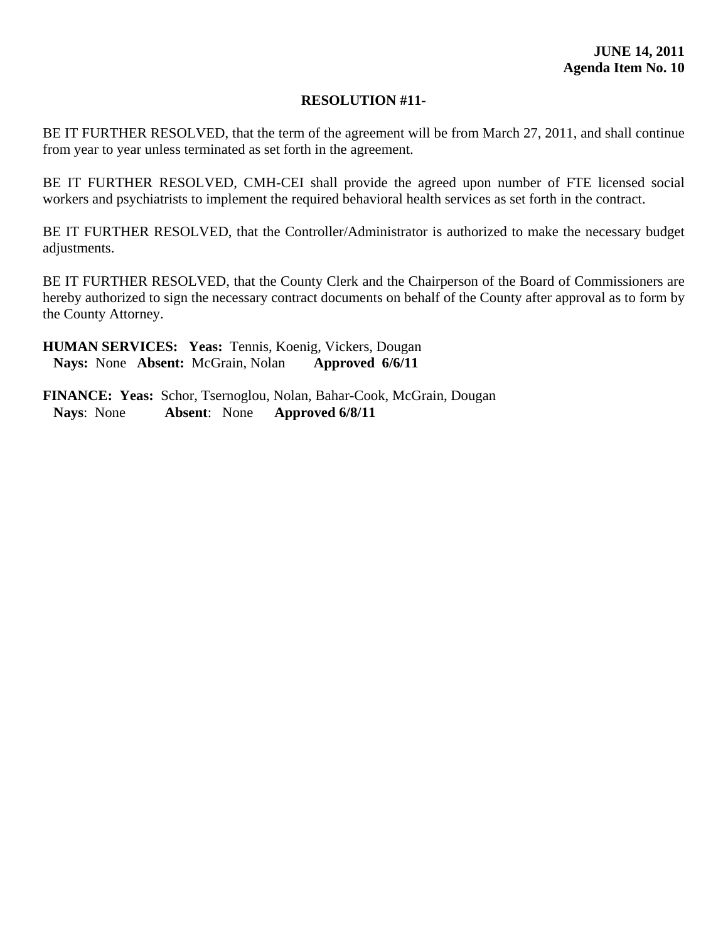BE IT FURTHER RESOLVED, that the term of the agreement will be from March 27, 2011, and shall continue from year to year unless terminated as set forth in the agreement.

BE IT FURTHER RESOLVED, CMH-CEI shall provide the agreed upon number of FTE licensed social workers and psychiatrists to implement the required behavioral health services as set forth in the contract.

BE IT FURTHER RESOLVED, that the Controller/Administrator is authorized to make the necessary budget adjustments.

BE IT FURTHER RESOLVED, that the County Clerk and the Chairperson of the Board of Commissioners are hereby authorized to sign the necessary contract documents on behalf of the County after approval as to form by the County Attorney.

**HUMAN SERVICES: Yeas:** Tennis, Koenig, Vickers, Dougan  **Nays:** None **Absent:** McGrain, Nolan **Approved 6/6/11**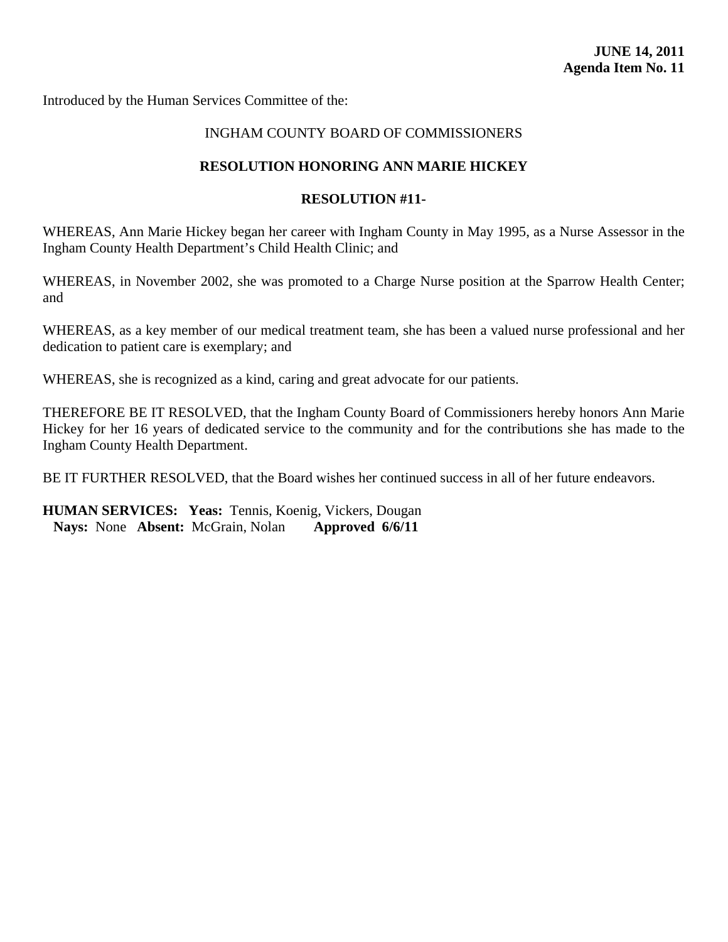<span id="page-65-0"></span>Introduced by the Human Services Committee of the:

## INGHAM COUNTY BOARD OF COMMISSIONERS

#### **RESOLUTION HONORING ANN MARIE HICKEY**

#### **RESOLUTION #11-**

WHEREAS, Ann Marie Hickey began her career with Ingham County in May 1995, as a Nurse Assessor in the Ingham County Health Department's Child Health Clinic; and

WHEREAS, in November 2002, she was promoted to a Charge Nurse position at the Sparrow Health Center; and

WHEREAS, as a key member of our medical treatment team, she has been a valued nurse professional and her dedication to patient care is exemplary; and

WHEREAS, she is recognized as a kind, caring and great advocate for our patients.

THEREFORE BE IT RESOLVED, that the Ingham County Board of Commissioners hereby honors Ann Marie Hickey for her 16 years of dedicated service to the community and for the contributions she has made to the Ingham County Health Department.

BE IT FURTHER RESOLVED, that the Board wishes her continued success in all of her future endeavors.

**HUMAN SERVICES: Yeas:** Tennis, Koenig, Vickers, Dougan  **Nays:** None **Absent:** McGrain, Nolan **Approved 6/6/11**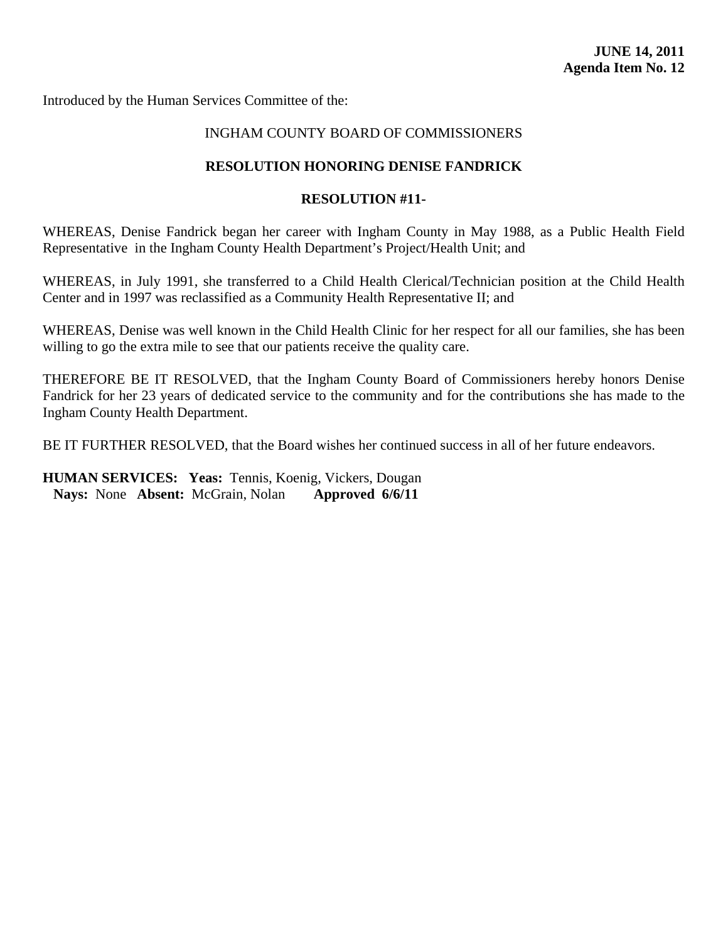<span id="page-66-0"></span>Introduced by the Human Services Committee of the:

## INGHAM COUNTY BOARD OF COMMISSIONERS

#### **RESOLUTION HONORING DENISE FANDRICK**

#### **RESOLUTION #11-**

WHEREAS, Denise Fandrick began her career with Ingham County in May 1988, as a Public Health Field Representative in the Ingham County Health Department's Project/Health Unit; and

WHEREAS, in July 1991, she transferred to a Child Health Clerical/Technician position at the Child Health Center and in 1997 was reclassified as a Community Health Representative II; and

WHEREAS, Denise was well known in the Child Health Clinic for her respect for all our families, she has been willing to go the extra mile to see that our patients receive the quality care.

THEREFORE BE IT RESOLVED, that the Ingham County Board of Commissioners hereby honors Denise Fandrick for her 23 years of dedicated service to the community and for the contributions she has made to the Ingham County Health Department.

BE IT FURTHER RESOLVED, that the Board wishes her continued success in all of her future endeavors.

**HUMAN SERVICES: Yeas:** Tennis, Koenig, Vickers, Dougan  **Nays:** None **Absent:** McGrain, Nolan **Approved 6/6/11**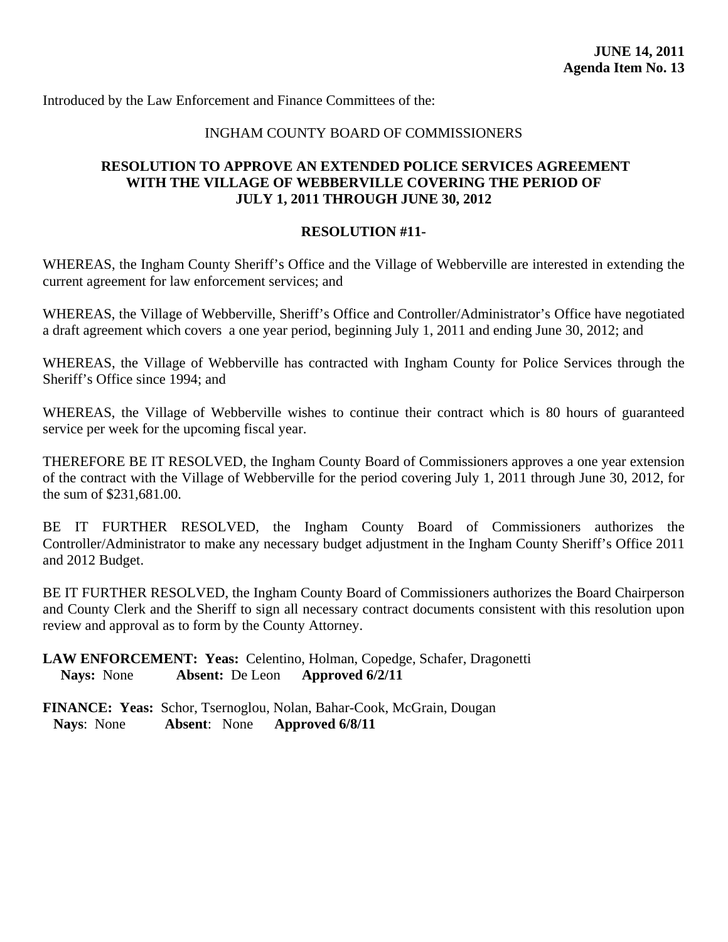<span id="page-67-0"></span>Introduced by the Law Enforcement and Finance Committees of the:

## INGHAM COUNTY BOARD OF COMMISSIONERS

## **RESOLUTION TO APPROVE AN EXTENDED POLICE SERVICES AGREEMENT WITH THE VILLAGE OF WEBBERVILLE COVERING THE PERIOD OF JULY 1, 2011 THROUGH JUNE 30, 2012**

## **RESOLUTION #11-**

WHEREAS, the Ingham County Sheriff's Office and the Village of Webberville are interested in extending the current agreement for law enforcement services; and

WHEREAS, the Village of Webberville, Sheriff's Office and Controller/Administrator's Office have negotiated a draft agreement which covers a one year period, beginning July 1, 2011 and ending June 30, 2012; and

WHEREAS, the Village of Webberville has contracted with Ingham County for Police Services through the Sheriff's Office since 1994; and

WHEREAS, the Village of Webberville wishes to continue their contract which is 80 hours of guaranteed service per week for the upcoming fiscal year.

THEREFORE BE IT RESOLVED, the Ingham County Board of Commissioners approves a one year extension of the contract with the Village of Webberville for the period covering July 1, 2011 through June 30, 2012, for the sum of \$231,681.00.

BE IT FURTHER RESOLVED, the Ingham County Board of Commissioners authorizes the Controller/Administrator to make any necessary budget adjustment in the Ingham County Sheriff's Office 2011 and 2012 Budget.

BE IT FURTHER RESOLVED, the Ingham County Board of Commissioners authorizes the Board Chairperson and County Clerk and the Sheriff to sign all necessary contract documents consistent with this resolution upon review and approval as to form by the County Attorney.

## **LAW ENFORCEMENT: Yeas:** Celentino, Holman, Copedge, Schafer, Dragonetti  **Nays:** None **Absent:** De Leon **Approved 6/2/11**